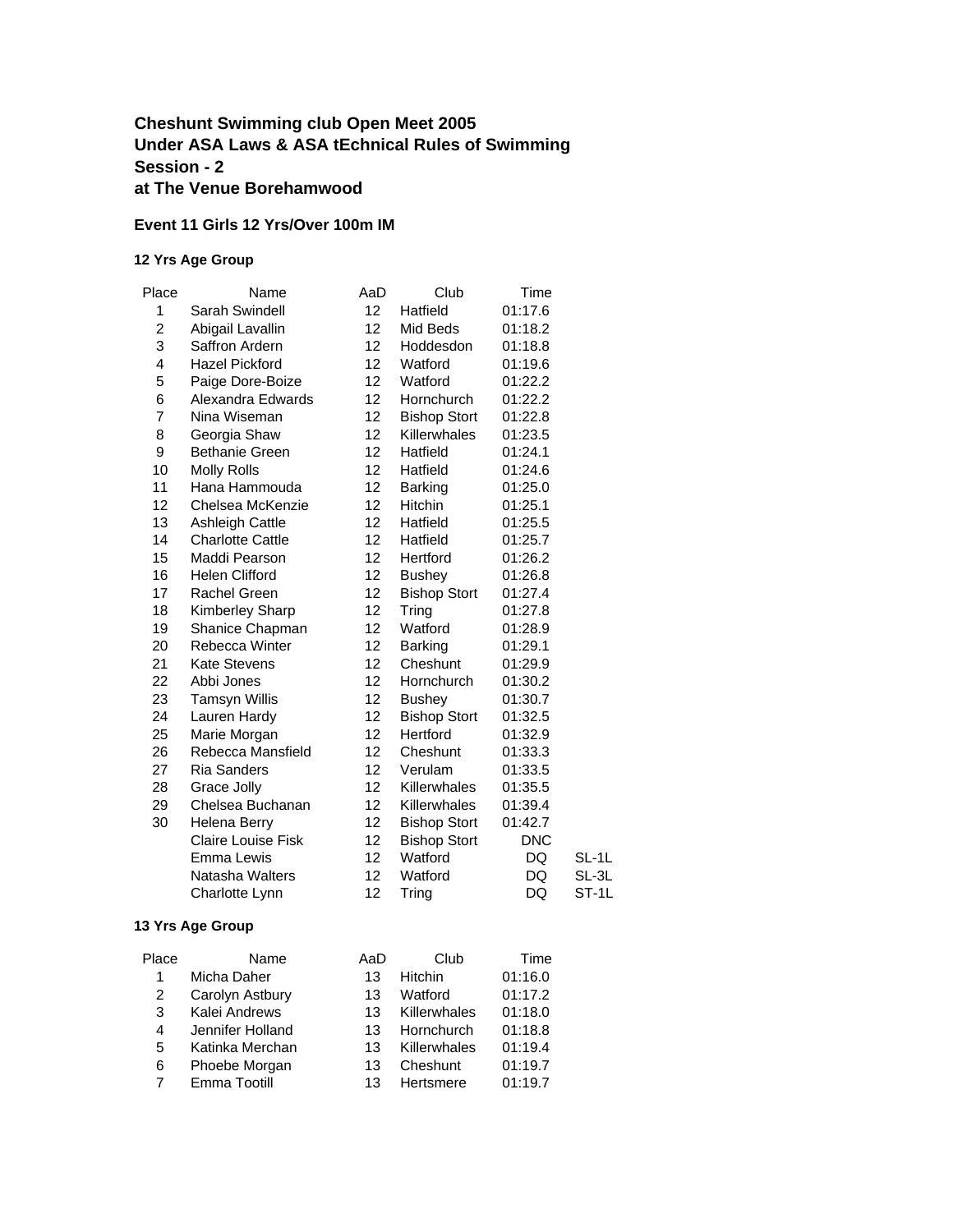### **Cheshunt Swimming club Open Meet 2005 Under ASA Laws & ASA tEchnical Rules of Swimming Session - 2 at The Venue Borehamwood**

#### **Event 11 Girls 12 Yrs/Over 100m IM**

#### **12 Yrs Age Group**

| Place | Name                      | AaD | Club                | Time       |       |
|-------|---------------------------|-----|---------------------|------------|-------|
| 1     | Sarah Swindell            | 12  | Hatfield            | 01:17.6    |       |
| 2     | Abigail Lavallin          | 12  | Mid Beds            | 01:18.2    |       |
| 3     | Saffron Ardern            | 12  | Hoddesdon           | 01:18.8    |       |
| 4     | <b>Hazel Pickford</b>     | 12  | Watford             | 01:19.6    |       |
| 5     | Paige Dore-Boize          | 12  | Watford             | 01:22.2    |       |
| 6     | Alexandra Edwards         | 12  | Hornchurch          | 01:22.2    |       |
| 7     | Nina Wiseman              | 12  | <b>Bishop Stort</b> | 01:22.8    |       |
| 8     | Georgia Shaw              | 12  | Killerwhales        | 01:23.5    |       |
| 9     | <b>Bethanie Green</b>     | 12  | Hatfield            | 01:24.1    |       |
| 10    | <b>Molly Rolls</b>        | 12  | Hatfield            | 01:24.6    |       |
| 11    | Hana Hammouda             | 12  | <b>Barking</b>      | 01:25.0    |       |
| 12    | Chelsea McKenzie          | 12  | <b>Hitchin</b>      | 01:25.1    |       |
| 13    | <b>Ashleigh Cattle</b>    | 12  | Hatfield            | 01:25.5    |       |
| 14    | <b>Charlotte Cattle</b>   | 12  | Hatfield            | 01:25.7    |       |
| 15    | Maddi Pearson             | 12  | Hertford            | 01:26.2    |       |
| 16    | Helen Clifford            | 12  | <b>Bushey</b>       | 01:26.8    |       |
| 17    | Rachel Green              | 12  | <b>Bishop Stort</b> | 01:27.4    |       |
| 18    | Kimberley Sharp           | 12  | Tring               | 01:27.8    |       |
| 19    | Shanice Chapman           | 12  | Watford             | 01:28.9    |       |
| 20    | Rebecca Winter            | 12  | <b>Barking</b>      | 01:29.1    |       |
| 21    | <b>Kate Stevens</b>       | 12  | Cheshunt            | 01:29.9    |       |
| 22    | Abbi Jones                | 12  | Hornchurch          | 01:30.2    |       |
| 23    | <b>Tamsyn Willis</b>      | 12  | <b>Bushey</b>       | 01:30.7    |       |
| 24    | Lauren Hardy              | 12  | <b>Bishop Stort</b> | 01:32.5    |       |
| 25    | Marie Morgan              | 12  | Hertford            | 01:32.9    |       |
| 26    | Rebecca Mansfield         | 12  | Cheshunt            | 01:33.3    |       |
| 27    | <b>Ria Sanders</b>        | 12  | Verulam             | 01:33.5    |       |
| 28    | Grace Jolly               | 12  | Killerwhales        | 01:35.5    |       |
| 29    | Chelsea Buchanan          | 12  | Killerwhales        | 01:39.4    |       |
| 30    | Helena Berry              | 12  | <b>Bishop Stort</b> | 01:42.7    |       |
|       | <b>Claire Louise Fisk</b> | 12  | <b>Bishop Stort</b> | <b>DNC</b> |       |
|       | Emma Lewis                | 12  | Watford             | DQ         | SL-1L |
|       | Natasha Walters           | 12  | Watford             | DQ         | SL-3L |
|       | Charlotte Lynn            | 12  | Tring               | DQ         | ST-1L |

| Place | Name             | AaD | Club         | Time    |
|-------|------------------|-----|--------------|---------|
| 1     | Micha Daher      | 13  | Hitchin      | 01:16.0 |
| 2     | Carolyn Astbury  | 13  | Watford      | 01:17.2 |
| 3     | Kalei Andrews    | 13  | Killerwhales | 01:18.0 |
| 4     | Jennifer Holland | 13  | Hornchurch   | 01:18.8 |
| 5     | Katinka Merchan  | 13  | Killerwhales | 01:19.4 |
| 6     | Phoebe Morgan    | 13  | Cheshunt     | 01:19.7 |
|       | Emma Tootill     | 13  | Hertsmere    | 01:19.7 |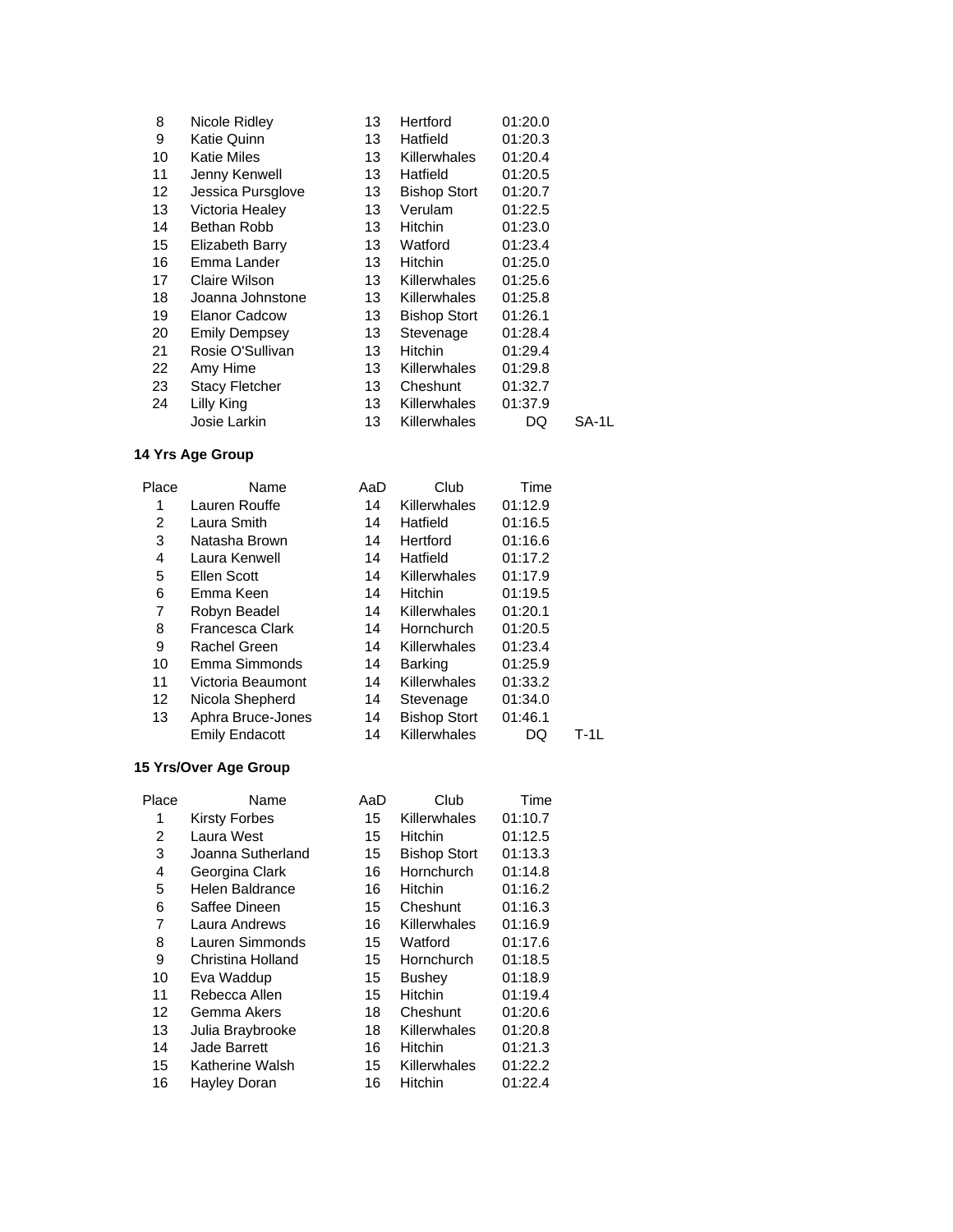| 8               | Nicole Ridley         | 13  | Hertford            | 01:20.0 |       |
|-----------------|-----------------------|-----|---------------------|---------|-------|
| 9               | Katie Quinn           | 13  | Hatfield            | 01:20.3 |       |
| 10              | <b>Katie Miles</b>    | 13  | <b>Killerwhales</b> | 01:20.4 |       |
| 11              | Jenny Kenwell         | 13  | Hatfield            | 01:20.5 |       |
| 12 <sup>2</sup> | Jessica Pursglove     | 13  | <b>Bishop Stort</b> | 01:20.7 |       |
| 13              | Victoria Healey       | 13. | Verulam             | 01:22.5 |       |
| 14              | Bethan Robb           | 13  | Hitchin             | 01:23.0 |       |
| 15              | Elizabeth Barry       | 13  | Watford             | 01:23.4 |       |
| 16              | Emma Lander           | 13  | Hitchin             | 01:25.0 |       |
| 17              | Claire Wilson         | 13  | <b>Killerwhales</b> | 01:25.6 |       |
| 18              | Joanna Johnstone      | 13  | <b>Killerwhales</b> | 01:25.8 |       |
| 19              | <b>Elanor Cadcow</b>  | 13  | <b>Bishop Stort</b> | 01:26.1 |       |
| 20              | <b>Emily Dempsey</b>  | 13  | Stevenage           | 01:28.4 |       |
| 21              | Rosie O'Sullivan      | 13  | <b>Hitchin</b>      | 01:29.4 |       |
| 22              | Amy Hime              | 13  | Killerwhales        | 01:29.8 |       |
| 23              | <b>Stacy Fletcher</b> | 13  | Cheshunt            | 01:32.7 |       |
| 24              | Lilly King            | 13  | <b>Killerwhales</b> | 01:37.9 |       |
|                 | Josie Larkin          | 13  | <b>Killerwhales</b> | DQ      | SA-1L |

| Place | Name                   | AaD | Club                | Time    |      |
|-------|------------------------|-----|---------------------|---------|------|
| 1     | Lauren Rouffe          | 14  | Killerwhales        | 01:12.9 |      |
| 2     | Laura Smith            | 14  | Hatfield            | 01:16.5 |      |
| 3     | Natasha Brown          | 14  | Hertford            | 01:16.6 |      |
| 4     | Laura Kenwell          | 14  | Hatfield            | 01:17.2 |      |
| 5     | Ellen Scott            | 14  | Killerwhales        | 01:17.9 |      |
| 6     | Emma Keen              | 14  | Hitchin             | 01:19.5 |      |
| 7     | Robyn Beadel           | 14  | Killerwhales        | 01:20.1 |      |
| 8     | <b>Francesca Clark</b> | 14  | Hornchurch          | 01:20.5 |      |
| 9     | Rachel Green           | 14  | Killerwhales        | 01:23.4 |      |
| 10    | Emma Simmonds          | 14  | <b>Barking</b>      | 01:25.9 |      |
| 11    | Victoria Beaumont      | 14  | Killerwhales        | 01:33.2 |      |
| 12    | Nicola Shepherd        | 14  | Stevenage           | 01:34.0 |      |
| 13    | Aphra Bruce-Jones      | 14  | <b>Bishop Stort</b> | 01:46.1 |      |
|       | <b>Emily Endacott</b>  | 14  | Killerwhales        | DQ      | T-1L |

## **15 Yrs/Over Age Group**

| Place | Name                 | AaD | Club                | Time    |
|-------|----------------------|-----|---------------------|---------|
| 1     | <b>Kirsty Forbes</b> | 15  | Killerwhales        | 01:10.7 |
| 2     | Laura West           | 15  | <b>Hitchin</b>      | 01:12.5 |
| 3     | Joanna Sutherland    | 15  | <b>Bishop Stort</b> | 01:13.3 |
| 4     | Georgina Clark       | 16  | Hornchurch          | 01:14.8 |
| 5     | Helen Baldrance      | 16  | <b>Hitchin</b>      | 01:16.2 |
| 6     | Saffee Dineen        | 15  | Cheshunt            | 01:16.3 |
| 7     | Laura Andrews        | 16  | Killerwhales        | 01:16.9 |
| 8     | Lauren Simmonds      | 15  | Watford             | 01:17.6 |
| 9     | Christina Holland    | 15  | Hornchurch          | 01:18.5 |
| 10    | Eva Waddup           | 15  | <b>Bushey</b>       | 01:18.9 |
| 11    | Rebecca Allen        | 15  | <b>Hitchin</b>      | 01:19.4 |
| 12    | Gemma Akers          | 18  | Cheshunt            | 01:20.6 |
| 13    | Julia Braybrooke     | 18  | Killerwhales        | 01:20.8 |
| 14    | <b>Jade Barrett</b>  | 16  | <b>Hitchin</b>      | 01:21.3 |
| 15    | Katherine Walsh      | 15  | Killerwhales        | 01:22.2 |
| 16    | Hayley Doran         | 16  | <b>Hitchin</b>      | 01:22.4 |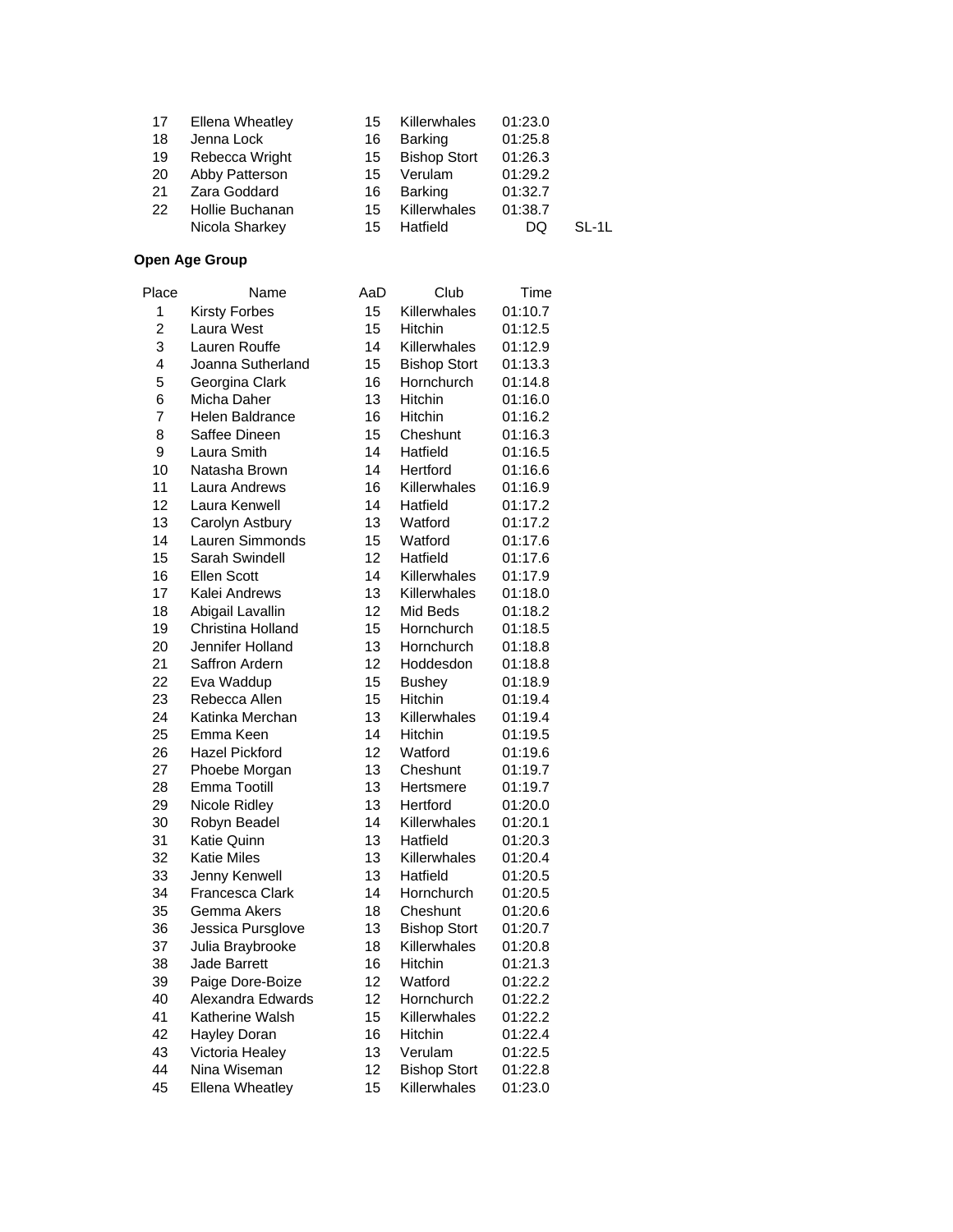| 17 | <b>Ellena Wheatley</b> | 15 | Killerwhales        | 01:23.0 |         |
|----|------------------------|----|---------------------|---------|---------|
| 18 | Jenna Lock             | 16 | <b>Barking</b>      | 01:25.8 |         |
| 19 | Rebecca Wright         | 15 | <b>Bishop Stort</b> | 01:26.3 |         |
| 20 | Abby Patterson         | 15 | Verulam             | 01:29.2 |         |
| 21 | Zara Goddard           | 16 | <b>Barking</b>      | 01:32.7 |         |
| 22 | Hollie Buchanan        | 15 | Killerwhales        | 01:38.7 |         |
|    | Nicola Sharkey         | 15 | Hatfield            | DQ      | $SL-1L$ |
|    |                        |    |                     |         |         |

| Place          | Name                   | AaD | Club                | Time    |
|----------------|------------------------|-----|---------------------|---------|
| 1              | <b>Kirsty Forbes</b>   | 15  | Killerwhales        | 01:10.7 |
| $\overline{2}$ | Laura West             | 15  | Hitchin             | 01:12.5 |
| 3              | Lauren Rouffe          | 14  | Killerwhales        | 01:12.9 |
| 4              | Joanna Sutherland      | 15  | <b>Bishop Stort</b> | 01:13.3 |
| 5              | Georgina Clark         | 16  | Hornchurch          | 01:14.8 |
| 6              | Micha Daher            | 13  | <b>Hitchin</b>      | 01:16.0 |
| 7              | <b>Helen Baldrance</b> | 16  | <b>Hitchin</b>      | 01:16.2 |
| 8              | Saffee Dineen          | 15  | Cheshunt            | 01:16.3 |
| 9              | Laura Smith            | 14  | Hatfield            | 01:16.5 |
| 10             | Natasha Brown          | 14  | Hertford            | 01:16.6 |
| 11             | Laura Andrews          | 16  | Killerwhales        | 01:16.9 |
| 12             | Laura Kenwell          | 14  | Hatfield            | 01:17.2 |
| 13             | Carolyn Astbury        | 13  | Watford             | 01:17.2 |
| 14             | Lauren Simmonds        | 15  | Watford             | 01:17.6 |
| 15             | Sarah Swindell         | 12  | Hatfield            | 01:17.6 |
| 16             | <b>Ellen Scott</b>     | 14  | Killerwhales        | 01:17.9 |
| 17             | Kalei Andrews          | 13  | Killerwhales        | 01:18.0 |
| 18             | Abigail Lavallin       | 12  | Mid Beds            | 01:18.2 |
| 19             | Christina Holland      | 15  | Hornchurch          | 01:18.5 |
| 20             | Jennifer Holland       | 13  | Hornchurch          | 01:18.8 |
| 21             | Saffron Ardern         | 12  | Hoddesdon           | 01:18.8 |
| 22             | Eva Waddup             | 15  | <b>Bushey</b>       | 01:18.9 |
| 23             | Rebecca Allen          | 15  | Hitchin             | 01:19.4 |
| 24             | Katinka Merchan        | 13  | Killerwhales        | 01:19.4 |
| 25             | Emma Keen              | 14  | Hitchin             | 01:19.5 |
| 26             | <b>Hazel Pickford</b>  | 12  | Watford             | 01:19.6 |
| 27             | Phoebe Morgan          | 13  | Cheshunt            | 01:19.7 |
| 28             | Emma Tootill           | 13  | Hertsmere           | 01:19.7 |
| 29             | Nicole Ridley          | 13  | Hertford            | 01:20.0 |
| 30             | Robyn Beadel           | 14  | Killerwhales        | 01:20.1 |
| 31             | Katie Quinn            | 13  | Hatfield            | 01:20.3 |
| 32             | <b>Katie Miles</b>     | 13  | Killerwhales        | 01:20.4 |
| 33             | Jenny Kenwell          | 13  | Hatfield            | 01:20.5 |
| 34             | Francesca Clark        | 14  | Hornchurch          | 01:20.5 |
| 35             | Gemma Akers            | 18  | Cheshunt            | 01:20.6 |
| 36             | Jessica Pursglove      | 13  | <b>Bishop Stort</b> | 01:20.7 |
| 37             | Julia Braybrooke       | 18  | Killerwhales        | 01:20.8 |
| 38             | Jade Barrett           | 16  | <b>Hitchin</b>      | 01:21.3 |
| 39             | Paige Dore-Boize       | 12  | Watford             | 01:22.2 |
| 40             | Alexandra Edwards      | 12  | Hornchurch          | 01:22.2 |
| 41             | Katherine Walsh        | 15  | Killerwhales        | 01:22.2 |
| 42             | Hayley Doran           | 16  | <b>Hitchin</b>      | 01:22.4 |
| 43             | Victoria Healey        | 13  | Verulam             | 01:22.5 |
| 44             | Nina Wiseman           | 12  | <b>Bishop Stort</b> | 01:22.8 |
| 45             | <b>Ellena Wheatley</b> | 15  | Killerwhales        | 01:23.0 |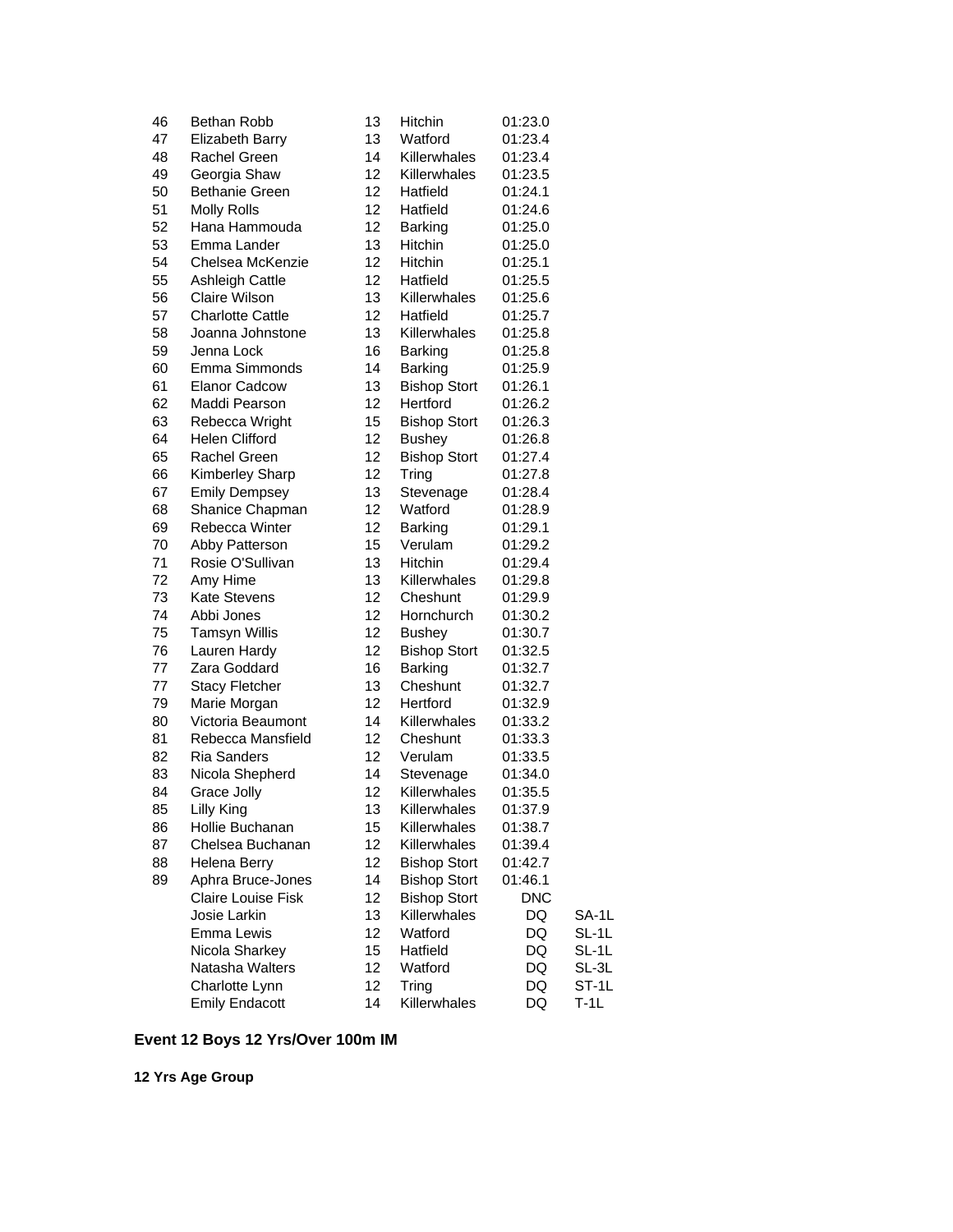| 46 | Bethan Robb             | 13              | Hitchin             | 01:23.0    |        |
|----|-------------------------|-----------------|---------------------|------------|--------|
| 47 | <b>Elizabeth Barry</b>  | 13              | Watford             | 01:23.4    |        |
| 48 | Rachel Green            | 14              | Killerwhales        | 01:23.4    |        |
| 49 | Georgia Shaw            | 12              | Killerwhales        | 01:23.5    |        |
| 50 | Bethanie Green          | 12 <sup>2</sup> | Hatfield            | 01:24.1    |        |
| 51 | <b>Molly Rolls</b>      | 12              | Hatfield            | 01:24.6    |        |
| 52 | Hana Hammouda           | 12              | <b>Barking</b>      | 01:25.0    |        |
| 53 | Emma Lander             | 13              | Hitchin             | 01:25.0    |        |
| 54 | Chelsea McKenzie        | 12              | Hitchin             | 01:25.1    |        |
| 55 | Ashleigh Cattle         | 12              | Hatfield            | 01:25.5    |        |
| 56 | Claire Wilson           | 13              | Killerwhales        | 01:25.6    |        |
| 57 | <b>Charlotte Cattle</b> | 12 <sub>2</sub> | Hatfield            | 01:25.7    |        |
| 58 | Joanna Johnstone        | 13              | Killerwhales        | 01:25.8    |        |
| 59 | Jenna Lock              | 16              | Barking             | 01:25.8    |        |
| 60 | Emma Simmonds           | 14              | Barking             | 01:25.9    |        |
| 61 | <b>Elanor Cadcow</b>    | 13              | <b>Bishop Stort</b> | 01:26.1    |        |
| 62 | Maddi Pearson           | 12              | Hertford            | 01:26.2    |        |
| 63 | Rebecca Wright          | 15              | <b>Bishop Stort</b> | 01:26.3    |        |
| 64 | Helen Clifford          | 12              | <b>Bushey</b>       | 01:26.8    |        |
| 65 | Rachel Green            | 12              | <b>Bishop Stort</b> | 01:27.4    |        |
| 66 | <b>Kimberley Sharp</b>  | 12              | Tring               | 01:27.8    |        |
| 67 | <b>Emily Dempsey</b>    | 13              | Stevenage           | 01:28.4    |        |
| 68 | Shanice Chapman         | 12              | Watford             | 01:28.9    |        |
| 69 | Rebecca Winter          | 12              | Barking             | 01:29.1    |        |
| 70 | Abby Patterson          | 15              | Verulam             | 01:29.2    |        |
| 71 | Rosie O'Sullivan        | 13              | Hitchin             | 01:29.4    |        |
| 72 | Amy Hime                | 13              | Killerwhales        | 01:29.8    |        |
| 73 | <b>Kate Stevens</b>     | 12              | Cheshunt            | 01:29.9    |        |
| 74 | Abbi Jones              | 12              | Hornchurch          | 01:30.2    |        |
| 75 | <b>Tamsyn Willis</b>    | 12 <sub>2</sub> | <b>Bushey</b>       | 01:30.7    |        |
| 76 | Lauren Hardy            | 12              | <b>Bishop Stort</b> | 01:32.5    |        |
| 77 | Zara Goddard            | 16              | Barking             | 01:32.7    |        |
| 77 | <b>Stacy Fletcher</b>   | 13              | Cheshunt            | 01:32.7    |        |
| 79 | Marie Morgan            | 12              | Hertford            | 01:32.9    |        |
| 80 | Victoria Beaumont       | 14              | Killerwhales        | 01:33.2    |        |
| 81 | Rebecca Mansfield       | 12              | Cheshunt            | 01:33.3    |        |
| 82 | <b>Ria Sanders</b>      | 12              | Verulam             | 01:33.5    |        |
| 83 | Nicola Shepherd         | 14              | Stevenage           | 01:34.0    |        |
| 84 | Grace Jolly             | 12              | Killerwhales        | 01:35.5    |        |
| 85 | Lilly King              | 13              | Killerwhales        | 01:37.9    |        |
| 86 | Hollie Buchanan         | 15              | Killerwhales        | 01:38.7    |        |
| 87 | Chelsea Buchanan        | 12              | Killerwhales        | 01:39.4    |        |
| 88 | Helena Berry            | 12              | <b>Bishop Stort</b> | 01:42.7    |        |
| 89 | Aphra Bruce-Jones       | 14              | <b>Bishop Stort</b> | 01:46.1    |        |
|    | Claire Louise Fisk      | 12              | <b>Bishop Stort</b> | <b>DNC</b> |        |
|    | Josie Larkin            | 13              | Killerwhales        | DQ         | SA-1L  |
|    | Emma Lewis              | 12              | Watford             | DQ         | SL-1L  |
|    | Nicola Sharkey          | 15              | Hatfield            | DQ         | SL-1L  |
|    | Natasha Walters         | 12              | Watford             | DQ         | SL-3L  |
|    | Charlotte Lynn          | 12              | Tring               | DQ         | ST-1L  |
|    | <b>Emily Endacott</b>   | 14              | Killerwhales        | DQ         | $T-1L$ |

# **Event 12 Boys 12 Yrs/Over 100m IM**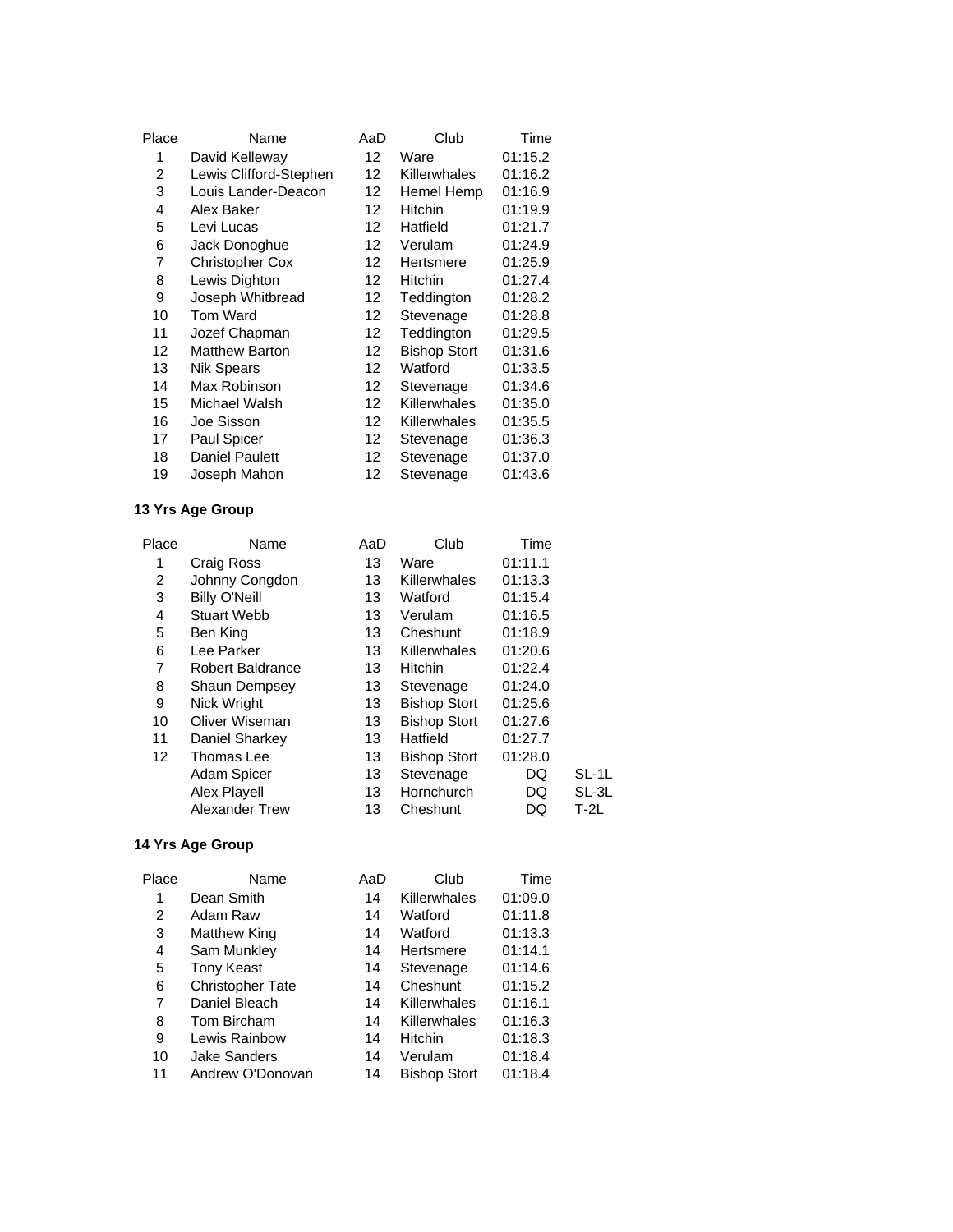| Place | Name                   | AaD               | Club                | Time    |
|-------|------------------------|-------------------|---------------------|---------|
| 1     | David Kelleway         | 12                | Ware                | 01:15.2 |
| 2     | Lewis Clifford-Stephen | 12                | Killerwhales        | 01:16.2 |
| 3     | Louis Lander-Deacon    | 12                | Hemel Hemp          | 01:16.9 |
| 4     | Alex Baker             | 12                | <b>Hitchin</b>      | 01:19.9 |
| 5     | Levi Lucas             | 12                | Hatfield            | 01:21.7 |
| 6     | Jack Donoghue          | 12                | Verulam             | 01:24.9 |
| 7     | <b>Christopher Cox</b> | 12 <sup>°</sup>   | Hertsmere           | 01:25.9 |
| 8     | Lewis Dighton          | 12                | Hitchin             | 01:27.4 |
| 9     | Joseph Whitbread       | 12                | Teddington          | 01:28.2 |
| 10    | Tom Ward               | 12 <sup>°</sup>   | Stevenage           | 01:28.8 |
| 11    | Jozef Chapman          | 12                | Teddington          | 01:29.5 |
| 12    | <b>Matthew Barton</b>  | $12 \overline{ }$ | <b>Bishop Stort</b> | 01:31.6 |
| 13    | <b>Nik Spears</b>      | 12                | Watford             | 01:33.5 |
| 14    | Max Robinson           | $12 \overline{ }$ | Stevenage           | 01:34.6 |
| 15    | Michael Walsh          | 12                | Killerwhales        | 01:35.0 |
| 16    | Joe Sisson             | $12 \overline{ }$ | Killerwhales        | 01:35.5 |
| 17    | Paul Spicer            | 12                | Stevenage           | 01:36.3 |
| 18    | <b>Daniel Paulett</b>  | 12 <sup>°</sup>   | Stevenage           | 01:37.0 |
| 19    | Joseph Mahon           | 12                | Stevenage           | 01:43.6 |

| Place | Name                    | AaD | Club                | Time    |        |
|-------|-------------------------|-----|---------------------|---------|--------|
| 1     | Craig Ross              | 13  | Ware                | 01:11.1 |        |
| 2     | Johnny Congdon          | 13  | Killerwhales        | 01:13.3 |        |
| 3     | <b>Billy O'Neill</b>    | 13  | Watford             | 01:15.4 |        |
| 4     | <b>Stuart Webb</b>      | 13  | Verulam             | 01:16.5 |        |
| 5     | Ben King                | 13  | Cheshunt            | 01:18.9 |        |
| 6     | Lee Parker              | 13  | Killerwhales        | 01:20.6 |        |
| 7     | <b>Robert Baldrance</b> | 13  | Hitchin             | 01:22.4 |        |
| 8     | <b>Shaun Dempsey</b>    | 13  | Stevenage           | 01:24.0 |        |
| 9     | Nick Wright             | 13  | <b>Bishop Stort</b> | 01:25.6 |        |
| 10    | Oliver Wiseman          | 13  | <b>Bishop Stort</b> | 01:27.6 |        |
| 11    | Daniel Sharkey          | 13  | Hatfield            | 01:27.7 |        |
| 12    | Thomas Lee              | 13  | <b>Bishop Stort</b> | 01:28.0 |        |
|       | Adam Spicer             | 13  | Stevenage           | DQ      | SL-1L  |
|       | Alex Playell            | 13  | Hornchurch          | DQ      | SL-3L  |
|       | Alexander Trew          | 13  | Cheshunt            | DQ      | $T-2L$ |
|       |                         |     |                     |         |        |

| Name                    | AaD | Club                | Time    |
|-------------------------|-----|---------------------|---------|
| Dean Smith              | 14  | Killerwhales        | 01:09.0 |
| Adam Raw                | 14  | Watford             | 01:11.8 |
| Matthew King            | 14  | Watford             | 01:13.3 |
| Sam Munkley             | 14  | Hertsmere           | 01:14.1 |
| <b>Tony Keast</b>       | 14  | Stevenage           | 01:14.6 |
| <b>Christopher Tate</b> | 14  | Cheshunt            | 01:15.2 |
| Daniel Bleach           | 14  | Killerwhales        | 01:16.1 |
| Tom Bircham             | 14  | Killerwhales        | 01:16.3 |
| Lewis Rainbow           | 14  | <b>Hitchin</b>      | 01:18.3 |
| <b>Jake Sanders</b>     | 14  | Verulam             | 01:18.4 |
| Andrew O'Donovan        | 14  | <b>Bishop Stort</b> | 01:18.4 |
|                         |     |                     |         |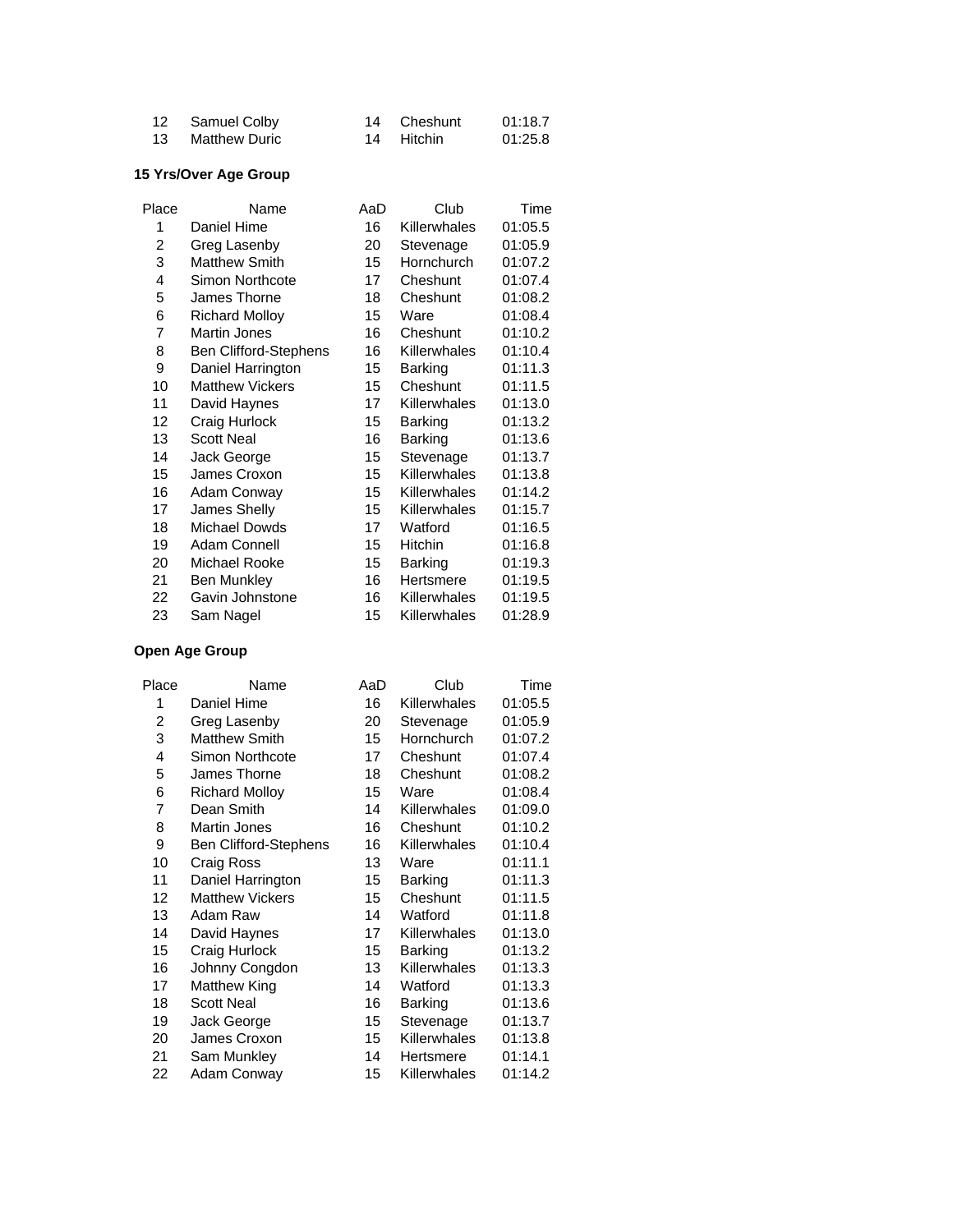| 12 Samuel Colby  | 14 Cheshunt | 01:18.7 |
|------------------|-------------|---------|
| 13 Matthew Duric | 14 Hitchin  | 01:25.8 |

#### **15 Yrs/Over Age Group**

| Place | Name                         | AaD | Club         | Time    |
|-------|------------------------------|-----|--------------|---------|
| 1     | Daniel Hime                  | 16  | Killerwhales | 01:05.5 |
| 2     | Greg Lasenby                 | 20  | Stevenage    | 01:05.9 |
| 3     | <b>Matthew Smith</b>         | 15  | Hornchurch   | 01:07.2 |
| 4     | Simon Northcote              | 17  | Cheshunt     | 01:07.4 |
| 5     | James Thorne                 | 18  | Cheshunt     | 01:08.2 |
| 6     | <b>Richard Molloy</b>        | 15  | Ware         | 01:08.4 |
| 7     | <b>Martin Jones</b>          | 16  | Cheshunt     | 01:10.2 |
| 8     | <b>Ben Clifford-Stephens</b> | 16  | Killerwhales | 01:10.4 |
| 9     | Daniel Harrington            | 15  | Barking      | 01:11.3 |
| 10    | <b>Matthew Vickers</b>       | 15  | Cheshunt     | 01:11.5 |
| 11    | David Haynes                 | 17  | Killerwhales | 01:13.0 |
| 12    | Craig Hurlock                | 15  | Barking      | 01:13.2 |
| 13    | <b>Scott Neal</b>            | 16  | Barking      | 01:13.6 |
| 14    | Jack George                  | 15  | Stevenage    | 01:13.7 |
| 15    | James Croxon                 | 15  | Killerwhales | 01:13.8 |
| 16    | Adam Conway                  | 15  | Killerwhales | 01:14.2 |
| 17    | James Shelly                 | 15  | Killerwhales | 01:15.7 |
| 18    | Michael Dowds                | 17  | Watford      | 01:16.5 |
| 19    | Adam Connell                 | 15  | Hitchin      | 01:16.8 |
| 20    | Michael Rooke                | 15  | Barking      | 01:19.3 |
| 21    | <b>Ben Munkley</b>           | 16  | Hertsmere    | 01:19.5 |
| 22    | Gavin Johnstone              | 16  | Killerwhales | 01:19.5 |
| 23    | Sam Nagel                    | 15  | Killerwhales | 01:28.9 |

| Place | Name                         | AaD | Club         | Time    |
|-------|------------------------------|-----|--------------|---------|
| 1     | Daniel Hime                  | 16  | Killerwhales | 01:05.5 |
| 2     | Greg Lasenby                 | 20  | Stevenage    | 01:05.9 |
| 3     | <b>Matthew Smith</b>         | 15  | Hornchurch   | 01:07.2 |
| 4     | Simon Northcote              | 17  | Cheshunt     | 01:07.4 |
| 5     | James Thorne                 | 18  | Cheshunt     | 01:08.2 |
| 6     | <b>Richard Molloy</b>        | 15  | Ware         | 01:08.4 |
| 7     | Dean Smith                   | 14  | Killerwhales | 01:09.0 |
| 8     | <b>Martin Jones</b>          | 16  | Cheshunt     | 01:10.2 |
| 9     | <b>Ben Clifford-Stephens</b> | 16  | Killerwhales | 01:10.4 |
| 10    | Craig Ross                   | 13  | Ware         | 01:11.1 |
| 11    | Daniel Harrington            | 15  | Barking      | 01:11.3 |
| 12    | <b>Matthew Vickers</b>       | 15  | Cheshunt     | 01:11.5 |
| 13    | Adam Raw                     | 14  | Watford      | 01:11.8 |
| 14    | David Haynes                 | 17  | Killerwhales | 01:13.0 |
| 15    | Craig Hurlock                | 15  | Barking      | 01:13.2 |
| 16    | Johnny Congdon               | 13  | Killerwhales | 01:13.3 |
| 17    | Matthew King                 | 14  | Watford      | 01:13.3 |
| 18    | <b>Scott Neal</b>            | 16  | Barking      | 01:13.6 |
| 19    | Jack George                  | 15  | Stevenage    | 01:13.7 |
| 20    | James Croxon                 | 15  | Killerwhales | 01:13.8 |
| 21    | Sam Munkley                  | 14  | Hertsmere    | 01:14.1 |
| 22    | Adam Conway                  | 15  | Killerwhales | 01:14.2 |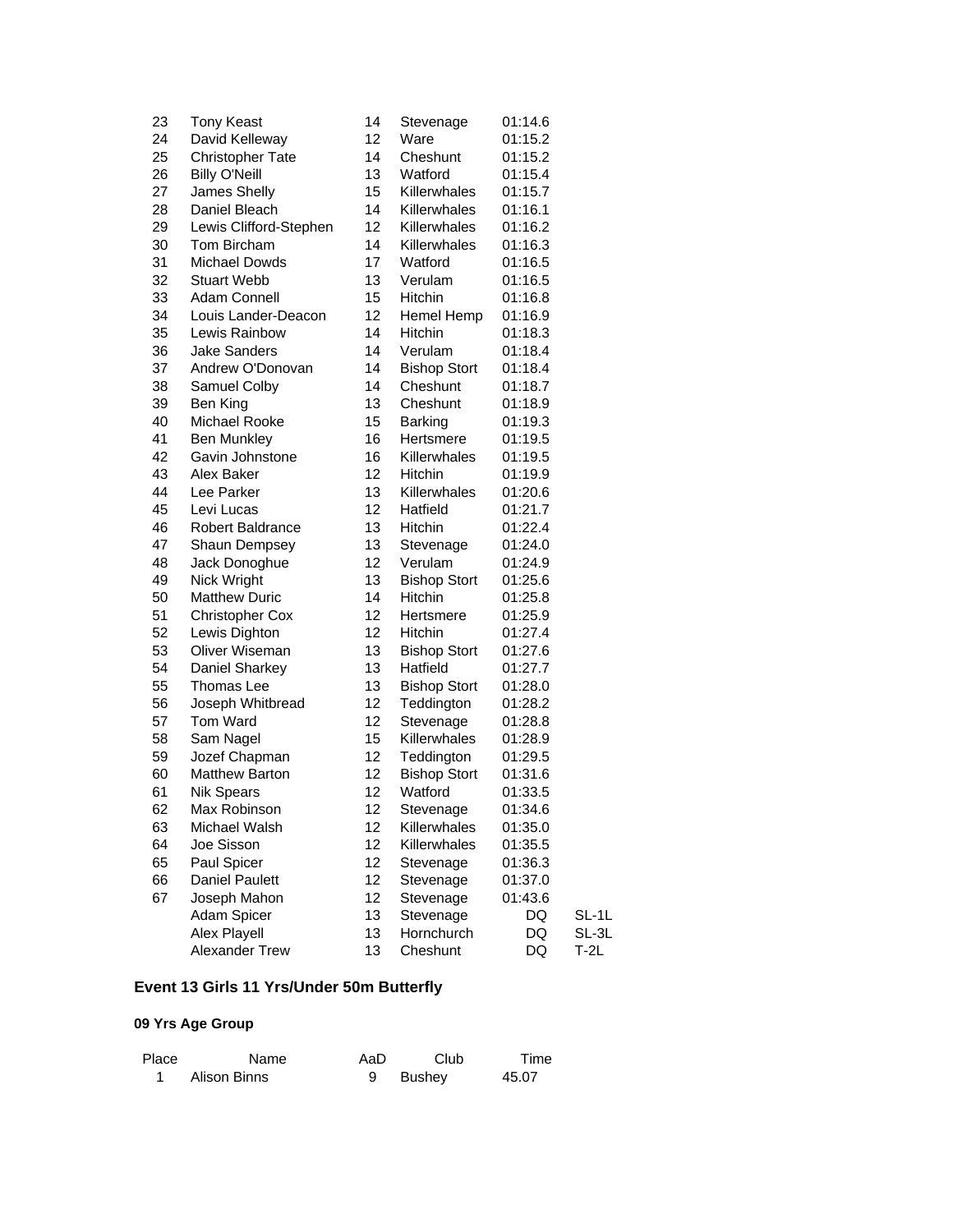| 23 | <b>Tony Keast</b>       | 14 | Stevenage           | 01:14.6 |       |
|----|-------------------------|----|---------------------|---------|-------|
| 24 | David Kelleway          | 12 | Ware                | 01:15.2 |       |
| 25 | <b>Christopher Tate</b> | 14 | Cheshunt            | 01:15.2 |       |
| 26 | <b>Billy O'Neill</b>    | 13 | Watford             | 01:15.4 |       |
| 27 | James Shelly            | 15 | Killerwhales        | 01:15.7 |       |
| 28 | Daniel Bleach           | 14 | Killerwhales        | 01:16.1 |       |
| 29 | Lewis Clifford-Stephen  | 12 | Killerwhales        | 01:16.2 |       |
| 30 | Tom Bircham             | 14 | Killerwhales        | 01:16.3 |       |
| 31 | <b>Michael Dowds</b>    | 17 | Watford             | 01:16.5 |       |
| 32 | <b>Stuart Webb</b>      | 13 | Verulam             | 01:16.5 |       |
| 33 | Adam Connell            | 15 | <b>Hitchin</b>      | 01:16.8 |       |
| 34 | Louis Lander-Deacon     | 12 | Hemel Hemp          | 01:16.9 |       |
| 35 | Lewis Rainbow           | 14 | Hitchin             | 01:18.3 |       |
| 36 | <b>Jake Sanders</b>     | 14 | Verulam             | 01:18.4 |       |
| 37 | Andrew O'Donovan        | 14 | <b>Bishop Stort</b> | 01:18.4 |       |
| 38 | Samuel Colby            | 14 | Cheshunt            | 01:18.7 |       |
| 39 | Ben King                | 13 | Cheshunt            | 01:18.9 |       |
| 40 | Michael Rooke           | 15 | <b>Barking</b>      | 01:19.3 |       |
| 41 | <b>Ben Munkley</b>      | 16 | Hertsmere           | 01:19.5 |       |
| 42 | Gavin Johnstone         | 16 | Killerwhales        | 01:19.5 |       |
| 43 | Alex Baker              | 12 | Hitchin             | 01:19.9 |       |
| 44 | Lee Parker              | 13 | Killerwhales        | 01:20.6 |       |
| 45 | Levi Lucas              | 12 | Hatfield            | 01:21.7 |       |
| 46 | <b>Robert Baldrance</b> | 13 | <b>Hitchin</b>      | 01:22.4 |       |
| 47 | Shaun Dempsey           | 13 | Stevenage           | 01:24.0 |       |
| 48 | Jack Donoghue           | 12 | Verulam             | 01:24.9 |       |
| 49 | Nick Wright             | 13 | <b>Bishop Stort</b> | 01:25.6 |       |
| 50 | <b>Matthew Duric</b>    | 14 | Hitchin             | 01:25.8 |       |
| 51 | <b>Christopher Cox</b>  | 12 | Hertsmere           | 01:25.9 |       |
| 52 | Lewis Dighton           | 12 | Hitchin             | 01:27.4 |       |
| 53 | Oliver Wiseman          | 13 | <b>Bishop Stort</b> | 01:27.6 |       |
| 54 | Daniel Sharkey          | 13 | Hatfield            | 01:27.7 |       |
| 55 | Thomas Lee              | 13 | <b>Bishop Stort</b> | 01:28.0 |       |
| 56 | Joseph Whitbread        | 12 | Teddington          | 01:28.2 |       |
| 57 | Tom Ward                | 12 | Stevenage           | 01:28.8 |       |
| 58 | Sam Nagel               | 15 | Killerwhales        | 01:28.9 |       |
| 59 | Jozef Chapman           | 12 | Teddington          | 01:29.5 |       |
| 60 | <b>Matthew Barton</b>   | 12 | <b>Bishop Stort</b> | 01:31.6 |       |
| 61 | <b>Nik Spears</b>       | 12 | Watford             | 01:33.5 |       |
| 62 | Max Robinson            | 12 | Stevenage           | 01:34.6 |       |
| 63 | Michael Walsh           | 12 | Killerwhales        | 01:35.0 |       |
| 64 | Joe Sisson              | 12 | Killerwhales        | 01:35.5 |       |
| 65 | Paul Spicer             | 12 | Stevenage           | 01:36.3 |       |
| 66 | <b>Daniel Paulett</b>   | 12 | Stevenage           | 01:37.0 |       |
| 67 | Joseph Mahon            | 12 | Stevenage           | 01:43.6 |       |
|    | Adam Spicer             | 13 | Stevenage           | DQ      | SL-1L |
|    | Alex Playell            | 13 | Hornchurch          | DQ      | SL-3L |
|    | Alexander Trew          | 13 | Cheshunt            | DQ      | T-2L  |
|    |                         |    |                     |         |       |

# **Event 13 Girls 11 Yrs/Under 50m Butterfly**

| Place | Name         | AaD | Club     | Time  |
|-------|--------------|-----|----------|-------|
|       | Alison Binns |     | 9 Bushey | 45.07 |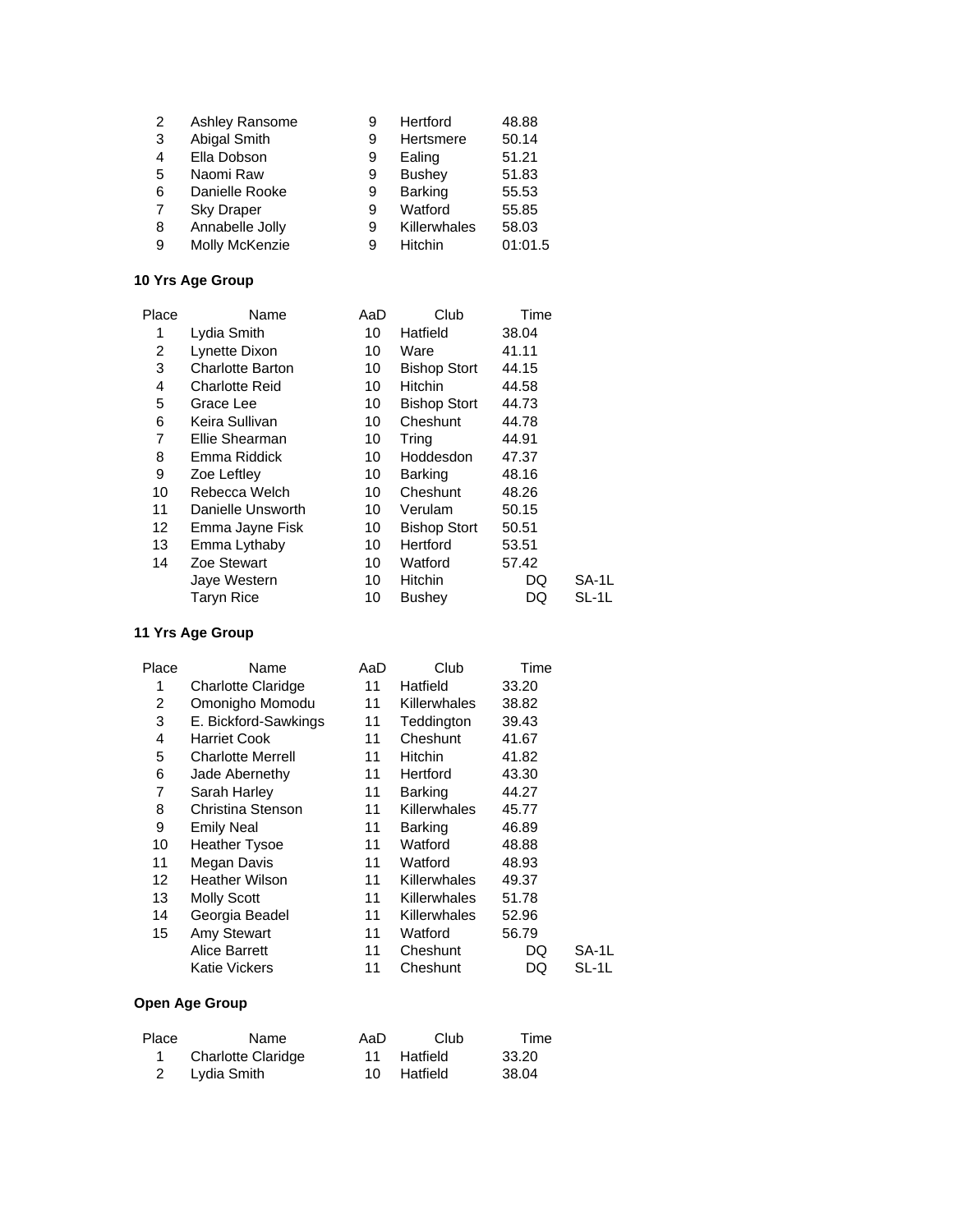| 2 | Ashley Ransome    | 9 | Hertford      | 48.88   |
|---|-------------------|---|---------------|---------|
| 3 | Abigal Smith      | 9 | Hertsmere     | 50.14   |
| 4 | Ella Dobson       | 9 | Ealing        | 51.21   |
| 5 | Naomi Raw         | 9 | <b>Bushey</b> | 51.83   |
| 6 | Danielle Rooke    | 9 | Barking       | 55.53   |
| 7 | <b>Sky Draper</b> | 9 | Watford       | 55.85   |
| 8 | Annabelle Jolly   | 9 | Killerwhales  | 58.03   |
| 9 | Molly McKenzie    | 9 | Hitchin       | 01:01.5 |

| Place | Name                    | AaD | Club                | Time  |       |
|-------|-------------------------|-----|---------------------|-------|-------|
| 1     | Lydia Smith             | 10  | Hatfield            | 38.04 |       |
| 2     | Lynette Dixon           | 10  | Ware                | 41.11 |       |
| 3     | <b>Charlotte Barton</b> | 10  | <b>Bishop Stort</b> | 44.15 |       |
| 4     | <b>Charlotte Reid</b>   | 10  | <b>Hitchin</b>      | 44.58 |       |
| 5     | Grace Lee               | 10  | <b>Bishop Stort</b> | 44.73 |       |
| 6     | Keira Sullivan          | 10  | Cheshunt            | 44.78 |       |
| 7     | Ellie Shearman          | 10  | Tring               | 44.91 |       |
| 8     | Emma Riddick            | 10  | Hoddesdon           | 47.37 |       |
| 9     | Zoe Leftley             | 10  | <b>Barking</b>      | 48.16 |       |
| 10    | Rebecca Welch           | 10  | Cheshunt            | 48.26 |       |
| 11    | Danielle Unsworth       | 10  | Verulam             | 50.15 |       |
| 12    | Emma Jayne Fisk         | 10  | <b>Bishop Stort</b> | 50.51 |       |
| 13    | Emma Lythaby            | 10  | Hertford            | 53.51 |       |
| 14    | Zoe Stewart             | 10  | Watford             | 57.42 |       |
|       | Jaye Western            | 10  | <b>Hitchin</b>      | DQ    | SA-1L |
|       | <b>Taryn Rice</b>       | 10  | <b>Bushey</b>       | DQ    | SL-1L |
|       |                         |     |                     |       |       |

### **11 Yrs Age Group**

| Place | Name                     | AaD | Club                | Time  |       |
|-------|--------------------------|-----|---------------------|-------|-------|
| 1     | Charlotte Claridge       | 11  | Hatfield            | 33.20 |       |
| 2     | Omonigho Momodu          | 11  | Killerwhales        | 38.82 |       |
| 3     | E. Bickford-Sawkings     | 11  | Teddington          | 39.43 |       |
| 4     | <b>Harriet Cook</b>      | 11  | Cheshunt            | 41.67 |       |
| 5     | <b>Charlotte Merrell</b> | 11  | <b>Hitchin</b>      | 41.82 |       |
| 6     | Jade Abernethy           | 11  | Hertford            | 43.30 |       |
| 7     | Sarah Harley             | 11  | <b>Barking</b>      | 44.27 |       |
| 8     | Christina Stenson        | 11  | Killerwhales        | 45.77 |       |
| 9     | <b>Emily Neal</b>        | 11  | <b>Barking</b>      | 46.89 |       |
| 10    | <b>Heather Tysoe</b>     | 11  | Watford             | 48.88 |       |
| 11    | Megan Davis              | 11  | Watford             | 48.93 |       |
| 12    | <b>Heather Wilson</b>    | 11  | Killerwhales        | 49.37 |       |
| 13    | <b>Molly Scott</b>       | 11  | <b>Killerwhales</b> | 51.78 |       |
| 14    | Georgia Beadel           | 11  | Killerwhales        | 52.96 |       |
| 15    | <b>Amy Stewart</b>       | 11  | Watford             | 56.79 |       |
|       | Alice Barrett            | 11  | Cheshunt            | DQ    | SA-1L |
|       | <b>Katie Vickers</b>     | 11  | Cheshunt            | DQ    | SL-1L |

| Place | Name                      | AaD | Club        | Time  |
|-------|---------------------------|-----|-------------|-------|
|       | <b>Charlotte Claridge</b> |     | 11 Hatfield | 33.20 |
|       | 2 Lydia Smith             |     | 10 Hatfield | 38.04 |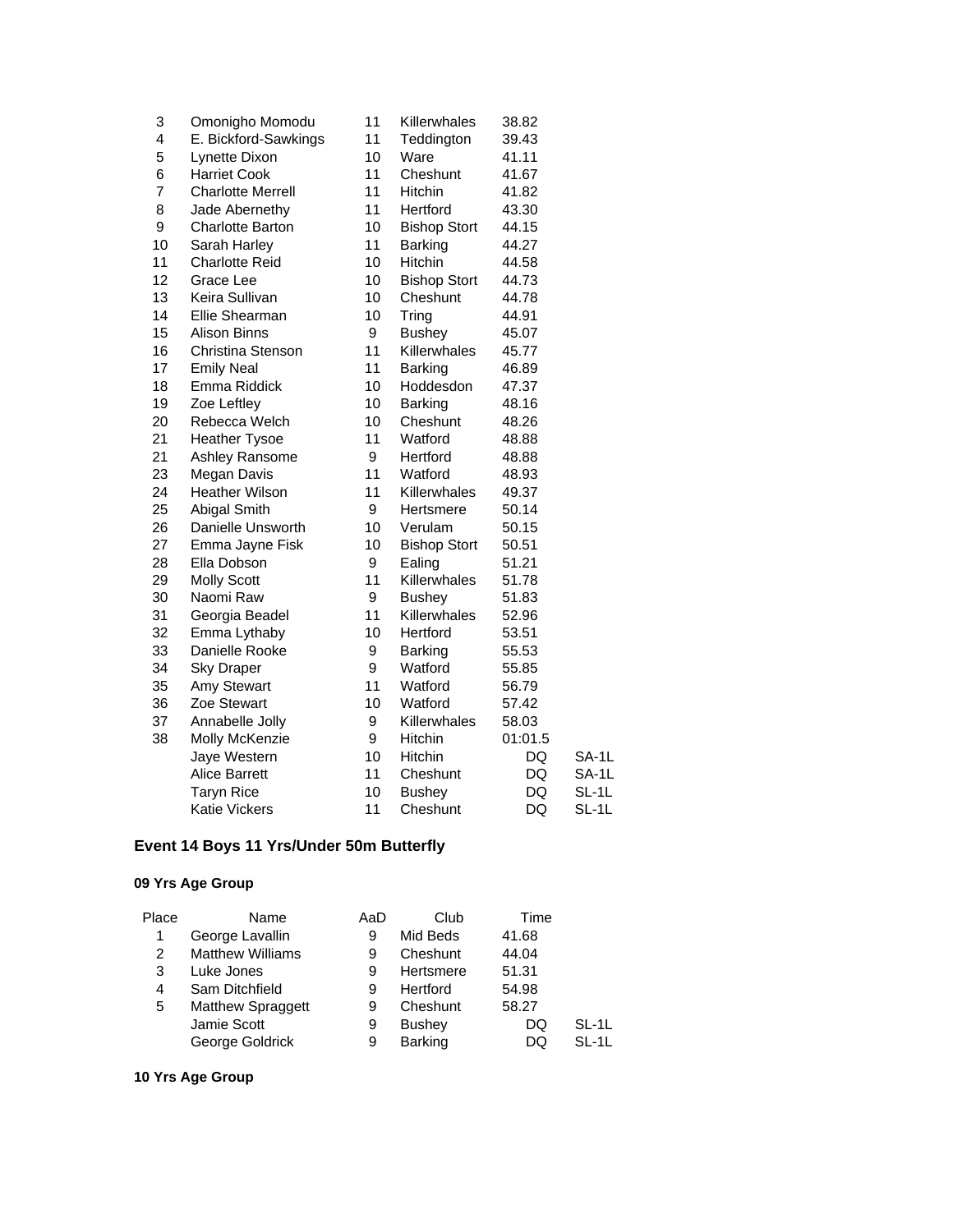| 3  | Omonigho Momodu          | 11 | Killerwhales        | 38.82   |       |
|----|--------------------------|----|---------------------|---------|-------|
| 4  | E. Bickford-Sawkings     | 11 | Teddington          | 39.43   |       |
| 5  | Lynette Dixon            | 10 | Ware                | 41.11   |       |
| 6  | <b>Harriet Cook</b>      | 11 | Cheshunt            | 41.67   |       |
| 7  | <b>Charlotte Merrell</b> | 11 | Hitchin             | 41.82   |       |
| 8  | Jade Abernethy           | 11 | Hertford            | 43.30   |       |
| 9  | Charlotte Barton         | 10 | <b>Bishop Stort</b> | 44.15   |       |
| 10 | Sarah Harley             | 11 | Barking             | 44.27   |       |
| 11 | <b>Charlotte Reid</b>    | 10 | Hitchin             | 44.58   |       |
| 12 | Grace Lee                | 10 | <b>Bishop Stort</b> | 44.73   |       |
| 13 | Keira Sullivan           | 10 | Cheshunt            | 44.78   |       |
| 14 | Ellie Shearman           | 10 | Tring               | 44.91   |       |
| 15 | <b>Alison Binns</b>      | 9  | <b>Bushey</b>       | 45.07   |       |
| 16 | Christina Stenson        | 11 | Killerwhales        | 45.77   |       |
| 17 | <b>Emily Neal</b>        | 11 | <b>Barking</b>      | 46.89   |       |
| 18 | Emma Riddick             | 10 | Hoddesdon           | 47.37   |       |
| 19 | Zoe Leftley              | 10 | Barking             | 48.16   |       |
| 20 | Rebecca Welch            | 10 | Cheshunt            | 48.26   |       |
| 21 | <b>Heather Tysoe</b>     | 11 | Watford             | 48.88   |       |
| 21 | Ashley Ransome           | 9  | Hertford            | 48.88   |       |
| 23 | Megan Davis              | 11 | Watford             | 48.93   |       |
| 24 | <b>Heather Wilson</b>    | 11 | Killerwhales        | 49.37   |       |
| 25 | Abigal Smith             | 9  | Hertsmere           | 50.14   |       |
| 26 | Danielle Unsworth        | 10 | Verulam             | 50.15   |       |
| 27 | Emma Jayne Fisk          | 10 | <b>Bishop Stort</b> | 50.51   |       |
| 28 | Ella Dobson              | 9  | Ealing              | 51.21   |       |
| 29 | <b>Molly Scott</b>       | 11 | Killerwhales        | 51.78   |       |
| 30 | Naomi Raw                | 9  | <b>Bushey</b>       | 51.83   |       |
| 31 | Georgia Beadel           | 11 | Killerwhales        | 52.96   |       |
| 32 | Emma Lythaby             | 10 | Hertford            | 53.51   |       |
| 33 | Danielle Rooke           | 9  | Barking             | 55.53   |       |
| 34 | <b>Sky Draper</b>        | 9  | Watford             | 55.85   |       |
| 35 | <b>Amy Stewart</b>       | 11 | Watford             | 56.79   |       |
| 36 | Zoe Stewart              | 10 | Watford             | 57.42   |       |
| 37 | Annabelle Jolly          | 9  | Killerwhales        | 58.03   |       |
| 38 | Molly McKenzie           | 9  | Hitchin             | 01:01.5 |       |
|    | Jaye Western             | 10 | Hitchin             | DQ      | SA-1L |
|    | <b>Alice Barrett</b>     | 11 | Cheshunt            | DQ      | SA-1L |
|    | <b>Taryn Rice</b>        | 10 | <b>Bushey</b>       | DQ      | SL-1L |
|    | <b>Katie Vickers</b>     | 11 | Cheshunt            | DQ      | SL-1L |

## **Event 14 Boys 11 Yrs/Under 50m Butterfly**

## **09 Yrs Age Group**

| Place | Name                    | AaD | Club          | Time  |         |
|-------|-------------------------|-----|---------------|-------|---------|
| 1     | George Lavallin         | 9   | Mid Beds      | 41.68 |         |
| 2     | <b>Matthew Williams</b> | 9   | Cheshunt      | 44.04 |         |
| 3     | Luke Jones              | 9   | Hertsmere     | 51.31 |         |
| 4     | Sam Ditchfield          | 9   | Hertford      | 54.98 |         |
| 5     | Matthew Spraggett       | 9   | Cheshunt      | 58.27 |         |
|       | Jamie Scott             | 9   | <b>Bushey</b> | DQ    | $SL-11$ |
|       | George Goldrick         | 9   | Barking       | DQ    | $SL-11$ |
|       |                         |     |               |       |         |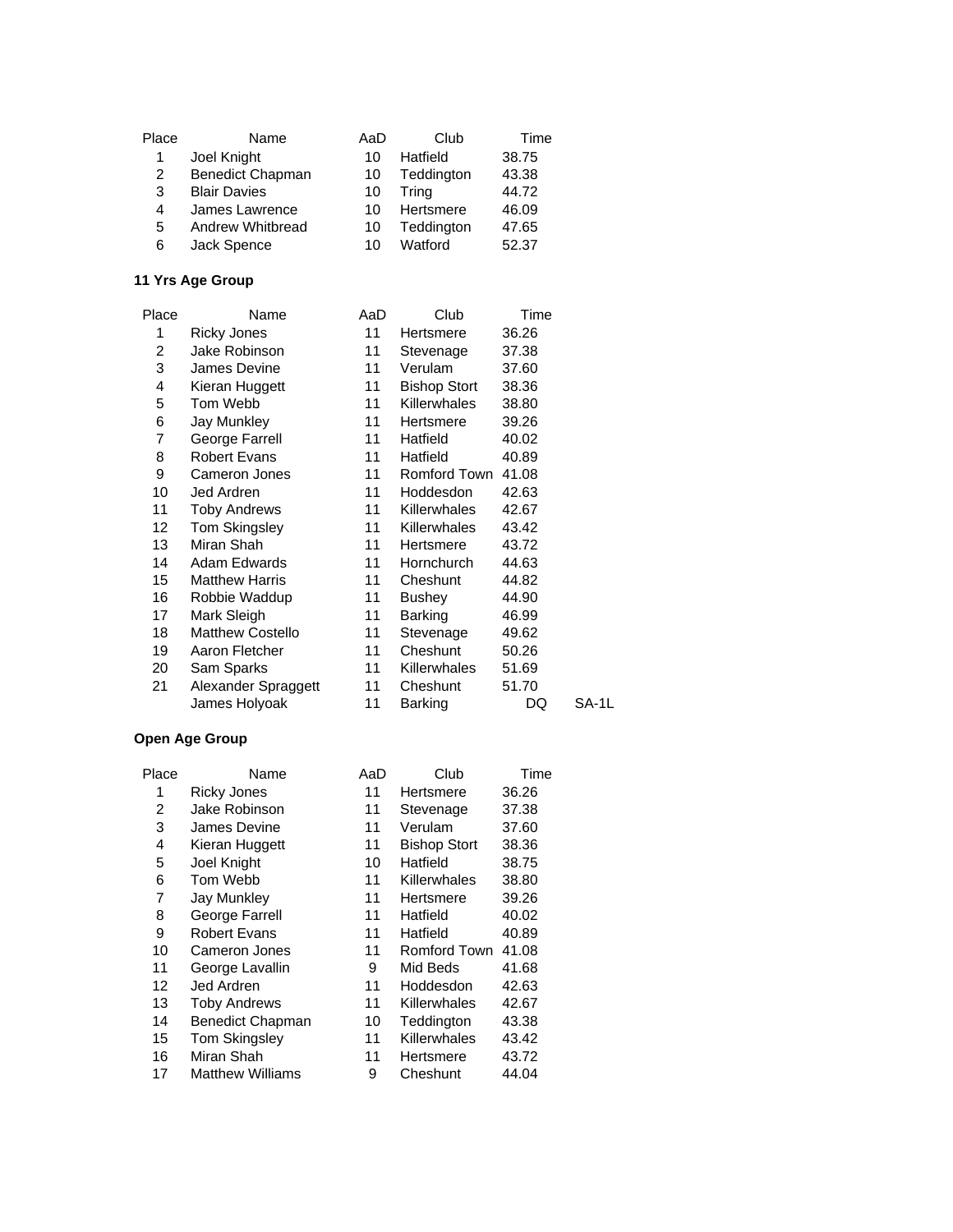| Place | Name                | AaD | Club       | Time  |
|-------|---------------------|-----|------------|-------|
| 1     | Joel Knight         | 10  | Hatfield   | 38.75 |
| 2     | Benedict Chapman    | 10  | Teddington | 43.38 |
| 3     | <b>Blair Davies</b> | 10  | Tring      | 44.72 |
| 4     | James Lawrence      | 10  | Hertsmere  | 46.09 |
| 5     | Andrew Whitbread    | 10  | Teddington | 47.65 |
| 6     | Jack Spence         | 10  | Watford    | 52.37 |

| Place | Name                    | AaD | Club                | Time  |       |
|-------|-------------------------|-----|---------------------|-------|-------|
| 1     | <b>Ricky Jones</b>      | 11  | Hertsmere           | 36.26 |       |
| 2     | Jake Robinson           | 11  | Stevenage           | 37.38 |       |
| 3     | James Devine            | 11  | Verulam             | 37.60 |       |
| 4     | Kieran Huggett          | 11  | <b>Bishop Stort</b> | 38.36 |       |
| 5     | Tom Webb                | 11  | Killerwhales        | 38.80 |       |
| 6     | Jay Munkley             | 11  | Hertsmere           | 39.26 |       |
| 7     | George Farrell          | 11  | Hatfield            | 40.02 |       |
| 8     | <b>Robert Evans</b>     | 11  | Hatfield            | 40.89 |       |
| 9     | Cameron Jones           | 11  | Romford Town        | 41.08 |       |
| 10    | Jed Ardren              | 11  | Hoddesdon           | 42.63 |       |
| 11    | <b>Toby Andrews</b>     | 11  | Killerwhales        | 42.67 |       |
| 12    | Tom Skingsley           | 11  | Killerwhales        | 43.42 |       |
| 13    | Miran Shah              | 11  | Hertsmere           | 43.72 |       |
| 14    | Adam Edwards            | 11  | Hornchurch          | 44.63 |       |
| 15    | <b>Matthew Harris</b>   | 11  | Cheshunt            | 44.82 |       |
| 16    | Robbie Waddup           | 11  | Bushey              | 44.90 |       |
| 17    | Mark Sleigh             | 11  | Barking             | 46.99 |       |
| 18    | <b>Matthew Costello</b> | 11  | Stevenage           | 49.62 |       |
| 19    | Aaron Fletcher          | 11  | Cheshunt            | 50.26 |       |
| 20    | Sam Sparks              | 11  | Killerwhales        | 51.69 |       |
| 21    | Alexander Spraggett     | 11  | Cheshunt            | 51.70 |       |
|       | James Holyoak           | 11  | Barking             | DQ    | SA-1L |
|       |                         |     |                     |       |       |

| Place | Name                    | AaD | Club                | Time  |
|-------|-------------------------|-----|---------------------|-------|
| 1     | <b>Ricky Jones</b>      | 11  | Hertsmere           | 36.26 |
| 2     | Jake Robinson           | 11  | Stevenage           | 37.38 |
| 3     | James Devine            | 11  | Verulam             | 37.60 |
| 4     | Kieran Huggett          | 11  | <b>Bishop Stort</b> | 38.36 |
| 5     | Joel Knight             | 10  | Hatfield            | 38.75 |
| 6     | Tom Webb                | 11  | Killerwhales        | 38.80 |
| 7     | <b>Jay Munkley</b>      | 11  | Hertsmere           | 39.26 |
| 8     | George Farrell          | 11  | Hatfield            | 40.02 |
| 9     | <b>Robert Evans</b>     | 11  | Hatfield            | 40.89 |
| 10    | Cameron Jones           | 11  | Romford Town        | 41.08 |
| 11    | George Lavallin         | 9   | Mid Beds            | 41.68 |
| 12    | Jed Ardren              | 11  | Hoddesdon           | 42.63 |
| 13    | <b>Toby Andrews</b>     | 11  | Killerwhales        | 42.67 |
| 14    | Benedict Chapman        | 10  | Teddington          | 43.38 |
| 15    | <b>Tom Skingsley</b>    | 11  | Killerwhales        | 43.42 |
| 16    | Miran Shah              | 11  | Hertsmere           | 43.72 |
| 17    | <b>Matthew Williams</b> | 9   | Cheshunt            | 44.04 |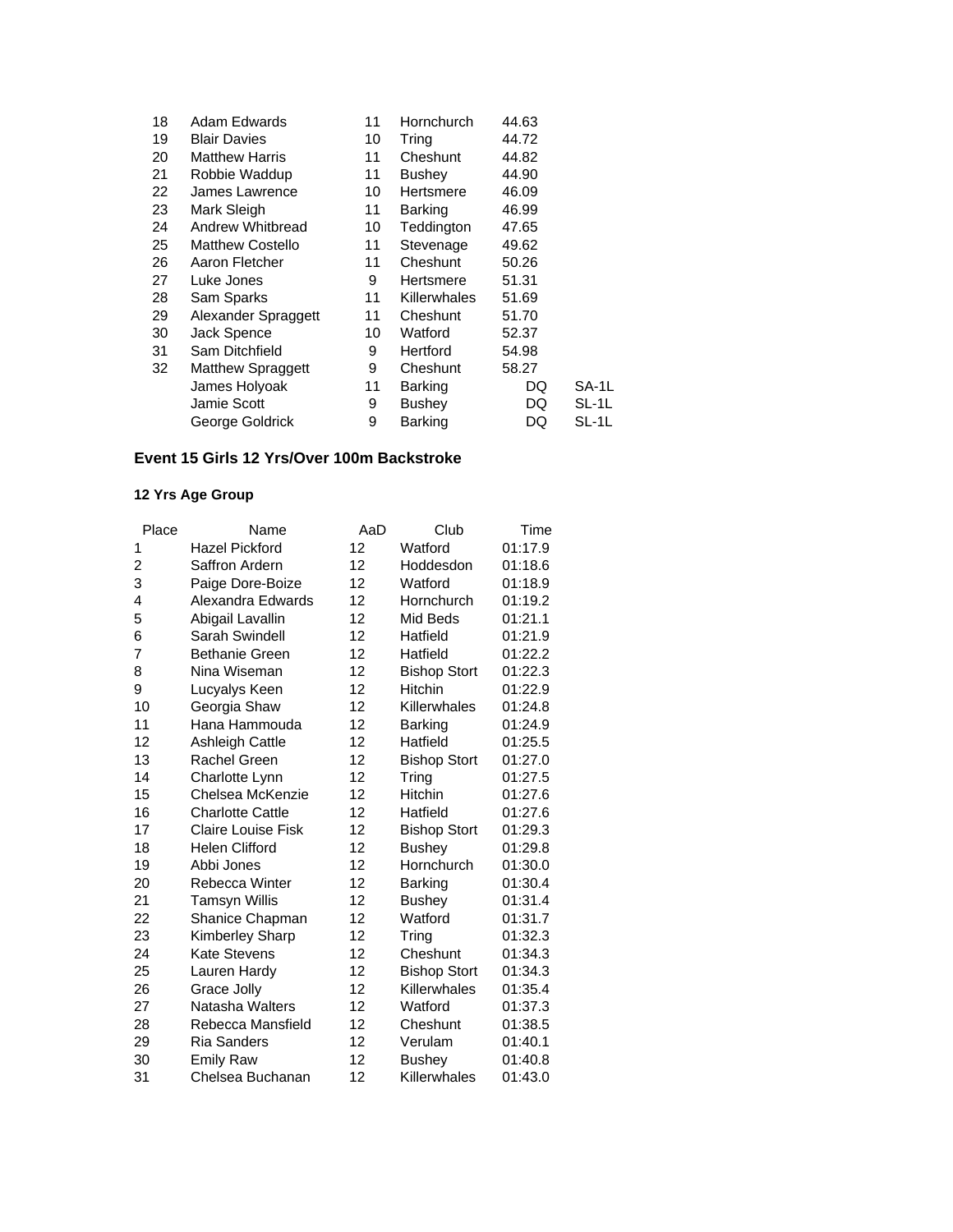| 18 | Adam Edwards             | 11 | Hornchurch          | 44.63 |       |
|----|--------------------------|----|---------------------|-------|-------|
| 19 | <b>Blair Davies</b>      | 10 | Tring               | 44.72 |       |
| 20 | <b>Matthew Harris</b>    | 11 | Cheshunt            | 44.82 |       |
| 21 | Robbie Waddup            | 11 | <b>Bushey</b>       | 44.90 |       |
| 22 | James Lawrence           | 10 | Hertsmere           | 46.09 |       |
| 23 | Mark Sleigh              | 11 | <b>Barking</b>      | 46.99 |       |
| 24 | Andrew Whitbread         | 10 | Teddington          | 47.65 |       |
| 25 | <b>Matthew Costello</b>  | 11 | Stevenage           | 49.62 |       |
| 26 | Aaron Fletcher           | 11 | Cheshunt            | 50.26 |       |
| 27 | Luke Jones               | 9  | Hertsmere           | 51.31 |       |
| 28 | Sam Sparks               | 11 | <b>Killerwhales</b> | 51.69 |       |
| 29 | Alexander Spraggett      | 11 | Cheshunt            | 51.70 |       |
| 30 | Jack Spence              | 10 | Watford             | 52.37 |       |
| 31 | Sam Ditchfield           | 9  | Hertford            | 54.98 |       |
| 32 | <b>Matthew Spraggett</b> | 9  | Cheshunt            | 58.27 |       |
|    | James Holyoak            | 11 | Barking             | DQ    | SA-1L |
|    | Jamie Scott              | 9  | <b>Bushey</b>       | DQ    | SL-1L |
|    | George Goldrick          | 9  | Barking             | DQ    | SL-1L |

### **Event 15 Girls 12 Yrs/Over 100m Backstroke**

| Place | Name                    | AaD | Club                | Time    |
|-------|-------------------------|-----|---------------------|---------|
| 1     | <b>Hazel Pickford</b>   | 12  | Watford             | 01:17.9 |
| 2     | Saffron Ardern          | 12  | Hoddesdon           | 01:18.6 |
| 3     | Paige Dore-Boize        | 12  | Watford             | 01:18.9 |
| 4     | Alexandra Edwards       | 12  | Hornchurch          | 01:19.2 |
| 5     | Abigail Lavallin        | 12  | Mid Beds            | 01:21.1 |
| 6     | Sarah Swindell          | 12  | Hatfield            | 01:21.9 |
| 7     | <b>Bethanie Green</b>   | 12  | Hatfield            | 01:22.2 |
| 8     | Nina Wiseman            | 12  | <b>Bishop Stort</b> | 01:22.3 |
| 9     | Lucyalys Keen           | 12  | Hitchin             | 01:22.9 |
| 10    | Georgia Shaw            | 12  | Killerwhales        | 01:24.8 |
| 11    | Hana Hammouda           | 12  | <b>Barking</b>      | 01:24.9 |
| 12    | Ashleigh Cattle         | 12  | Hatfield            | 01:25.5 |
| 13    | Rachel Green            | 12  | <b>Bishop Stort</b> | 01:27.0 |
| 14    | Charlotte Lynn          | 12  | Tring               | 01:27.5 |
| 15    | Chelsea McKenzie        | 12  | Hitchin             | 01:27.6 |
| 16    | <b>Charlotte Cattle</b> | 12  | Hatfield            | 01:27.6 |
| 17    | Claire Louise Fisk      | 12  | <b>Bishop Stort</b> | 01:29.3 |
| 18    | Helen Clifford          | 12  | <b>Bushey</b>       | 01:29.8 |
| 19    | Abbi Jones              | 12  | Hornchurch          | 01:30.0 |
| 20    | Rebecca Winter          | 12  | <b>Barking</b>      | 01:30.4 |
| 21    | <b>Tamsyn Willis</b>    | 12  | <b>Bushey</b>       | 01:31.4 |
| 22    | Shanice Chapman         | 12  | Watford             | 01:31.7 |
| 23    | Kimberley Sharp         | 12  | Tring               | 01:32.3 |
| 24    | Kate Stevens            | 12  | Cheshunt            | 01:34.3 |
| 25    | Lauren Hardy            | 12  | <b>Bishop Stort</b> | 01:34.3 |
| 26    | Grace Jolly             | 12  | Killerwhales        | 01:35.4 |
| 27    | Natasha Walters         | 12  | Watford             | 01:37.3 |
| 28    | Rebecca Mansfield       | 12  | Cheshunt            | 01:38.5 |
| 29    | <b>Ria Sanders</b>      | 12  | Verulam             | 01:40.1 |
| 30    | <b>Emily Raw</b>        | 12  | <b>Bushey</b>       | 01:40.8 |
| 31    | Chelsea Buchanan        | 12  | Killerwhales        | 01:43.0 |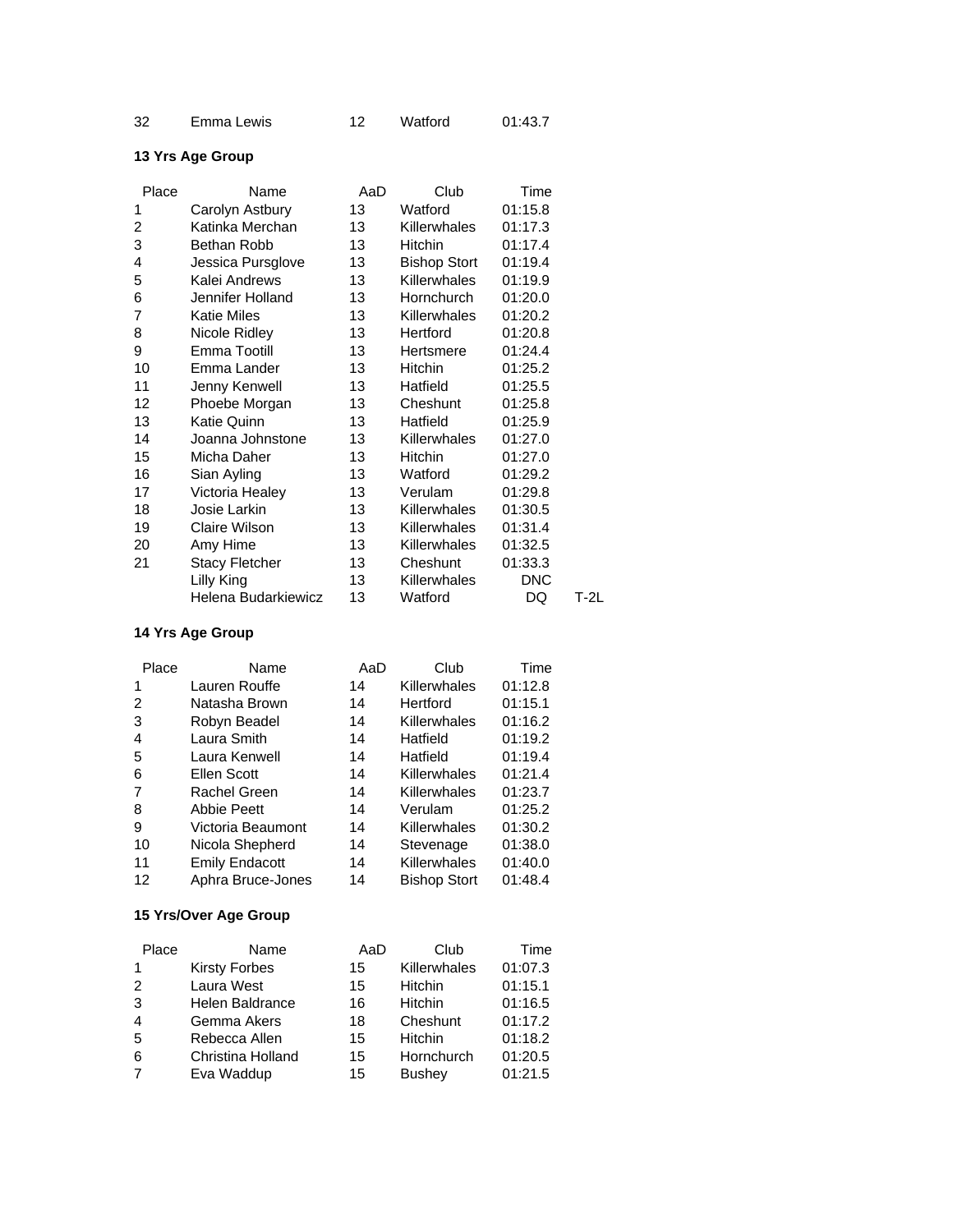| 32<br>Emma Lewis |  | Watford | 01:43.7 |
|------------------|--|---------|---------|
|------------------|--|---------|---------|

| Place | Name                  | AaD | Club                | Time       |      |
|-------|-----------------------|-----|---------------------|------------|------|
| 1     | Carolyn Astbury       | 13  | Watford             | 01:15.8    |      |
| 2     | Katinka Merchan       | 13  | <b>Killerwhales</b> | 01:17.3    |      |
| 3     | Bethan Robb           | 13  | <b>Hitchin</b>      | 01:17.4    |      |
| 4     | Jessica Pursglove     | 13  | <b>Bishop Stort</b> | 01:19.4    |      |
| 5     | Kalei Andrews         | 13  | Killerwhales        | 01:19.9    |      |
| 6     | Jennifer Holland      | 13  | Hornchurch          | 01:20.0    |      |
| 7     | <b>Katie Miles</b>    | 13  | <b>Killerwhales</b> | 01:20.2    |      |
| 8     | Nicole Ridley         | 13  | Hertford            | 01:20.8    |      |
| 9     | Emma Tootill          | 13  | Hertsmere           | 01:24.4    |      |
| 10    | Emma Lander           | 13  | Hitchin             | 01:25.2    |      |
| 11    | Jenny Kenwell         | 13  | Hatfield            | 01:25.5    |      |
| 12    | Phoebe Morgan         | 13  | Cheshunt            | 01:25.8    |      |
| 13    | Katie Quinn           | 13  | Hatfield            | 01:25.9    |      |
| 14    | Joanna Johnstone      | 13  | Killerwhales        | 01:27.0    |      |
| 15    | Micha Daher           | 13  | Hitchin             | 01:27.0    |      |
| 16    | Sian Ayling           | 13  | Watford             | 01:29.2    |      |
| 17    | Victoria Healey       | 13  | Verulam             | 01:29.8    |      |
| 18    | Josie Larkin          | 13  | Killerwhales        | 01:30.5    |      |
| 19    | Claire Wilson         | 13  | Killerwhales        | 01:31.4    |      |
| 20    | Amy Hime              | 13  | Killerwhales        | 01:32.5    |      |
| 21    | <b>Stacy Fletcher</b> | 13  | Cheshunt            | 01:33.3    |      |
|       | Lilly King            | 13  | <b>Killerwhales</b> | <b>DNC</b> |      |
|       | Helena Budarkiewicz   | 13  | Watford             | DQ         | T-2L |

#### **14 Yrs Age Group**

| Place          | Name                  | AaD | Club                | Time    |
|----------------|-----------------------|-----|---------------------|---------|
| 1              | Lauren Rouffe         | 14  | Killerwhales        | 01:12.8 |
| 2              | Natasha Brown         | 14  | Hertford            | 01:15.1 |
| 3              | Robyn Beadel          | 14  | Killerwhales        | 01:16.2 |
| $\overline{4}$ | Laura Smith           | 14  | Hatfield            | 01:19.2 |
| 5              | Laura Kenwell         | 14  | Hatfield            | 01:19.4 |
| 6              | Ellen Scott           | 14  | Killerwhales        | 01:21.4 |
| 7              | Rachel Green          | 14  | Killerwhales        | 01:23.7 |
| 8              | <b>Abbie Peett</b>    | 14  | Verulam             | 01:25.2 |
| 9              | Victoria Beaumont     | 14  | Killerwhales        | 01:30.2 |
| 10             | Nicola Shepherd       | 14  | Stevenage           | 01:38.0 |
| 11             | <b>Emily Endacott</b> | 14  | Killerwhales        | 01:40.0 |
| 12             | Aphra Bruce-Jones     | 14  | <b>Bishop Stort</b> | 01:48.4 |

#### **15 Yrs/Over Age Group**

| Place          | Name                 | AaD | Club           | Time    |
|----------------|----------------------|-----|----------------|---------|
| 1              | <b>Kirsty Forbes</b> | 15  | Killerwhales   | 01:07.3 |
| 2              | Laura West           | 15  | <b>Hitchin</b> | 01:15.1 |
| 3              | Helen Baldrance      | 16  | <b>Hitchin</b> | 01:16.5 |
| $\overline{4}$ | Gemma Akers          | 18  | Cheshunt       | 01:17.2 |
| 5              | Rebecca Allen        | 15  | <b>Hitchin</b> | 01:18.2 |
| 6              | Christina Holland    | 15  | Hornchurch     | 01:20.5 |
| 7              | Eva Waddup           | 15  | <b>Bushey</b>  | 01:21.5 |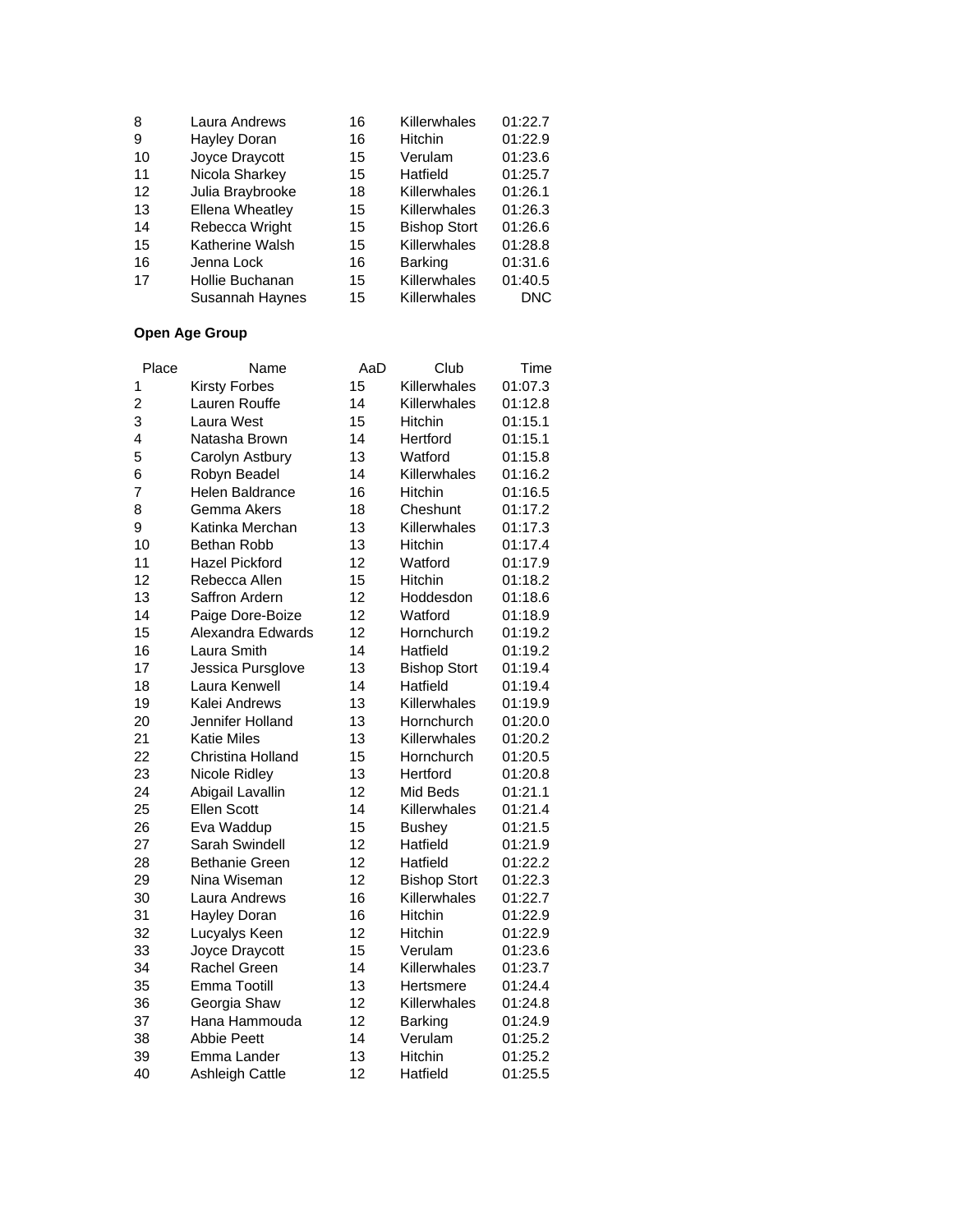| 8  | Laura Andrews    | 16 | Killerwhales        | 01:22.7    |
|----|------------------|----|---------------------|------------|
| 9  | Hayley Doran     | 16 | Hitchin             | 01:22.9    |
| 10 | Joyce Draycott   | 15 | Verulam             | 01:23.6    |
| 11 | Nicola Sharkey   | 15 | Hatfield            | 01:25.7    |
| 12 | Julia Braybrooke | 18 | Killerwhales        | 01:26.1    |
| 13 | Ellena Wheatley  | 15 | Killerwhales        | 01:26.3    |
| 14 | Rebecca Wright   | 15 | <b>Bishop Stort</b> | 01:26.6    |
| 15 | Katherine Walsh  | 15 | Killerwhales        | 01:28.8    |
| 16 | Jenna Lock       | 16 | <b>Barking</b>      | 01:31.6    |
| 17 | Hollie Buchanan  | 15 | Killerwhales        | 01:40.5    |
|    | Susannah Haynes  | 15 | Killerwhales        | <b>DNC</b> |

| Place          | Name                   | AaD | Club                | Time    |
|----------------|------------------------|-----|---------------------|---------|
| 1              | <b>Kirsty Forbes</b>   | 15  | Killerwhales        | 01:07.3 |
| $\overline{c}$ | Lauren Rouffe          | 14  | Killerwhales        | 01:12.8 |
| 3              | Laura West             | 15  | Hitchin             | 01:15.1 |
| 4              | Natasha Brown          | 14  | Hertford            | 01:15.1 |
| 5              | Carolyn Astbury        | 13  | Watford             | 01:15.8 |
| 6              | Robyn Beadel           | 14  | Killerwhales        | 01:16.2 |
| 7              | <b>Helen Baldrance</b> | 16  | <b>Hitchin</b>      | 01:16.5 |
| 8              | Gemma Akers            | 18  | Cheshunt            | 01:17.2 |
| 9              | Katinka Merchan        | 13  | Killerwhales        | 01:17.3 |
| 10             | Bethan Robb            | 13  | Hitchin             | 01:17.4 |
| 11             | <b>Hazel Pickford</b>  | 12  | Watford             | 01:17.9 |
| 12             | Rebecca Allen          | 15  | Hitchin             | 01:18.2 |
| 13             | Saffron Ardern         | 12  | Hoddesdon           | 01:18.6 |
| 14             | Paige Dore-Boize       | 12  | Watford             | 01:18.9 |
| 15             | Alexandra Edwards      | 12  | Hornchurch          | 01:19.2 |
| 16             | Laura Smith            | 14  | Hatfield            | 01:19.2 |
| 17             | Jessica Pursglove      | 13  | <b>Bishop Stort</b> | 01:19.4 |
| 18             | Laura Kenwell          | 14  | Hatfield            | 01:19.4 |
| 19             | Kalei Andrews          | 13  | Killerwhales        | 01:19.9 |
| 20             | Jennifer Holland       | 13  | Hornchurch          | 01:20.0 |
| 21             | <b>Katie Miles</b>     | 13  | Killerwhales        | 01:20.2 |
| 22             | Christina Holland      | 15  | Hornchurch          | 01:20.5 |
| 23             | Nicole Ridley          | 13  | Hertford            | 01:20.8 |
| 24             | Abigail Lavallin       | 12  | Mid Beds            | 01:21.1 |
| 25             | <b>Ellen Scott</b>     | 14  | Killerwhales        | 01:21.4 |
| 26             | Eva Waddup             | 15  | <b>Bushey</b>       | 01:21.5 |
| 27             | Sarah Swindell         | 12  | Hatfield            | 01:21.9 |
| 28             | <b>Bethanie Green</b>  | 12  | Hatfield            | 01:22.2 |
| 29             | Nina Wiseman           | 12  | <b>Bishop Stort</b> | 01:22.3 |
| 30             | Laura Andrews          | 16  | Killerwhales        | 01:22.7 |
| 31             | Hayley Doran           | 16  | Hitchin             | 01:22.9 |
| 32             | Lucyalys Keen          | 12  | Hitchin             | 01:22.9 |
| 33             | Joyce Draycott         | 15  | Verulam             | 01:23.6 |
| 34             | Rachel Green           | 14  | Killerwhales        | 01:23.7 |
| 35             | Emma Tootill           | 13  | Hertsmere           | 01:24.4 |
| 36             | Georgia Shaw           | 12  | Killerwhales        | 01:24.8 |
| 37             | Hana Hammouda          | 12  | <b>Barking</b>      | 01:24.9 |
| 38             | <b>Abbie Peett</b>     | 14  | Verulam             | 01:25.2 |
| 39             | Emma Lander            | 13  | Hitchin             | 01:25.2 |
| 40             | Ashleigh Cattle        | 12  | Hatfield            | 01:25.5 |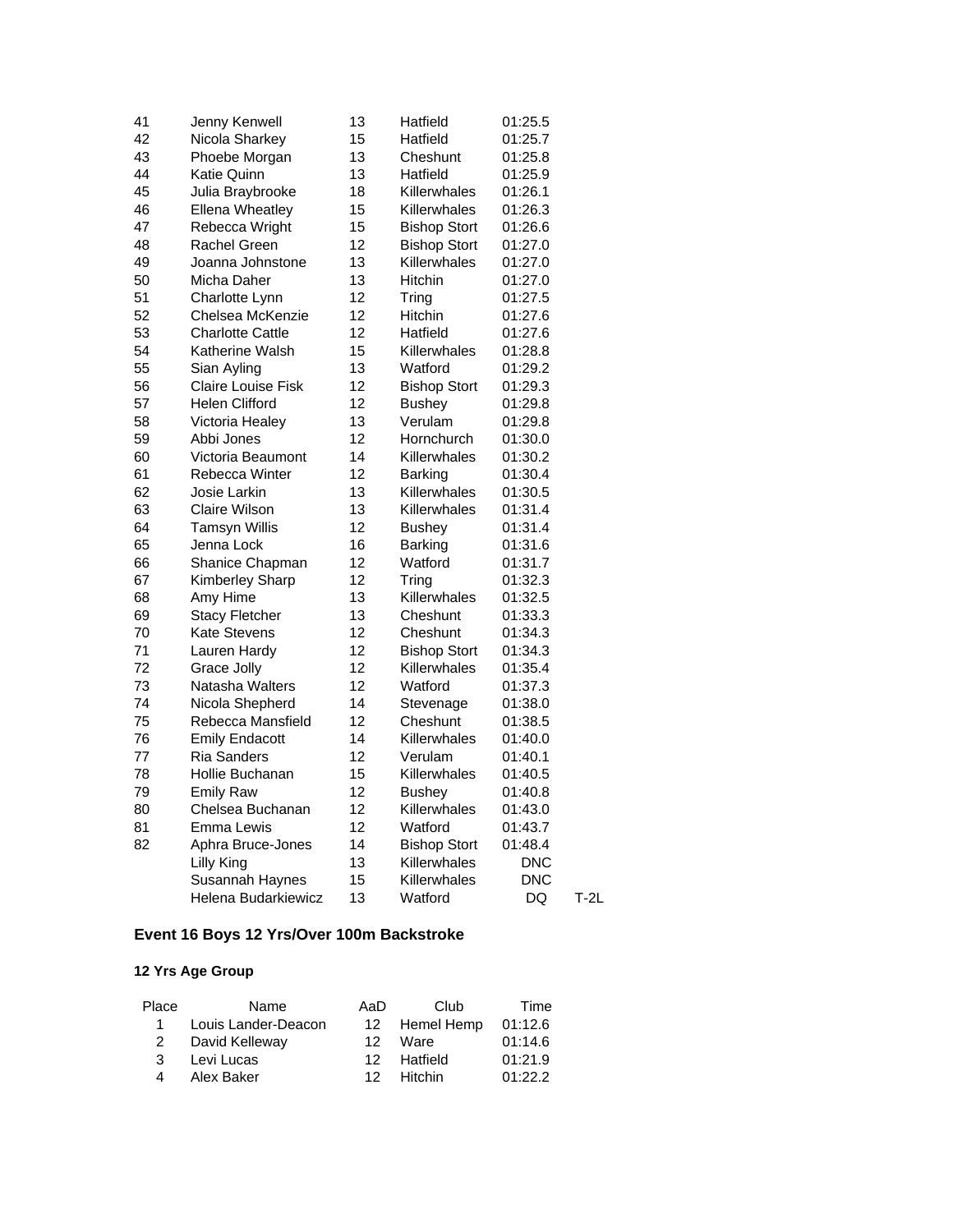| 41 | Jenny Kenwell             | 13 | Hatfield            | 01:25.5    |        |
|----|---------------------------|----|---------------------|------------|--------|
| 42 | Nicola Sharkey            | 15 | Hatfield            | 01:25.7    |        |
| 43 | Phoebe Morgan             | 13 | Cheshunt            | 01:25.8    |        |
| 44 | Katie Quinn               | 13 | Hatfield            | 01:25.9    |        |
| 45 | Julia Braybrooke          | 18 | Killerwhales        | 01:26.1    |        |
| 46 | <b>Ellena Wheatley</b>    | 15 | Killerwhales        | 01:26.3    |        |
| 47 | Rebecca Wright            | 15 | <b>Bishop Stort</b> | 01:26.6    |        |
| 48 | Rachel Green              | 12 | <b>Bishop Stort</b> | 01:27.0    |        |
| 49 | Joanna Johnstone          | 13 | Killerwhales        | 01:27.0    |        |
| 50 | Micha Daher               | 13 | <b>Hitchin</b>      | 01:27.0    |        |
| 51 | Charlotte Lynn            | 12 | Tring               | 01:27.5    |        |
| 52 | Chelsea McKenzie          | 12 | Hitchin             | 01:27.6    |        |
| 53 | <b>Charlotte Cattle</b>   | 12 | Hatfield            | 01:27.6    |        |
| 54 | Katherine Walsh           | 15 | Killerwhales        | 01:28.8    |        |
| 55 | Sian Ayling               | 13 | Watford             | 01:29.2    |        |
| 56 | <b>Claire Louise Fisk</b> | 12 | <b>Bishop Stort</b> | 01:29.3    |        |
| 57 | Helen Clifford            | 12 | Bushey              | 01:29.8    |        |
| 58 | Victoria Healey           | 13 | Verulam             | 01:29.8    |        |
| 59 | Abbi Jones                | 12 | Hornchurch          | 01:30.0    |        |
| 60 | Victoria Beaumont         | 14 | Killerwhales        | 01:30.2    |        |
| 61 | Rebecca Winter            | 12 | <b>Barking</b>      | 01:30.4    |        |
| 62 | Josie Larkin              | 13 | Killerwhales        | 01:30.5    |        |
| 63 | Claire Wilson             | 13 | Killerwhales        | 01:31.4    |        |
| 64 | <b>Tamsyn Willis</b>      | 12 | <b>Bushey</b>       | 01:31.4    |        |
| 65 | Jenna Lock                | 16 | <b>Barking</b>      | 01:31.6    |        |
| 66 | Shanice Chapman           | 12 | Watford             | 01:31.7    |        |
| 67 | Kimberley Sharp           | 12 | Tring               | 01:32.3    |        |
| 68 | Amy Hime                  | 13 | Killerwhales        | 01:32.5    |        |
| 69 | <b>Stacy Fletcher</b>     | 13 | Cheshunt            | 01:33.3    |        |
| 70 | <b>Kate Stevens</b>       | 12 | Cheshunt            | 01:34.3    |        |
| 71 | Lauren Hardy              | 12 | <b>Bishop Stort</b> | 01:34.3    |        |
| 72 | Grace Jolly               | 12 | Killerwhales        | 01:35.4    |        |
| 73 | Natasha Walters           | 12 | Watford             | 01:37.3    |        |
| 74 | Nicola Shepherd           | 14 | Stevenage           | 01:38.0    |        |
| 75 | Rebecca Mansfield         | 12 | Cheshunt            | 01:38.5    |        |
| 76 | <b>Emily Endacott</b>     | 14 | Killerwhales        | 01:40.0    |        |
| 77 | <b>Ria Sanders</b>        | 12 | Verulam             | 01:40.1    |        |
| 78 | Hollie Buchanan           | 15 | Killerwhales        | 01:40.5    |        |
| 79 | <b>Emily Raw</b>          | 12 | <b>Bushey</b>       | 01:40.8    |        |
| 80 | Chelsea Buchanan          | 12 | Killerwhales        | 01:43.0    |        |
| 81 | Emma Lewis                | 12 | Watford             | 01:43.7    |        |
| 82 | Aphra Bruce-Jones         | 14 | <b>Bishop Stort</b> | 01:48.4    |        |
|    | Lilly King                | 13 | Killerwhales        | DNC        |        |
|    | Susannah Haynes           | 15 | Killerwhales        | <b>DNC</b> |        |
|    | Helena Budarkiewicz       | 13 | Watford             | DQ         | $T-2L$ |

## **Event 16 Boys 12 Yrs/Over 100m Backstroke**

| Name                | AaD | Club | Time                                               |
|---------------------|-----|------|----------------------------------------------------|
| Louis Lander-Deacon |     |      | 01:12.6                                            |
| David Kelleway      | 12. |      | 01:14.6                                            |
| Levi Lucas          |     |      | 01:21.9                                            |
| Alex Baker          |     |      | 01:22.2                                            |
|                     |     |      | 12 Hemel Hemp<br>Ware<br>12 Hatfield<br>12 Hitchin |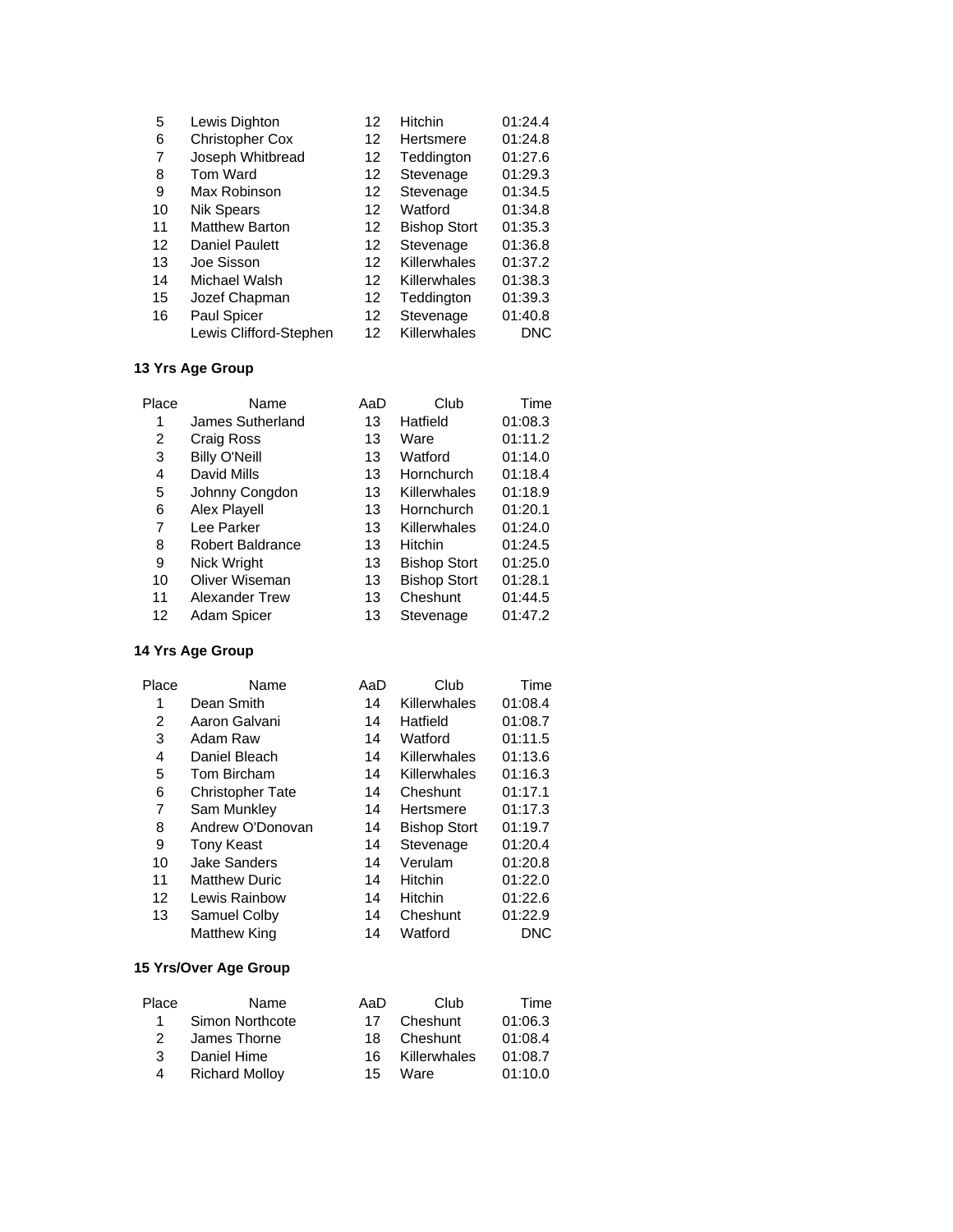| 5  | Lewis Dighton          | 12 | Hitchin             | 01:24.4 |
|----|------------------------|----|---------------------|---------|
| 6  | <b>Christopher Cox</b> | 12 | Hertsmere           | 01:24.8 |
| 7  | Joseph Whitbread       | 12 | Teddington          | 01:27.6 |
| 8  | Tom Ward               | 12 | Stevenage           | 01:29.3 |
| 9  | Max Robinson           | 12 | Stevenage           | 01:34.5 |
| 10 | <b>Nik Spears</b>      | 12 | Watford             | 01:34.8 |
| 11 | <b>Matthew Barton</b>  | 12 | <b>Bishop Stort</b> | 01:35.3 |
| 12 | <b>Daniel Paulett</b>  | 12 | Stevenage           | 01:36.8 |
| 13 | Joe Sisson             | 12 | Killerwhales        | 01:37.2 |
| 14 | Michael Walsh          | 12 | Killerwhales        | 01:38.3 |
| 15 | Jozef Chapman          | 12 | Teddington          | 01:39.3 |
| 16 | <b>Paul Spicer</b>     | 12 | Stevenage           | 01:40.8 |
|    | Lewis Clifford-Stephen | 12 | Killerwhales        | DNC     |

| Place | Name                    | AaD | Club                | Time    |
|-------|-------------------------|-----|---------------------|---------|
| 1     | James Sutherland        | 13  | Hatfield            | 01:08.3 |
| 2     | Craig Ross              | 13  | Ware                | 01:11.2 |
| 3     | <b>Billy O'Neill</b>    | 13  | Watford             | 01:14.0 |
| 4     | David Mills             | 13  | Hornchurch          | 01:18.4 |
| 5     | Johnny Congdon          | 13  | Killerwhales        | 01:18.9 |
| 6     | Alex Playell            | 13  | Hornchurch          | 01:20.1 |
| 7     | Lee Parker              | 13  | Killerwhales        | 01:24.0 |
| 8     | <b>Robert Baldrance</b> | 13  | Hitchin             | 01:24.5 |
| 9     | Nick Wright             | 13  | <b>Bishop Stort</b> | 01:25.0 |
| 10    | Oliver Wiseman          | 13  | <b>Bishop Stort</b> | 01:28.1 |
| 11    | <b>Alexander Trew</b>   | 13  | Cheshunt            | 01:44.5 |
| 12    | Adam Spicer             | 13  | Stevenage           | 01:47.2 |
|       |                         |     |                     |         |

#### **14 Yrs Age Group**

| Place | Name                    | AaD | Club                | Time    |
|-------|-------------------------|-----|---------------------|---------|
| 1     | Dean Smith              | 14  | Killerwhales        | 01:08.4 |
| 2     | Aaron Galvani           | 14  | Hatfield            | 01:08.7 |
| 3     | Adam Raw                | 14  | Watford             | 01:11.5 |
| 4     | Daniel Bleach           | 14  | Killerwhales        | 01:13.6 |
| 5     | Tom Bircham             | 14  | Killerwhales        | 01:16.3 |
| 6     | <b>Christopher Tate</b> | 14  | Cheshunt            | 01:17.1 |
| 7     | Sam Munkley             | 14  | Hertsmere           | 01:17.3 |
| 8     | Andrew O'Donovan        | 14  | <b>Bishop Stort</b> | 01:19.7 |
| 9     | <b>Tony Keast</b>       | 14  | Stevenage           | 01:20.4 |
| 10    | <b>Jake Sanders</b>     | 14  | Verulam             | 01:20.8 |
| 11    | <b>Matthew Duric</b>    | 14  | <b>Hitchin</b>      | 01:22.0 |
| 12    | Lewis Rainbow           | 14  | <b>Hitchin</b>      | 01:22.6 |
| 13    | Samuel Colby            | 14  | Cheshunt            | 01:22.9 |
|       | Matthew King            | 14  | Watford             | DNC     |

#### **15 Yrs/Over Age Group**

| Place         | Name                  | AaD | Club         | Time    |
|---------------|-----------------------|-----|--------------|---------|
| 1.            | Simon Northcote       | 17  | Cheshunt     | 01:06.3 |
| $\mathcal{P}$ | James Thorne          | 18. | Cheshunt     | 01:08.4 |
| З.            | Daniel Hime           | 16. | Killerwhales | 01:08.7 |
| 4             | <b>Richard Mollov</b> | 15  | Ware         | 01:10.0 |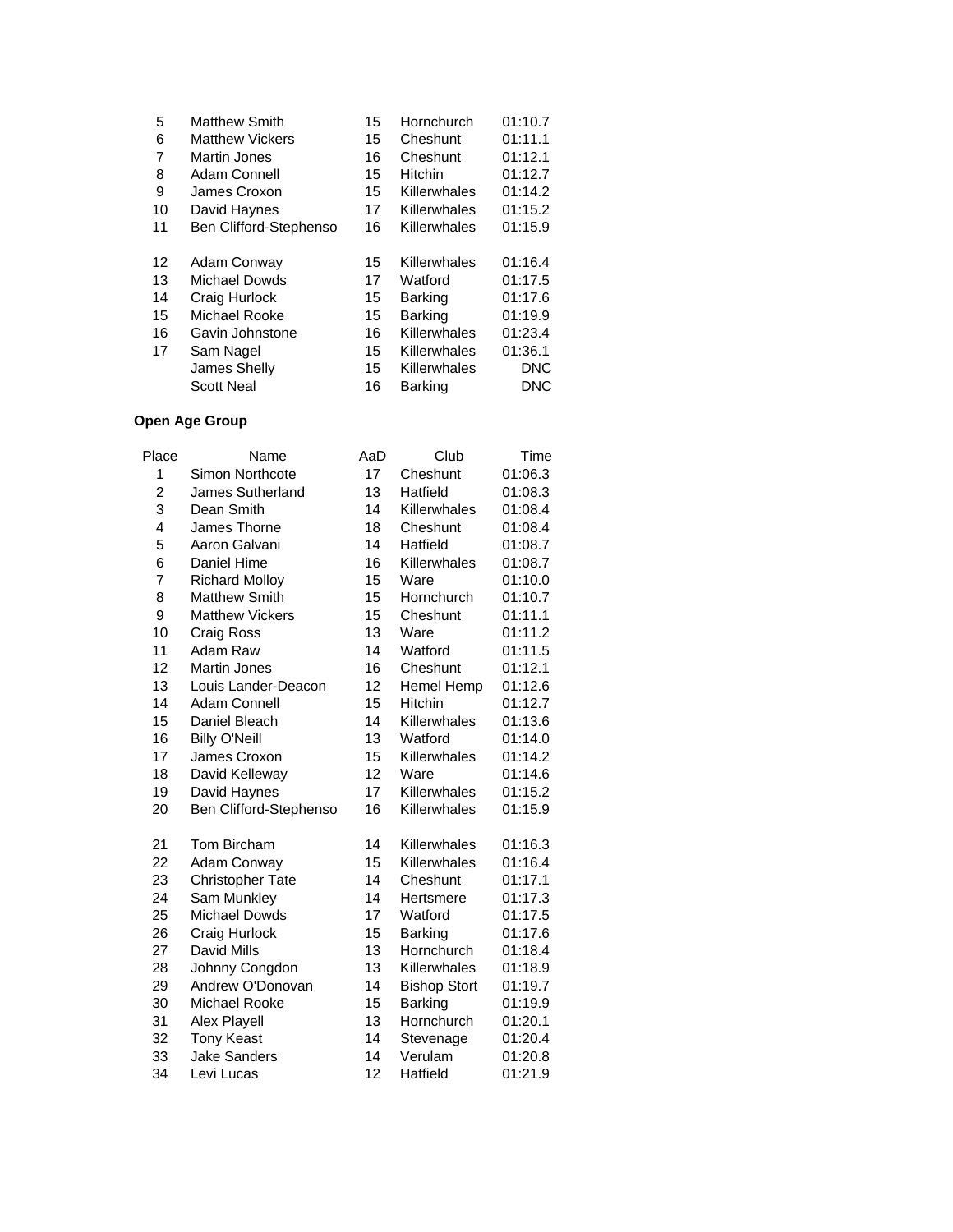| <b>Matthew Smith</b>   | 15 | Hornchurch     | 01:10.7    |
|------------------------|----|----------------|------------|
| <b>Matthew Vickers</b> | 15 | Cheshunt       | 01:11.1    |
| <b>Martin Jones</b>    | 16 | Cheshunt       | 01:12.1    |
| Adam Connell           | 15 | Hitchin        | 01:12.7    |
| James Croxon           | 15 | Killerwhales   | 01:14.2    |
| David Haynes           | 17 | Killerwhales   | 01:15.2    |
| Ben Clifford-Stephenso | 16 | Killerwhales   | 01:15.9    |
|                        |    |                |            |
| Adam Conway            | 15 | Killerwhales   | 01:16.4    |
| Michael Dowds          | 17 | Watford        | 01:17.5    |
| Craig Hurlock          | 15 | Barking        | 01:17.6    |
| Michael Rooke          | 15 | <b>Barking</b> | 01:19.9    |
| Gavin Johnstone        | 16 | Killerwhales   | 01:23.4    |
| Sam Nagel              | 15 | Killerwhales   | 01:36.1    |
| James Shelly           | 15 | Killerwhales   | <b>DNC</b> |
| <b>Scott Neal</b>      | 16 | <b>Barking</b> | DNC        |
|                        |    |                |            |

| Place          | Name                    | AaD | Club                | Time    |
|----------------|-------------------------|-----|---------------------|---------|
| 1              | Simon Northcote         | 17  | Cheshunt            | 01:06.3 |
| $\overline{c}$ | James Sutherland        | 13  | Hatfield            | 01:08.3 |
| 3              | Dean Smith              | 14  | Killerwhales        | 01:08.4 |
| 4              | James Thorne            | 18  | Cheshunt            | 01:08.4 |
| 5              | Aaron Galvani           | 14  | Hatfield            | 01:08.7 |
| 6              | Daniel Hime             | 16  | Killerwhales        | 01:08.7 |
| 7              | <b>Richard Molloy</b>   | 15  | Ware                | 01:10.0 |
| 8              | <b>Matthew Smith</b>    | 15  | Hornchurch          | 01:10.7 |
| 9              | <b>Matthew Vickers</b>  | 15  | Cheshunt            | 01:11.1 |
| 10             | Craig Ross              | 13  | Ware                | 01:11.2 |
| 11             | Adam Raw                | 14  | Watford             | 01:11.5 |
| 12             | <b>Martin Jones</b>     | 16  | Cheshunt            | 01:12.1 |
| 13             | Louis Lander-Deacon     | 12  | Hemel Hemp          | 01:12.6 |
| 14             | Adam Connell            | 15  | <b>Hitchin</b>      | 01:12.7 |
| 15             | Daniel Bleach           | 14  | Killerwhales        | 01:13.6 |
| 16             | <b>Billy O'Neill</b>    | 13  | Watford             | 01:14.0 |
| 17             | James Croxon            | 15  | Killerwhales        | 01:14.2 |
| 18             | David Kelleway          | 12  | Ware                | 01:14.6 |
| 19             | David Haynes            | 17  | Killerwhales        | 01:15.2 |
| 20             | Ben Clifford-Stephenso  | 16  | Killerwhales        | 01:15.9 |
| 21             | Tom Bircham             | 14  | Killerwhales        | 01:16.3 |
| 22             | Adam Conway             | 15  | Killerwhales        | 01:16.4 |
| 23             | <b>Christopher Tate</b> | 14  | Cheshunt            | 01:17.1 |
| 24             | Sam Munkley             | 14  | Hertsmere           | 01:17.3 |
| 25             | <b>Michael Dowds</b>    | 17  | Watford             | 01:17.5 |
| 26             | Craig Hurlock           | 15  | <b>Barking</b>      | 01:17.6 |
| 27             | David Mills             | 13  | Hornchurch          | 01:18.4 |
| 28             | Johnny Congdon          | 13  | Killerwhales        | 01:18.9 |
| 29             | Andrew O'Donovan        | 14  | <b>Bishop Stort</b> | 01:19.7 |
| 30             | <b>Michael Rooke</b>    | 15  | <b>Barking</b>      | 01:19.9 |
| 31             | Alex Playell            | 13  | Hornchurch          | 01:20.1 |
| 32             | <b>Tony Keast</b>       | 14  | Stevenage           | 01:20.4 |
| 33             | <b>Jake Sanders</b>     | 14  | Verulam             | 01:20.8 |
| 34             | Levi Lucas              | 12  | Hatfield            | 01:21.9 |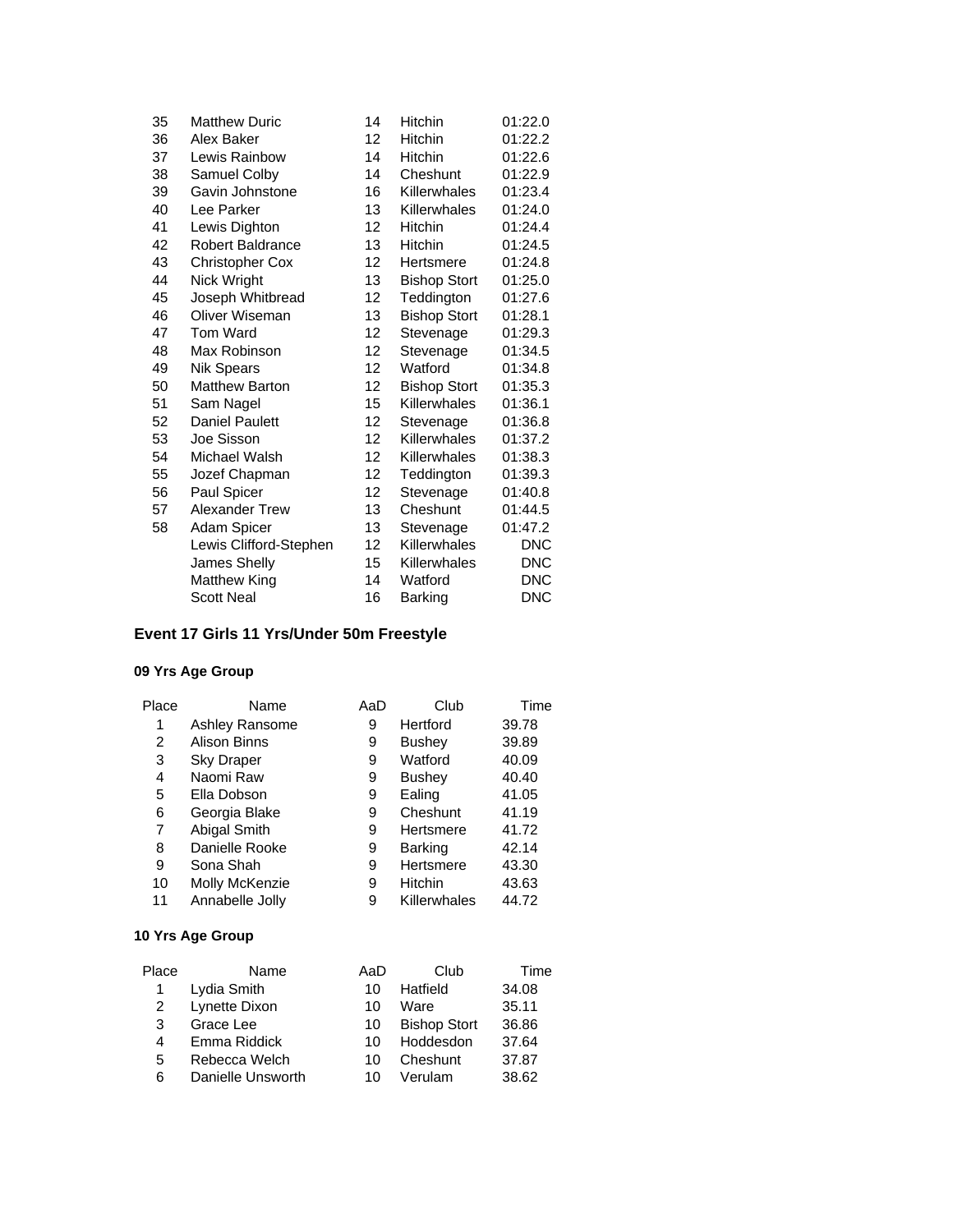| 35 | <b>Matthew Duric</b>    | 14                | Hitchin             | 01:22.0    |
|----|-------------------------|-------------------|---------------------|------------|
| 36 | Alex Baker              | 12                | Hitchin             | 01:22.2    |
| 37 | Lewis Rainbow           | 14                | <b>Hitchin</b>      | 01:22.6    |
| 38 | Samuel Colby            | 14                | Cheshunt            | 01:22.9    |
| 39 | Gavin Johnstone         | 16                | Killerwhales        | 01:23.4    |
| 40 | Lee Parker              | 13                | Killerwhales        | 01:24.0    |
| 41 | Lewis Dighton           | 12                | <b>Hitchin</b>      | 01:24.4    |
| 42 | <b>Robert Baldrance</b> | 13                | <b>Hitchin</b>      | 01:24.5    |
| 43 | <b>Christopher Cox</b>  | 12                | Hertsmere           | 01:24.8    |
| 44 | Nick Wright             | 13                | <b>Bishop Stort</b> | 01:25.0    |
| 45 | Joseph Whitbread        | 12                | Teddington          | 01:27.6    |
| 46 | Oliver Wiseman          | 13                | <b>Bishop Stort</b> | 01:28.1    |
| 47 | Tom Ward                | $12 \overline{ }$ | Stevenage           | 01:29.3    |
| 48 | Max Robinson            | 12                | Stevenage           | 01:34.5    |
| 49 | <b>Nik Spears</b>       | $12 \overline{ }$ | Watford             | 01:34.8    |
| 50 | <b>Matthew Barton</b>   | 12                | <b>Bishop Stort</b> | 01:35.3    |
| 51 | Sam Nagel               | 15                | Killerwhales        | 01:36.1    |
| 52 | <b>Daniel Paulett</b>   | 12                | Stevenage           | 01:36.8    |
| 53 | Joe Sisson              | $12 \overline{ }$ | Killerwhales        | 01:37.2    |
| 54 | Michael Walsh           | 12                | Killerwhales        | 01:38.3    |
| 55 | Jozef Chapman           | 12                | Teddington          | 01:39.3    |
| 56 | Paul Spicer             | 12                | Stevenage           | 01:40.8    |
| 57 | <b>Alexander Trew</b>   | 13                | Cheshunt            | 01:44.5    |
| 58 | Adam Spicer             | 13                | Stevenage           | 01:47.2    |
|    | Lewis Clifford-Stephen  | 12                | Killerwhales        | <b>DNC</b> |
|    | James Shelly            | 15                | Killerwhales        | <b>DNC</b> |
|    | Matthew King            | 14                | Watford             | <b>DNC</b> |
|    | <b>Scott Neal</b>       | 16                | <b>Barking</b>      | <b>DNC</b> |
|    |                         |                   |                     |            |

# **Event 17 Girls 11 Yrs/Under 50m Freestyle**

## **09 Yrs Age Group**

| Place | Name              | AaD | Club           | Time  |
|-------|-------------------|-----|----------------|-------|
| 1     | Ashley Ransome    | 9   | Hertford       | 39.78 |
| 2     | Alison Binns      | 9   | <b>Bushey</b>  | 39.89 |
| 3     | <b>Sky Draper</b> | 9   | Watford        | 40.09 |
| 4     | Naomi Raw         | 9   | <b>Bushey</b>  | 40.40 |
| 5     | Ella Dobson       | 9   | Ealing         | 41.05 |
| 6     | Georgia Blake     | 9   | Cheshunt       | 41.19 |
| 7     | Abigal Smith      | 9   | Hertsmere      | 41.72 |
| 8     | Danielle Rooke    | 9   | <b>Barking</b> | 42.14 |
| 9     | Sona Shah         | 9   | Hertsmere      | 43.30 |
| 10    | Molly McKenzie    | 9   | <b>Hitchin</b> | 43.63 |
| 11    | Annabelle Jolly   | 9   | Killerwhales   | 44.72 |

| Place | Name              | AaD | Club                | Time  |
|-------|-------------------|-----|---------------------|-------|
|       | Lydia Smith       | 10  | Hatfield            | 34.08 |
| 2     | Lynette Dixon     | 10  | Ware                | 35.11 |
| 3     | Grace Lee         | 10  | <b>Bishop Stort</b> | 36.86 |
| 4     | Emma Riddick      | 10  | Hoddesdon           | 37.64 |
| 5     | Rebecca Welch     | 10  | Cheshunt            | 37.87 |
| 6     | Danielle Unsworth | 10  | Verulam             | 38.62 |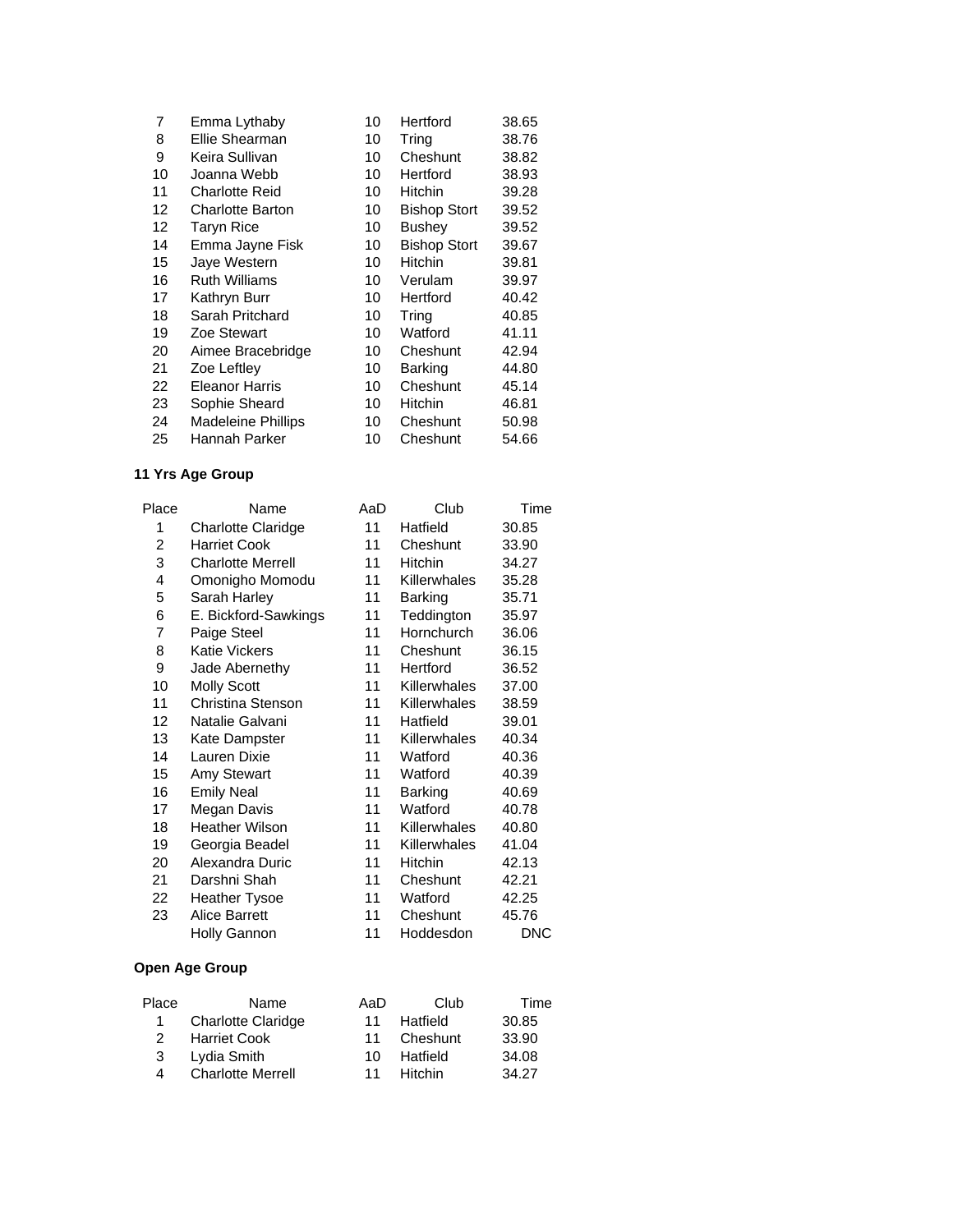| 7  | Emma Lythaby              | 10 | Hertford            | 38.65 |
|----|---------------------------|----|---------------------|-------|
| 8  | Ellie Shearman            | 10 | Tring               | 38.76 |
| 9  | Keira Sullivan            | 10 | Cheshunt            | 38.82 |
| 10 | Joanna Webb               | 10 | Hertford            | 38.93 |
| 11 | <b>Charlotte Reid</b>     | 10 | <b>Hitchin</b>      | 39.28 |
| 12 | <b>Charlotte Barton</b>   | 10 | <b>Bishop Stort</b> | 39.52 |
| 12 | Taryn Rice                | 10 | Bushey              | 39.52 |
| 14 | Emma Jayne Fisk           | 10 | <b>Bishop Stort</b> | 39.67 |
| 15 | Jaye Western              | 10 | Hitchin             | 39.81 |
| 16 | <b>Ruth Williams</b>      | 10 | Verulam             | 39.97 |
| 17 | Kathryn Burr              | 10 | Hertford            | 40.42 |
| 18 | Sarah Pritchard           | 10 | Tring               | 40.85 |
| 19 | Zoe Stewart               | 10 | Watford             | 41.11 |
| 20 | Aimee Bracebridge         | 10 | Cheshunt            | 42.94 |
| 21 | Zoe Leftley               | 10 | Barking             | 44.80 |
| 22 | <b>Eleanor Harris</b>     | 10 | Cheshunt            | 45.14 |
| 23 | Sophie Sheard             | 10 | <b>Hitchin</b>      | 46.81 |
| 24 | <b>Madeleine Phillips</b> | 10 | Cheshunt            | 50.98 |
| 25 | Hannah Parker             | 10 | Cheshunt            | 54.66 |

| Place | Name                      | AaD | Club           | Time  |
|-------|---------------------------|-----|----------------|-------|
| 1     | <b>Charlotte Claridge</b> | 11  | Hatfield       | 30.85 |
| 2     | <b>Harriet Cook</b>       | 11  | Cheshunt       | 33.90 |
| 3     | <b>Charlotte Merrell</b>  | 11  | <b>Hitchin</b> | 34.27 |
| 4     | Omonigho Momodu           | 11  | Killerwhales   | 35.28 |
| 5     | Sarah Harley              | 11  | Barking        | 35.71 |
| 6     | E. Bickford-Sawkings      | 11  | Teddington     | 35.97 |
| 7     | Paige Steel               | 11  | Hornchurch     | 36.06 |
| 8     | <b>Katie Vickers</b>      | 11  | Cheshunt       | 36.15 |
| 9     | Jade Abernethy            | 11  | Hertford       | 36.52 |
| 10    | <b>Molly Scott</b>        | 11  | Killerwhales   | 37.00 |
| 11    | Christina Stenson         | 11  | Killerwhales   | 38.59 |
| 12    | Natalie Galvani           | 11  | Hatfield       | 39.01 |
| 13    | Kate Dampster             | 11  | Killerwhales   | 40.34 |
| 14    | Lauren Dixie              | 11  | Watford        | 40.36 |
| 15    | Amy Stewart               | 11  | Watford        | 40.39 |
| 16    | <b>Emily Neal</b>         | 11  | Barking        | 40.69 |
| 17    | Megan Davis               | 11  | Watford        | 40.78 |
| 18    | <b>Heather Wilson</b>     | 11  | Killerwhales   | 40.80 |
| 19    | Georgia Beadel            | 11  | Killerwhales   | 41.04 |
| 20    | Alexandra Duric           | 11  | <b>Hitchin</b> | 42.13 |
| 21    | Darshni Shah              | 11  | Cheshunt       | 42.21 |
| 22    | <b>Heather Tysoe</b>      | 11  | Watford        | 42.25 |
| 23    | <b>Alice Barrett</b>      | 11  | Cheshunt       | 45.76 |
|       | Holly Gannon              | 11  | Hoddesdon      | DNC   |

| Place | Name                      | AaD | Club           | Time  |
|-------|---------------------------|-----|----------------|-------|
|       | <b>Charlotte Claridge</b> | 11  | Hatfield       | 30.85 |
| 2     | <b>Harriet Cook</b>       | 11  | Cheshunt       | 33.90 |
| 3     | Lydia Smith               | 10. | Hatfield       | 34.08 |
| 4     | <b>Charlotte Merrell</b>  | 11  | <b>Hitchin</b> | 34.27 |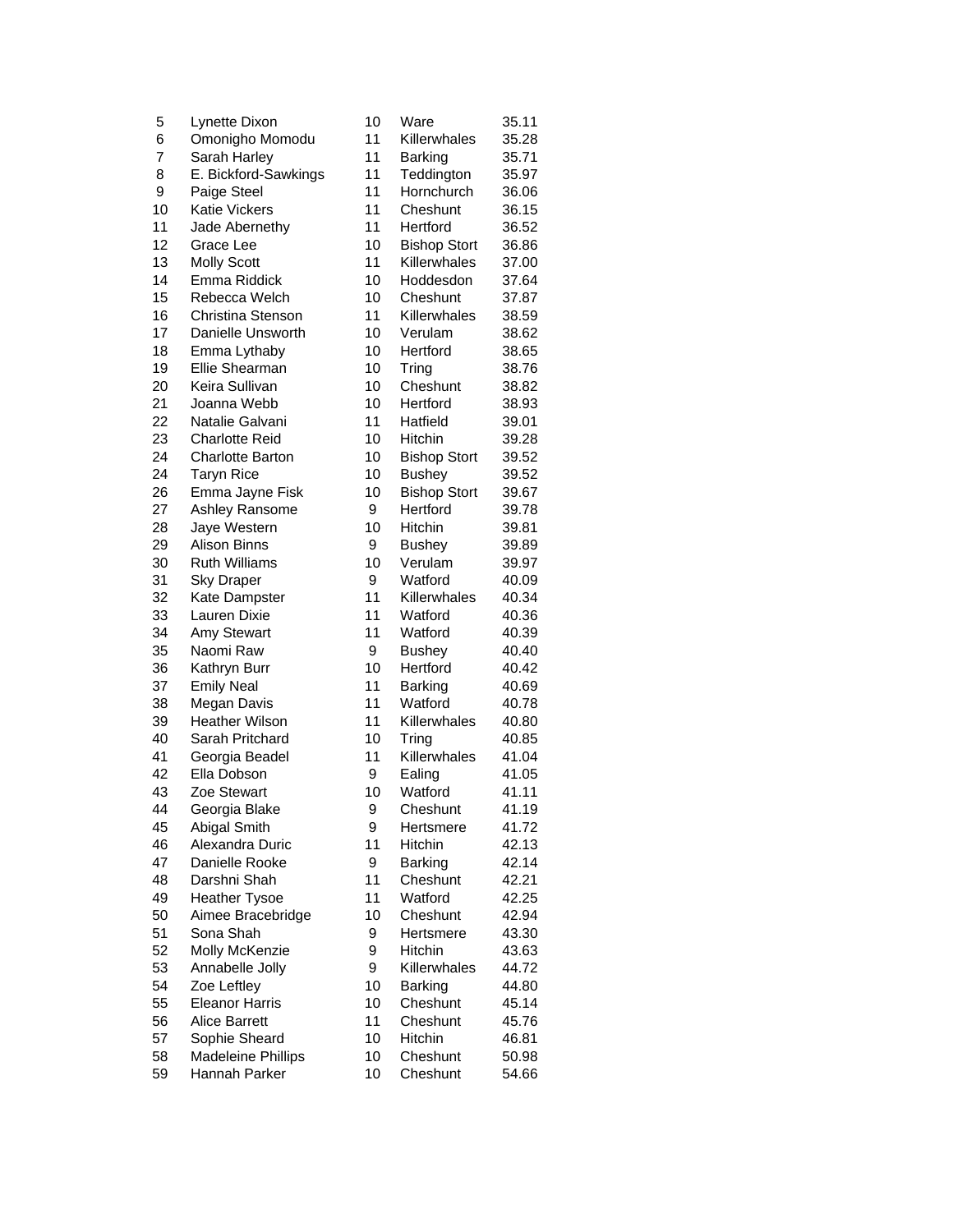| 5  | Lynette Dixon           | 10 | Ware                | 35.11 |
|----|-------------------------|----|---------------------|-------|
| 6  | Omonigho Momodu         | 11 | Killerwhales        | 35.28 |
| 7  | Sarah Harley            | 11 | <b>Barking</b>      | 35.71 |
| 8  | E. Bickford-Sawkings    | 11 | Teddington          | 35.97 |
| 9  | Paige Steel             | 11 | Hornchurch          | 36.06 |
| 10 | Katie Vickers           | 11 | Cheshunt            | 36.15 |
| 11 | Jade Abernethy          | 11 | Hertford            | 36.52 |
| 12 | Grace Lee               | 10 | <b>Bishop Stort</b> | 36.86 |
| 13 | <b>Molly Scott</b>      | 11 | Killerwhales        | 37.00 |
| 14 | Emma Riddick            | 10 | Hoddesdon           | 37.64 |
| 15 | Rebecca Welch           | 10 | Cheshunt            | 37.87 |
| 16 | Christina Stenson       | 11 | Killerwhales        | 38.59 |
| 17 | Danielle Unsworth       | 10 | Verulam             | 38.62 |
| 18 | Emma Lythaby            | 10 | Hertford            | 38.65 |
| 19 | Ellie Shearman          | 10 | Tring               | 38.76 |
| 20 | Keira Sullivan          | 10 | Cheshunt            | 38.82 |
| 21 | Joanna Webb             | 10 | Hertford            | 38.93 |
| 22 | Natalie Galvani         | 11 | Hatfield            | 39.01 |
| 23 | <b>Charlotte Reid</b>   | 10 | Hitchin             | 39.28 |
| 24 | <b>Charlotte Barton</b> | 10 | <b>Bishop Stort</b> | 39.52 |
| 24 | <b>Taryn Rice</b>       | 10 | <b>Bushey</b>       | 39.52 |
| 26 | Emma Jayne Fisk         | 10 | <b>Bishop Stort</b> | 39.67 |
| 27 |                         | 9  | Hertford            |       |
| 28 | Ashley Ransome          | 10 | Hitchin             | 39.78 |
|    | Jaye Western            |    |                     | 39.81 |
| 29 | <b>Alison Binns</b>     | 9  | <b>Bushey</b>       | 39.89 |
| 30 | <b>Ruth Williams</b>    | 10 | Verulam             | 39.97 |
| 31 | <b>Sky Draper</b>       | 9  | Watford             | 40.09 |
| 32 | Kate Dampster           | 11 | Killerwhales        | 40.34 |
| 33 | Lauren Dixie            | 11 | Watford             | 40.36 |
| 34 | Amy Stewart             | 11 | Watford             | 40.39 |
| 35 | Naomi Raw               | 9  | <b>Bushey</b>       | 40.40 |
| 36 | Kathryn Burr            | 10 | Hertford            | 40.42 |
| 37 | <b>Emily Neal</b>       | 11 | Barking             | 40.69 |
| 38 | Megan Davis             | 11 | Watford             | 40.78 |
| 39 | <b>Heather Wilson</b>   | 11 | Killerwhales        | 40.80 |
| 40 | Sarah Pritchard         | 10 | Tring               | 40.85 |
| 41 | Georgia Beadel          | 11 | Killerwhales        | 41.04 |
| 42 | Ella Dobson             | 9  | Ealing              | 41.05 |
| 43 | Zoe Stewart             | 10 | Watford             | 41.11 |
| 44 | Georgia Blake           | 9  | Cheshunt            | 41.19 |
| 45 | <b>Abigal Smith</b>     | 9  | Hertsmere           | 41.72 |
| 46 | Alexandra Duric         | 11 | Hitchin             | 42.13 |
| 47 | Danielle Rooke          | 9  | Barking             | 42.14 |
| 48 | Darshni Shah            | 11 | Cheshunt            | 42.21 |
| 49 | <b>Heather Tysoe</b>    | 11 | Watford             | 42.25 |
| 50 | Aimee Bracebridge       | 10 | Cheshunt            | 42.94 |
| 51 | Sona Shah               | 9  | Hertsmere           | 43.30 |
| 52 | Molly McKenzie          | 9  | Hitchin             | 43.63 |
| 53 | Annabelle Jolly         | 9  | Killerwhales        | 44.72 |
| 54 | Zoe Leftley             | 10 | Barking             | 44.80 |
| 55 | <b>Eleanor Harris</b>   | 10 | Cheshunt            | 45.14 |
| 56 | <b>Alice Barrett</b>    | 11 | Cheshunt            | 45.76 |
| 57 | Sophie Sheard           | 10 | Hitchin             | 46.81 |
| 58 | Madeleine Phillips      | 10 | Cheshunt            | 50.98 |
| 59 | Hannah Parker           | 10 | Cheshunt            | 54.66 |
|    |                         |    |                     |       |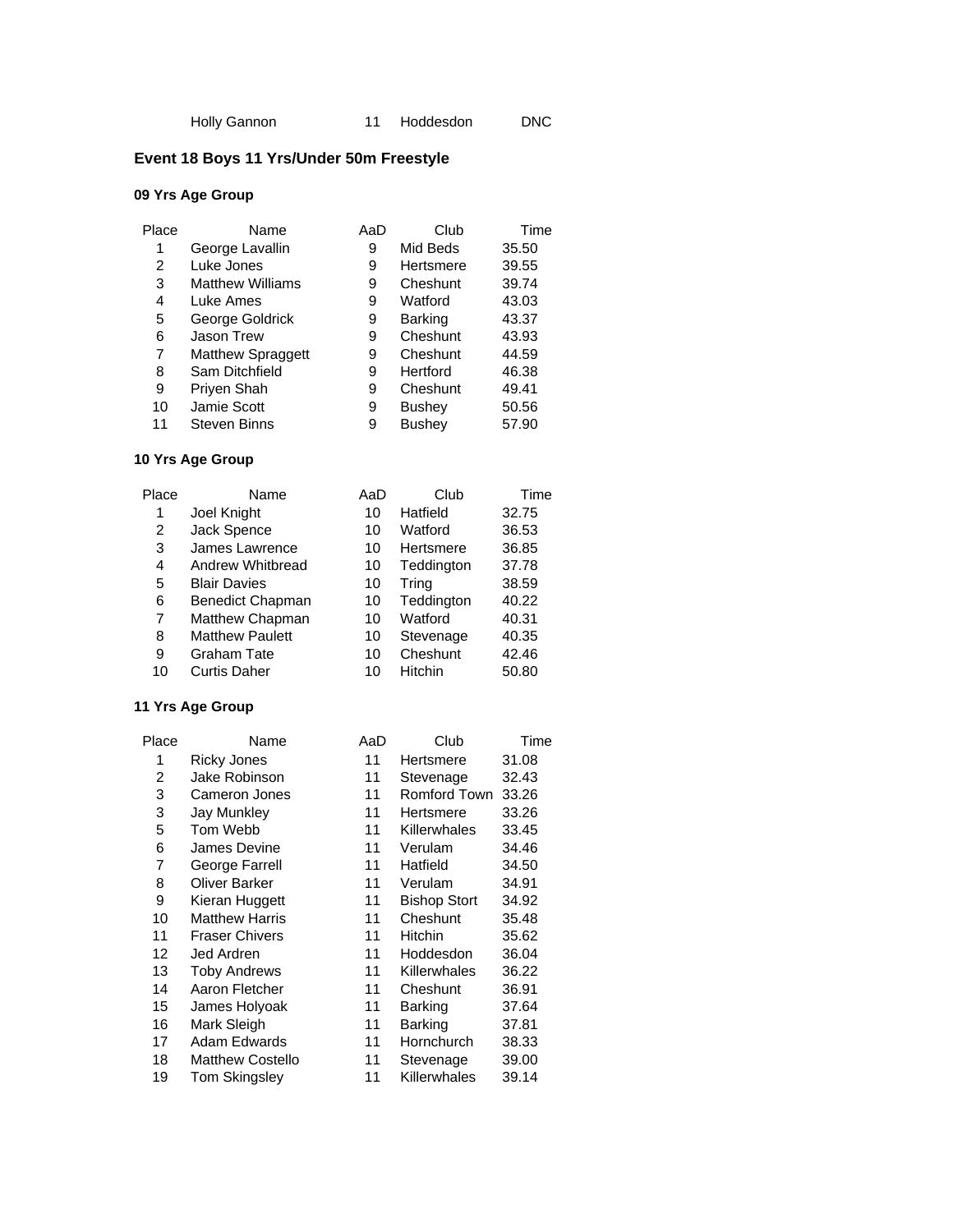# **Event 18 Boys 11 Yrs/Under 50m Freestyle**

## **09 Yrs Age Group**

| Place | Name                     | AaD | Club           | Time  |
|-------|--------------------------|-----|----------------|-------|
| 1     | George Lavallin          | 9   | Mid Beds       | 35.50 |
| 2     | Luke Jones               | 9   | Hertsmere      | 39.55 |
| 3     | <b>Matthew Williams</b>  | 9   | Cheshunt       | 39.74 |
| 4     | Luke Ames                | 9   | Watford        | 43.03 |
| 5     | George Goldrick          | 9   | <b>Barking</b> | 43.37 |
| 6     | <b>Jason Trew</b>        | 9   | Cheshunt       | 43.93 |
| 7     | <b>Matthew Spraggett</b> | 9   | Cheshunt       | 44.59 |
| 8     | Sam Ditchfield           | 9   | Hertford       | 46.38 |
| 9     | Priyen Shah              | 9   | Cheshunt       | 49.41 |
| 10    | Jamie Scott              | 9   | <b>Bushey</b>  | 50.56 |
| 11    | <b>Steven Binns</b>      | 9   | <b>Bushev</b>  | 57.90 |

## **10 Yrs Age Group**

| Place | Name                    | AaD | Club       | Time  |
|-------|-------------------------|-----|------------|-------|
| 1     | Joel Knight             | 10  | Hatfield   | 32.75 |
| 2     | Jack Spence             | 10  | Watford    | 36.53 |
| 3     | James Lawrence          | 10  | Hertsmere  | 36.85 |
| 4     | Andrew Whitbread        | 10  | Teddington | 37.78 |
| 5     | <b>Blair Davies</b>     | 10  | Tring      | 38.59 |
| 6     | <b>Benedict Chapman</b> | 10  | Teddington | 40.22 |
| 7     | Matthew Chapman         | 10  | Watford    | 40.31 |
| 8     | <b>Matthew Paulett</b>  | 10  | Stevenage  | 40.35 |
| 9     | <b>Graham Tate</b>      | 10  | Cheshunt   | 42.46 |
| 10    | <b>Curtis Daher</b>     | 10  | Hitchin    | 50.80 |
|       |                         |     |            |       |

| Place | Name                    | AaD | Club                | Time  |
|-------|-------------------------|-----|---------------------|-------|
| 1     | <b>Ricky Jones</b>      | 11  | Hertsmere           | 31.08 |
| 2     | Jake Robinson           | 11  | Stevenage           | 32.43 |
| 3     | Cameron Jones           | 11  | <b>Romford Town</b> | 33.26 |
| 3     | Jay Munkley             | 11  | Hertsmere           | 33.26 |
| 5     | Tom Webb                | 11  | Killerwhales        | 33.45 |
| 6     | James Devine            | 11  | Verulam             | 34.46 |
| 7     | George Farrell          | 11  | Hatfield            | 34.50 |
| 8     | <b>Oliver Barker</b>    | 11  | Verulam             | 34.91 |
| 9     | Kieran Huggett          | 11  | <b>Bishop Stort</b> | 34.92 |
| 10    | <b>Matthew Harris</b>   | 11  | Cheshunt            | 35.48 |
| 11    | <b>Fraser Chivers</b>   | 11  | Hitchin             | 35.62 |
| 12    | Jed Ardren              | 11  | Hoddesdon           | 36.04 |
| 13    | <b>Toby Andrews</b>     | 11  | Killerwhales        | 36.22 |
| 14    | Aaron Fletcher          | 11  | Cheshunt            | 36.91 |
| 15    | James Holyoak           | 11  | Barking             | 37.64 |
| 16    | Mark Sleigh             | 11  | Barking             | 37.81 |
| 17    | Adam Edwards            | 11  | Hornchurch          | 38.33 |
| 18    | <b>Matthew Costello</b> | 11  | Stevenage           | 39.00 |
| 19    | Tom Skingsley           | 11  | Killerwhales        | 39.14 |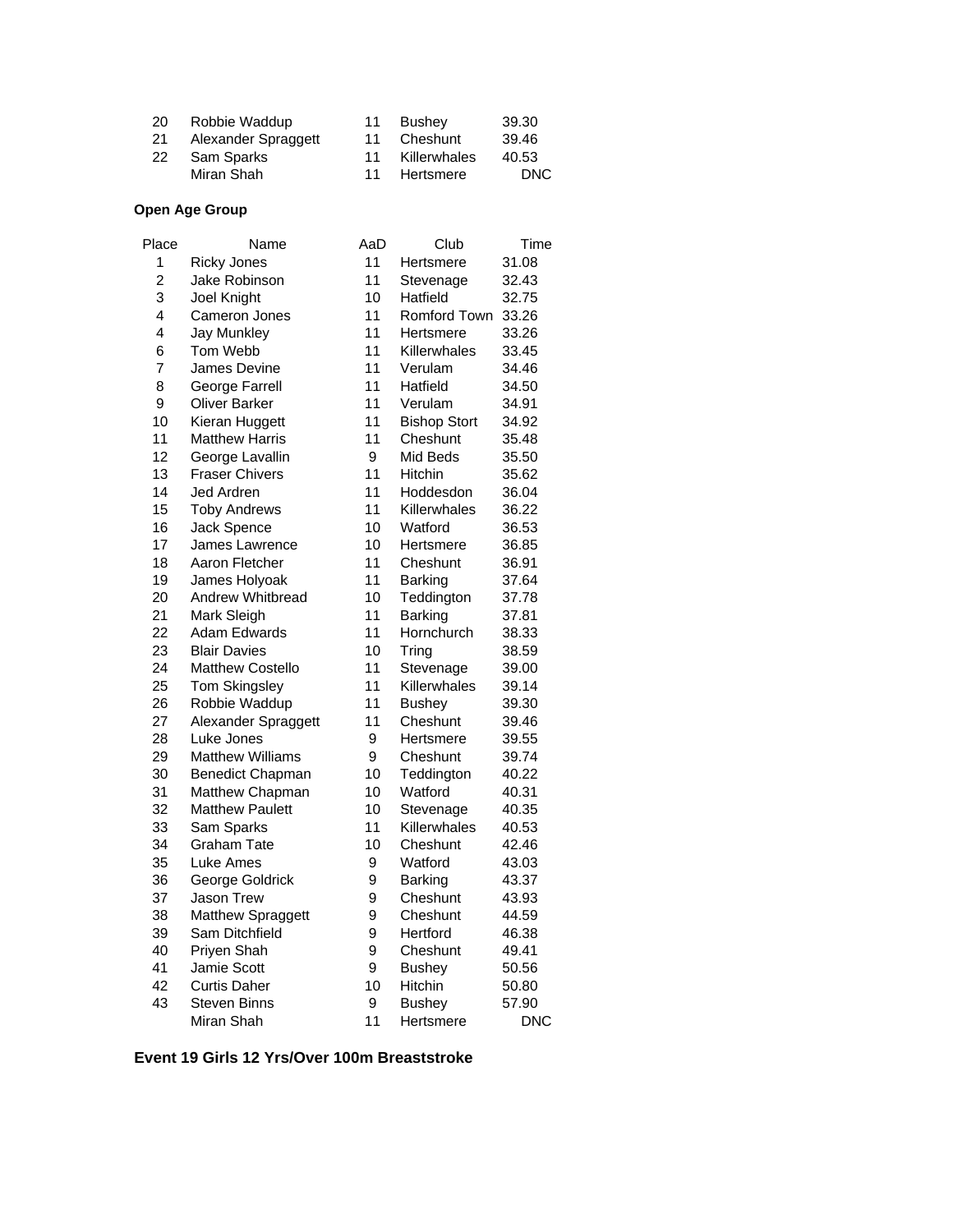| 20 | Robbie Waddup       | 11 | Bushev       | 39.30 |
|----|---------------------|----|--------------|-------|
| 21 | Alexander Spraggett | 11 | Cheshunt     | 39.46 |
| 22 | Sam Sparks          | 11 | Killerwhales | 40.53 |
|    | Miran Shah          | 11 | Hertsmere    | DNC.  |

## **Open Age Group**

| Place          | Name                    | AaD | Club                | Time       |
|----------------|-------------------------|-----|---------------------|------------|
| 1              | <b>Ricky Jones</b>      | 11  | Hertsmere           | 31.08      |
| $\overline{c}$ | Jake Robinson           | 11  | Stevenage           | 32.43      |
| 3              | Joel Knight             | 10  | Hatfield            | 32.75      |
| 4              | <b>Cameron Jones</b>    | 11  | Romford Town        | 33.26      |
| 4              | <b>Jay Munkley</b>      | 11  | Hertsmere           | 33.26      |
| 6              | Tom Webb                | 11  | Killerwhales        | 33.45      |
| 7              | James Devine            | 11  | Verulam             | 34.46      |
| 8              | George Farrell          | 11  | Hatfield            | 34.50      |
| 9              | <b>Oliver Barker</b>    | 11  | Verulam             | 34.91      |
| 10             | Kieran Huggett          | 11  | <b>Bishop Stort</b> | 34.92      |
| 11             | <b>Matthew Harris</b>   | 11  | Cheshunt            | 35.48      |
| 12             | George Lavallin         | 9   | Mid Beds            | 35.50      |
| 13             | <b>Fraser Chivers</b>   | 11  | Hitchin             | 35.62      |
| 14             | Jed Ardren              | 11  | Hoddesdon           | 36.04      |
| 15             | <b>Toby Andrews</b>     | 11  | Killerwhales        | 36.22      |
| 16             | Jack Spence             | 10  | Watford             | 36.53      |
| 17             | James Lawrence          | 10  | Hertsmere           | 36.85      |
| 18             | Aaron Fletcher          | 11  | Cheshunt            | 36.91      |
| 19             | James Holyoak           | 11  | <b>Barking</b>      | 37.64      |
| 20             | Andrew Whitbread        | 10  | Teddington          | 37.78      |
| 21             | Mark Sleigh             | 11  | <b>Barking</b>      | 37.81      |
| 22             | Adam Edwards            | 11  | Hornchurch          | 38.33      |
| 23             | <b>Blair Davies</b>     | 10  | Tring               | 38.59      |
| 24             | Matthew Costello        | 11  | Stevenage           | 39.00      |
| 25             | <b>Tom Skingsley</b>    | 11  | Killerwhales        | 39.14      |
| 26             | Robbie Waddup           | 11  | <b>Bushey</b>       | 39.30      |
| 27             | Alexander Spraggett     | 11  | Cheshunt            | 39.46      |
| 28             | Luke Jones              | 9   | Hertsmere           | 39.55      |
| 29             | <b>Matthew Williams</b> | 9   | Cheshunt            | 39.74      |
| 30             | <b>Benedict Chapman</b> | 10  | Teddington          | 40.22      |
| 31             | Matthew Chapman         | 10  | Watford             | 40.31      |
| 32             | <b>Matthew Paulett</b>  | 10  | Stevenage           | 40.35      |
| 33             | Sam Sparks              | 11  | Killerwhales        | 40.53      |
| 34             | Graham Tate             | 10  | Cheshunt            | 42.46      |
| 35             | Luke Ames               | 9   | Watford             | 43.03      |
| 36             | George Goldrick         | 9   | Barking             | 43.37      |
| 37             | <b>Jason Trew</b>       | 9   | Cheshunt            | 43.93      |
| 38             | Matthew Spraggett       | 9   | Cheshunt            | 44.59      |
| 39             | Sam Ditchfield          | 9   | Hertford            | 46.38      |
| 40             | Priyen Shah             | 9   | Cheshunt            | 49.41      |
| 41             | Jamie Scott             | 9   | <b>Bushey</b>       | 50.56      |
| 42             | <b>Curtis Daher</b>     | 10  | Hitchin             | 50.80      |
| 43             | <b>Steven Binns</b>     | 9   | <b>Bushey</b>       | 57.90      |
|                | Miran Shah              | 11  | Hertsmere           | <b>DNC</b> |

#### **Event 19 Girls 12 Yrs/Over 100m Breaststroke**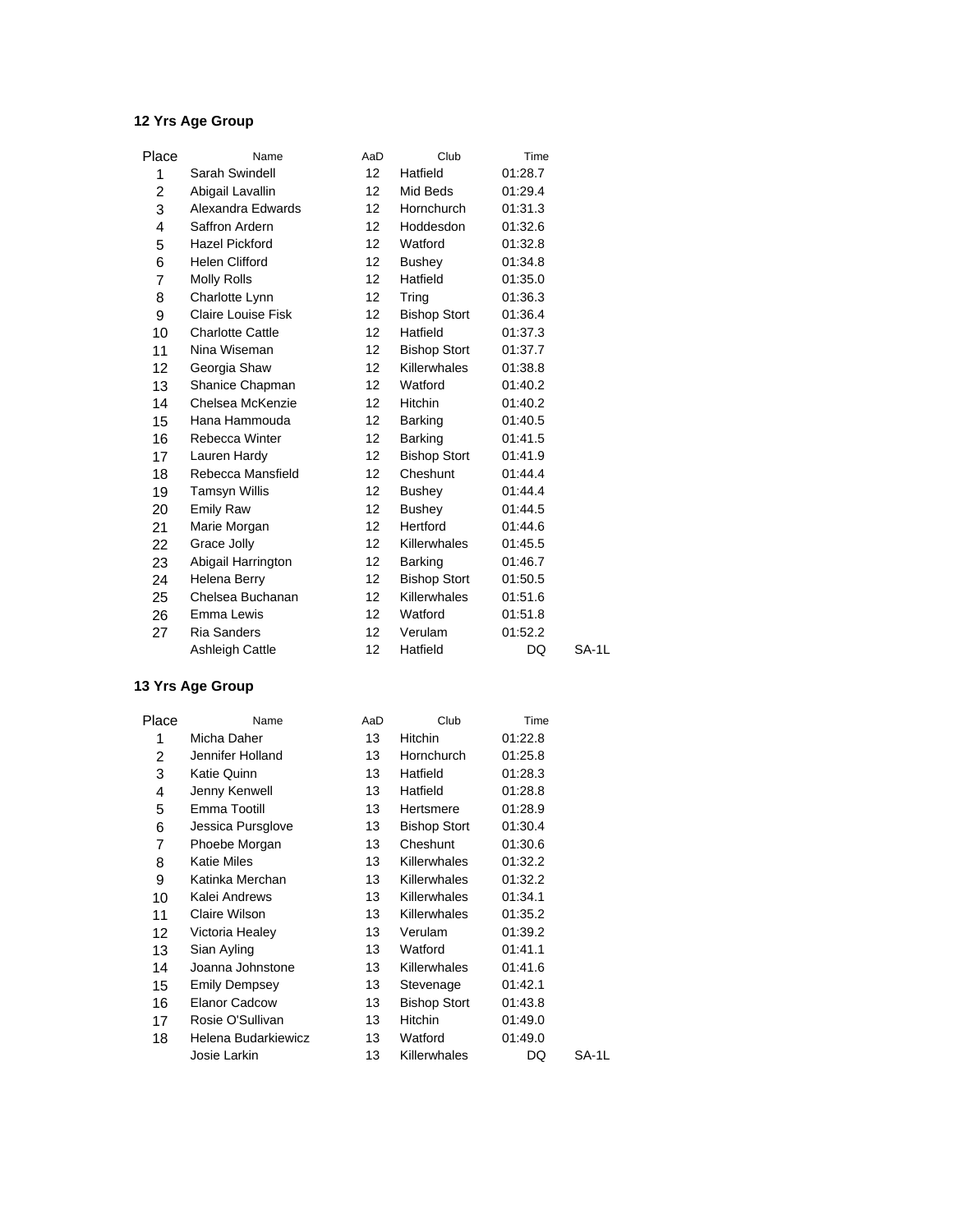| Place | Name                      | AaD               | Club                | Time    |       |
|-------|---------------------------|-------------------|---------------------|---------|-------|
| 1     | Sarah Swindell            | 12 <sup>°</sup>   | Hatfield            | 01:28.7 |       |
| 2     | Abigail Lavallin          | 12 <sup>2</sup>   | Mid Beds            | 01:29.4 |       |
| 3     | Alexandra Edwards         | 12 <sup>2</sup>   | Hornchurch          | 01:31.3 |       |
| 4     | Saffron Ardern            | 12                | Hoddesdon           | 01:32.6 |       |
| 5     | <b>Hazel Pickford</b>     | 12 <sup>2</sup>   | Watford             | 01:32.8 |       |
| 6     | <b>Helen Clifford</b>     | $12 \,$           | Bushey              | 01:34.8 |       |
| 7     | Molly Rolls               | 12 <sup>2</sup>   | Hatfield            | 01:35.0 |       |
| 8     | Charlotte Lynn            | $12 \overline{ }$ | Tring               | 01:36.3 |       |
| 9     | <b>Claire Louise Fisk</b> | 12 <sup>2</sup>   | <b>Bishop Stort</b> | 01:36.4 |       |
| 10    | <b>Charlotte Cattle</b>   | 12 <sup>2</sup>   | Hatfield            | 01:37.3 |       |
| 11    | Nina Wiseman              | $12 \overline{ }$ | <b>Bishop Stort</b> | 01:37.7 |       |
| 12    | Georgia Shaw              | 12 <sup>2</sup>   | Killerwhales        | 01:38.8 |       |
| 13    | Shanice Chapman           | $12 \overline{ }$ | Watford             | 01:40.2 |       |
| 14    | Chelsea McKenzie          | 12                | <b>Hitchin</b>      | 01:40.2 |       |
| 15    | Hana Hammouda             | $12 \overline{ }$ | Barking             | 01:40.5 |       |
| 16    | Rebecca Winter            | 12 <sup>2</sup>   | Barking             | 01:41.5 |       |
| 17    | Lauren Hardy              | $12 \overline{ }$ | <b>Bishop Stort</b> | 01:41.9 |       |
| 18    | Rebecca Mansfield         | $12 \overline{ }$ | Cheshunt            | 01:44.4 |       |
| 19    | <b>Tamsyn Willis</b>      | 12 <sup>2</sup>   | <b>Bushey</b>       | 01:44.4 |       |
| 20    | <b>Emily Raw</b>          | 12                | <b>Bushey</b>       | 01:44.5 |       |
| 21    | Marie Morgan              | 12 <sup>2</sup>   | Hertford            | 01:44.6 |       |
| 22    | Grace Jolly               | $12 \overline{ }$ | Killerwhales        | 01:45.5 |       |
| 23    | Abigail Harrington        | 12 <sup>2</sup>   | <b>Barking</b>      | 01:46.7 |       |
| 24    | Helena Berry              | $12 \overline{ }$ | <b>Bishop Stort</b> | 01:50.5 |       |
| 25    | Chelsea Buchanan          | 12                | Killerwhales        | 01:51.6 |       |
| 26    | Emma Lewis                | $12 \overline{ }$ | Watford             | 01:51.8 |       |
| 27    | <b>Ria Sanders</b>        | $12 \overline{ }$ | Verulam             | 01:52.2 |       |
|       | <b>Ashleigh Cattle</b>    | 12                | Hatfield            | DQ      | SA-1L |

| Place | Name                 | AaD | Club                | Time    |       |
|-------|----------------------|-----|---------------------|---------|-------|
| 1     | Micha Daher          | 13  | Hitchin             | 01:22.8 |       |
| 2     | Jennifer Holland     | 13  | Hornchurch          | 01:25.8 |       |
| 3     | Katie Quinn          | 13  | Hatfield            | 01:28.3 |       |
| 4     | Jenny Kenwell        | 13  | Hatfield            | 01:28.8 |       |
| 5     | Emma Tootill         | 13  | Hertsmere           | 01:28.9 |       |
| 6     | Jessica Pursglove    | 13  | <b>Bishop Stort</b> | 01:30.4 |       |
| 7     | Phoebe Morgan        | 13  | Cheshunt            | 01:30.6 |       |
| 8     | <b>Katie Miles</b>   | 13  | <b>Killerwhales</b> | 01:32.2 |       |
| 9     | Katinka Merchan      | 13  | <b>Killerwhales</b> | 01:32.2 |       |
| 10    | Kalei Andrews        | 13  | Killerwhales        | 01:34.1 |       |
| 11    | Claire Wilson        | 13  | <b>Killerwhales</b> | 01:35.2 |       |
| 12    | Victoria Healey      | 13  | Verulam             | 01:39.2 |       |
| 13    | Sian Ayling          | 13  | Watford             | 01:41.1 |       |
| 14    | Joanna Johnstone     | 13  | <b>Killerwhales</b> | 01:41.6 |       |
| 15    | Emily Dempsey        | 13  | Stevenage           | 01:42.1 |       |
| 16    | <b>Elanor Cadcow</b> | 13  | <b>Bishop Stort</b> | 01:43.8 |       |
| 17    | Rosie O'Sullivan     | 13  | Hitchin             | 01:49.0 |       |
| 18    | Helena Budarkiewicz  | 13  | Watford             | 01:49.0 |       |
|       | Josie Larkin         | 13  | Killerwhales        | DQ      | SA-1L |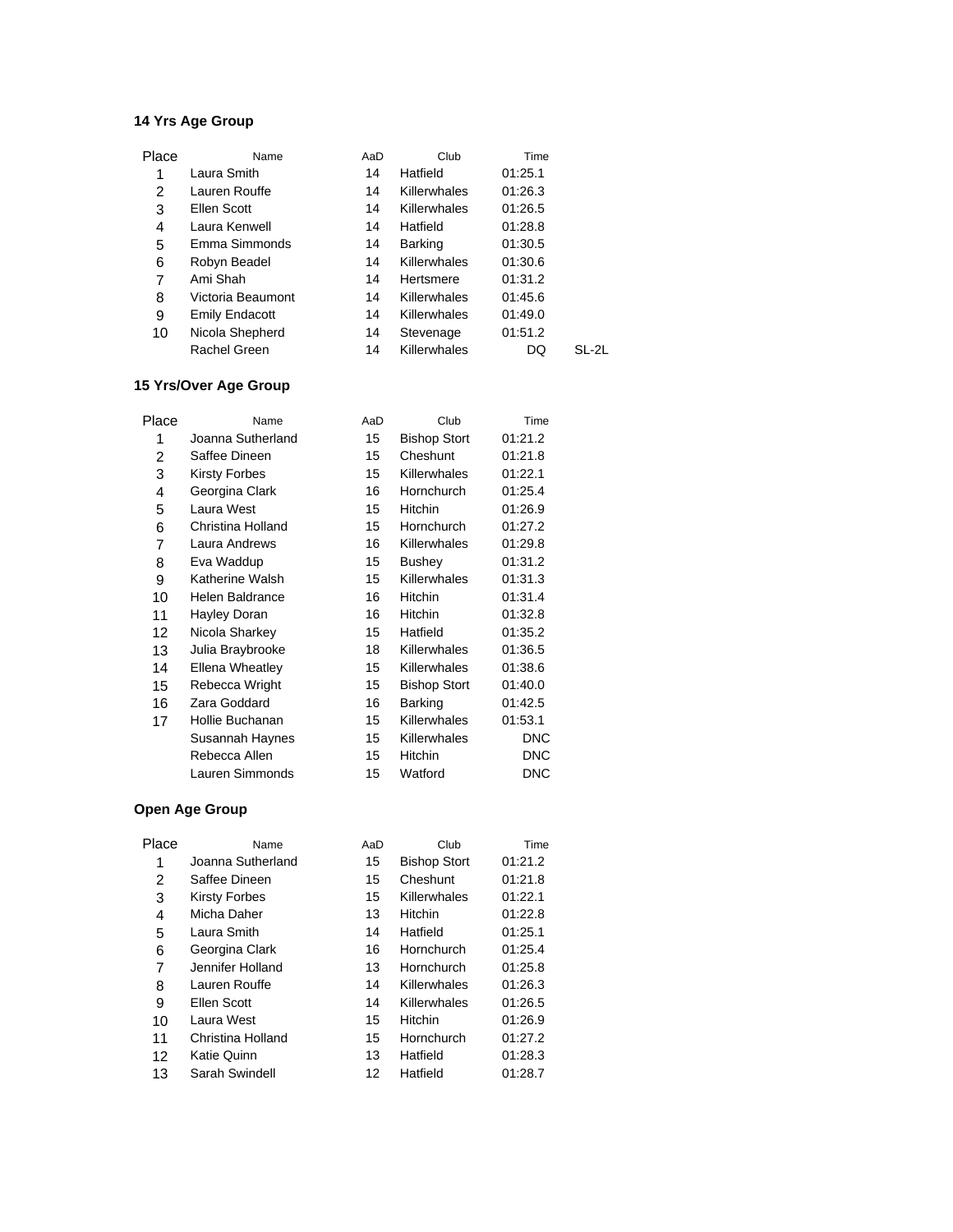| Place | Name                  | AaD | Club           | Time    |       |
|-------|-----------------------|-----|----------------|---------|-------|
| 1     | Laura Smith           | 14  | Hatfield       | 01:25.1 |       |
| 2     | Lauren Rouffe         | 14  | Killerwhales   | 01:26.3 |       |
| 3     | Ellen Scott           | 14  | Killerwhales   | 01:26.5 |       |
| 4     | Laura Kenwell         | 14  | Hatfield       | 01:28.8 |       |
| 5     | Emma Simmonds         | 14  | <b>Barking</b> | 01:30.5 |       |
| 6     | Robyn Beadel          | 14  | Killerwhales   | 01:30.6 |       |
| 7     | Ami Shah              | 14  | Hertsmere      | 01:31.2 |       |
| 8     | Victoria Beaumont     | 14  | Killerwhales   | 01:45.6 |       |
| 9     | <b>Emily Endacott</b> | 14  | Killerwhales   | 01:49.0 |       |
| 10    | Nicola Shepherd       | 14  | Stevenage      | 01:51.2 |       |
|       | Rachel Green          | 14  | Killerwhales   | DQ      | SL-2L |
|       |                       |     |                |         |       |

### **15 Yrs/Over Age Group**

| Place | Name                 | AaD | Club                | Time       |
|-------|----------------------|-----|---------------------|------------|
| 1     | Joanna Sutherland    | 15  | <b>Bishop Stort</b> | 01:21.2    |
| 2     | Saffee Dineen        | 15  | Cheshunt            | 01:21.8    |
| 3     | <b>Kirsty Forbes</b> | 15  | Killerwhales        | 01:22.1    |
| 4     | Georgina Clark       | 16  | Hornchurch          | 01:25.4    |
| 5     | Laura West           | 15  | Hitchin             | 01:26.9    |
| 6     | Christina Holland    | 15  | Hornchurch          | 01:27.2    |
| 7     | Laura Andrews        | 16  | Killerwhales        | 01:29.8    |
| 8     | Eva Waddup           | 15  | Bushey              | 01:31.2    |
| 9     | Katherine Walsh      | 15  | Killerwhales        | 01:31.3    |
| 10    | Helen Baldrance      | 16  | Hitchin             | 01:31.4    |
| 11    | Hayley Doran         | 16  | Hitchin             | 01:32.8    |
| 12    | Nicola Sharkey       | 15  | Hatfield            | 01:35.2    |
| 13    | Julia Braybrooke     | 18  | Killerwhales        | 01:36.5    |
| 14    | Ellena Wheatley      | 15  | Killerwhales        | 01:38.6    |
| 15    | Rebecca Wright       | 15  | <b>Bishop Stort</b> | 01:40.0    |
| 16    | Zara Goddard         | 16  | <b>Barking</b>      | 01:42.5    |
| 17    | Hollie Buchanan      | 15  | Killerwhales        | 01:53.1    |
|       | Susannah Haynes      | 15  | Killerwhales        | <b>DNC</b> |
|       | Rebecca Allen        | 15  | Hitchin             | <b>DNC</b> |
|       | Lauren Simmonds      | 15  | Watford             | <b>DNC</b> |
|       |                      |     |                     |            |

| Place | Name               | AaD | Club                | Time    |
|-------|--------------------|-----|---------------------|---------|
| 1     | Joanna Sutherland  | 15  | <b>Bishop Stort</b> | 01:21.2 |
| 2     | Saffee Dineen      | 15  | Cheshunt            | 01:21.8 |
| 3     | Kirsty Forbes      | 15  | Killerwhales        | 01:22.1 |
| 4     | Micha Daher        | 13  | Hitchin             | 01:22.8 |
| 5     | Laura Smith        | 14  | Hatfield            | 01:25.1 |
| 6     | Georgina Clark     | 16  | Hornchurch          | 01:25.4 |
| 7     | Jennifer Holland   | 13  | Hornchurch          | 01:25.8 |
| 8     | Lauren Rouffe      | 14  | Killerwhales        | 01:26.3 |
| 9     | Ellen Scott        | 14  | Killerwhales        | 01:26.5 |
| 10    | Laura West         | 15  | Hitchin             | 01:26.9 |
| 11    | Christina Holland  | 15  | Hornchurch          | 01:27.2 |
| 12    | <b>Katie Quinn</b> | 13  | Hatfield            | 01:28.3 |
| 13    | Sarah Swindell     | 12  | Hatfield            | 01:28.7 |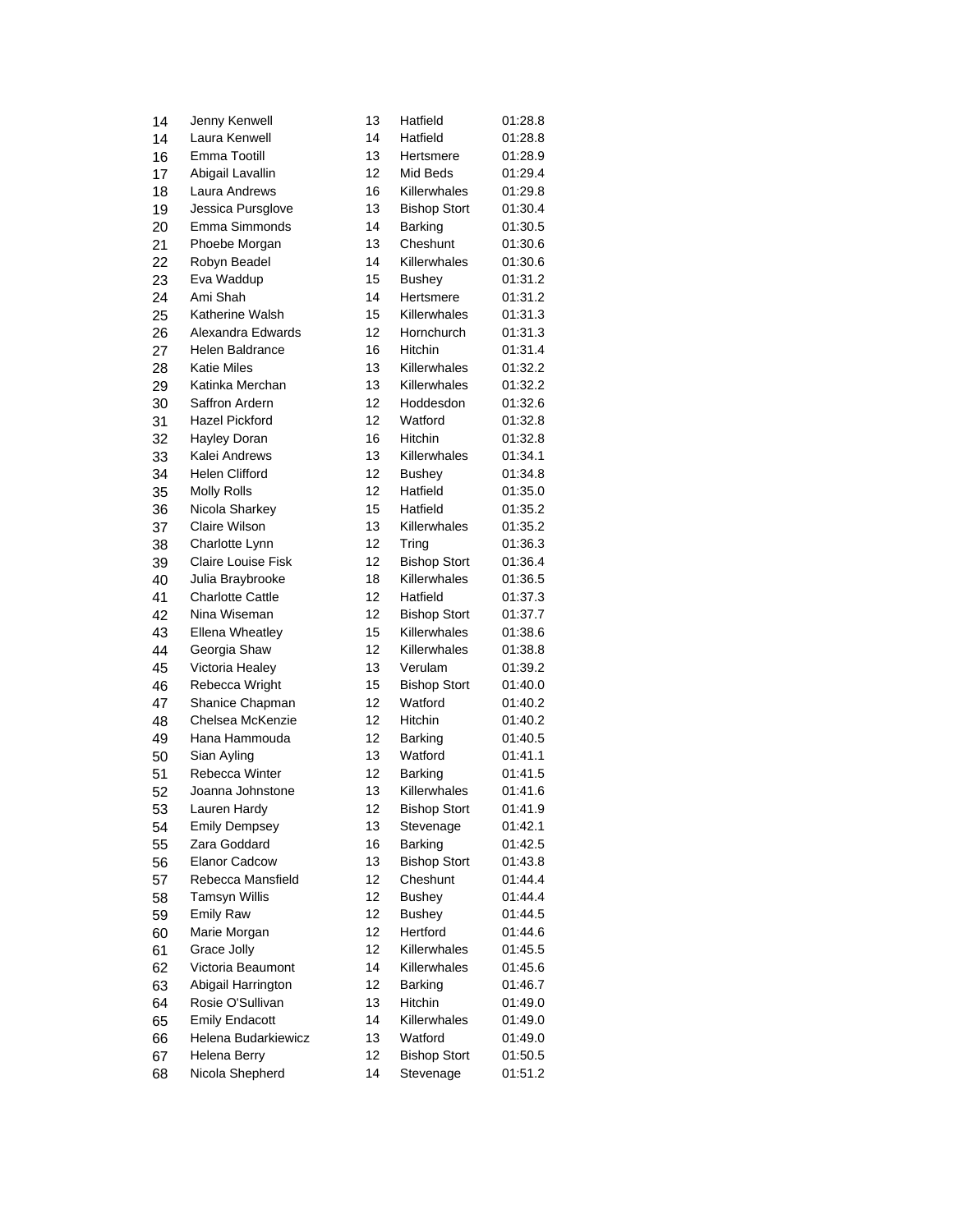| 14 | Jenny Kenwell                       | 13 | Hatfield                | 01:28.8 |
|----|-------------------------------------|----|-------------------------|---------|
| 14 | Laura Kenwell                       | 14 | Hatfield                | 01:28.8 |
| 16 | Emma Tootill                        | 13 | Hertsmere               | 01:28.9 |
| 17 | Abigail Lavallin                    | 12 | Mid Beds                | 01:29.4 |
| 18 | Laura Andrews                       | 16 | Killerwhales            | 01:29.8 |
| 19 | Jessica Pursglove                   | 13 | <b>Bishop Stort</b>     | 01:30.4 |
| 20 | Emma Simmonds                       | 14 | Barking                 | 01:30.5 |
| 21 | Phoebe Morgan                       | 13 | Cheshunt                | 01:30.6 |
| 22 | Robyn Beadel                        | 14 | Killerwhales            | 01:30.6 |
| 23 | Eva Waddup                          | 15 | <b>Bushey</b>           | 01:31.2 |
| 24 | Ami Shah                            | 14 | Hertsmere               | 01:31.2 |
| 25 | Katherine Walsh                     | 15 | Killerwhales            | 01:31.3 |
| 26 | Alexandra Edwards                   | 12 | Hornchurch              | 01:31.3 |
| 27 | Helen Baldrance                     | 16 | Hitchin                 | 01:31.4 |
| 28 | <b>Katie Miles</b>                  | 13 | Killerwhales            | 01:32.2 |
| 29 | Katinka Merchan                     | 13 | Killerwhales            | 01:32.2 |
| 30 | Saffron Ardern                      | 12 | Hoddesdon               | 01:32.6 |
| 31 | <b>Hazel Pickford</b>               | 12 | Watford                 | 01:32.8 |
| 32 | Hayley Doran                        | 16 | Hitchin                 | 01:32.8 |
| 33 | Kalei Andrews                       | 13 | Killerwhales            | 01:34.1 |
| 34 | <b>Helen Clifford</b>               | 12 | <b>Bushey</b>           | 01:34.8 |
| 35 | <b>Molly Rolls</b>                  | 12 | Hatfield                | 01:35.0 |
| 36 | Nicola Sharkey                      | 15 | Hatfield                | 01:35.2 |
| 37 | Claire Wilson                       | 13 | Killerwhales            | 01:35.2 |
| 38 | Charlotte Lynn                      | 12 | Tring                   | 01:36.3 |
| 39 | <b>Claire Louise Fisk</b>           | 12 | <b>Bishop Stort</b>     | 01:36.4 |
| 40 | Julia Braybrooke                    | 18 | Killerwhales            | 01:36.5 |
| 41 | <b>Charlotte Cattle</b>             | 12 | Hatfield                | 01:37.3 |
| 42 | Nina Wiseman                        | 12 | <b>Bishop Stort</b>     | 01:37.7 |
| 43 | <b>Ellena Wheatley</b>              | 15 | Killerwhales            | 01:38.6 |
| 44 | Georgia Shaw                        | 12 | Killerwhales            | 01:38.8 |
| 45 | Victoria Healey                     | 13 | Verulam                 | 01:39.2 |
|    | Rebecca Wright                      | 15 | <b>Bishop Stort</b>     | 01:40.0 |
| 46 |                                     | 12 | Watford                 | 01:40.2 |
| 47 | Shanice Chapman<br>Chelsea McKenzie | 12 | Hitchin                 | 01:40.2 |
| 48 |                                     | 12 |                         | 01:40.5 |
| 49 | Hana Hammouda                       | 13 | <b>Barking</b>          | 01:41.1 |
| 50 | Sian Ayling                         |    | Watford                 | 01:41.5 |
| 51 | Rebecca Winter                      | 12 | Barking<br>Killerwhales | 01:41.6 |
| 52 | Joanna Johnstone                    | 13 |                         |         |
| 53 | Lauren Hardy                        | 12 | <b>Bishop Stort</b>     | 01:41.9 |
| 54 | <b>Emily Dempsey</b>                | 13 | Stevenage               | 01:42.1 |
| 55 | Zara Goddard                        | 16 | Barking                 | 01:42.5 |
| 56 | <b>Elanor Cadcow</b>                | 13 | <b>Bishop Stort</b>     | 01:43.8 |
| 57 | Rebecca Mansfield                   | 12 | Cheshunt                | 01:44.4 |
| 58 | <b>Tamsyn Willis</b>                | 12 | <b>Bushey</b>           | 01:44.4 |
| 59 | Emily Raw                           | 12 | <b>Bushey</b>           | 01:44.5 |
| 60 | Marie Morgan                        | 12 | Hertford                | 01:44.6 |
| 61 | Grace Jolly                         | 12 | Killerwhales            | 01:45.5 |
| 62 | Victoria Beaumont                   | 14 | Killerwhales            | 01:45.6 |
| 63 | Abigail Harrington                  | 12 | Barking                 | 01:46.7 |
| 64 | Rosie O'Sullivan                    | 13 | Hitchin                 | 01:49.0 |
| 65 | <b>Emily Endacott</b>               | 14 | Killerwhales            | 01:49.0 |
| 66 | Helena Budarkiewicz                 | 13 | Watford                 | 01:49.0 |
| 67 | Helena Berry                        | 12 | <b>Bishop Stort</b>     | 01:50.5 |
| 68 | Nicola Shepherd                     | 14 | Stevenage               | 01:51.2 |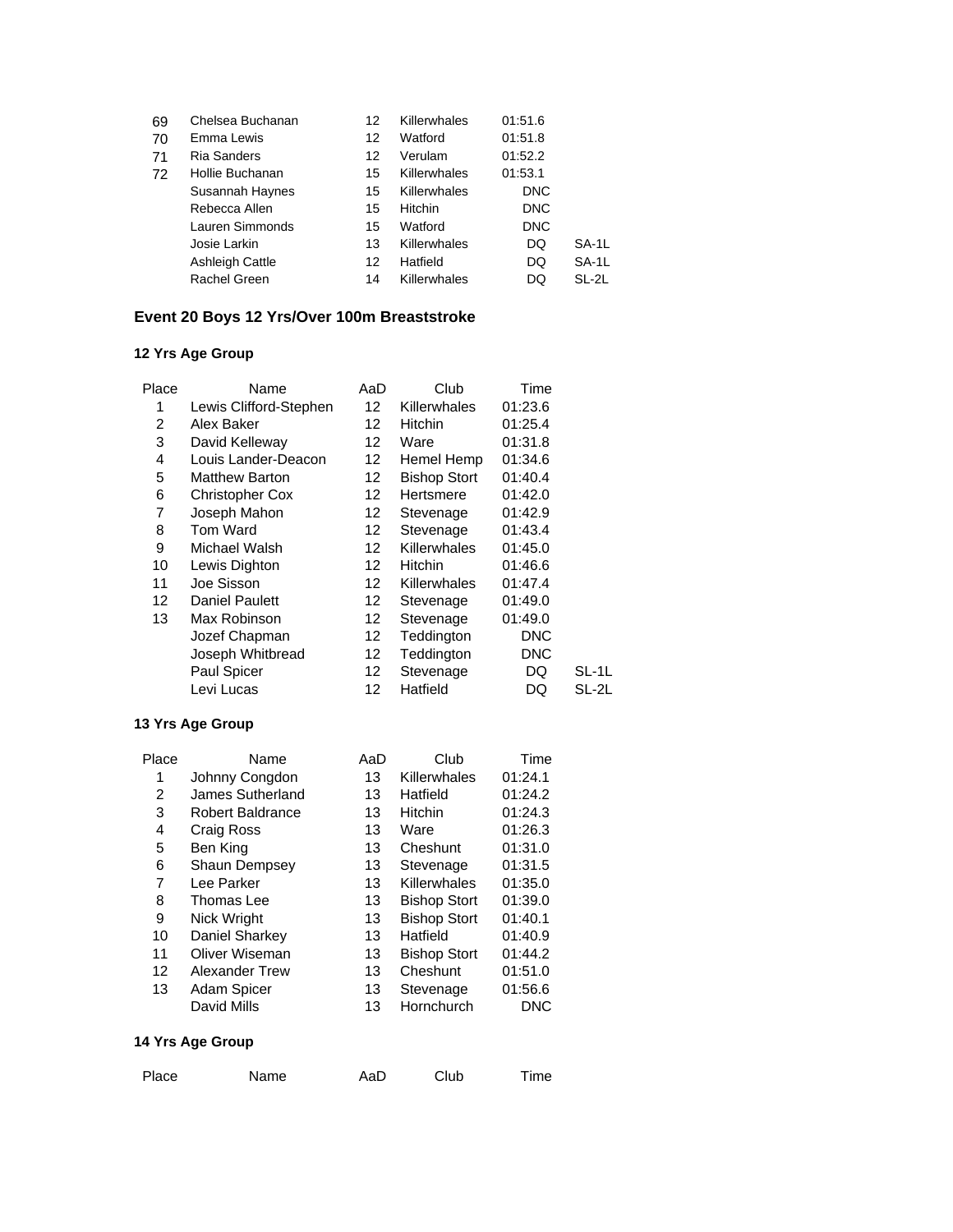| 69 | Chelsea Buchanan       | 12 | Killerwhales | 01:51.6    |       |
|----|------------------------|----|--------------|------------|-------|
| 70 | Emma Lewis             | 12 | Watford      | 01:51.8    |       |
| 71 | Ria Sanders            | 12 | Verulam      | 01:52.2    |       |
| 72 | Hollie Buchanan        | 15 | Killerwhales | 01:53.1    |       |
|    | Susannah Haynes        | 15 | Killerwhales | <b>DNC</b> |       |
|    | Rebecca Allen          | 15 | Hitchin      | <b>DNC</b> |       |
|    | Lauren Simmonds        | 15 | Watford      | <b>DNC</b> |       |
|    | Josie Larkin           | 13 | Killerwhales | DQ         | SA-1L |
|    | <b>Ashleigh Cattle</b> | 12 | Hatfield     | DQ         | SA-1L |
|    | Rachel Green           | 14 | Killerwhales | DQ         | SL-2L |
|    |                        |    |              |            |       |

### **Event 20 Boys 12 Yrs/Over 100m Breaststroke**

## **12 Yrs Age Group**

| Place | Name                   | AaD             | Club                | Time       |       |
|-------|------------------------|-----------------|---------------------|------------|-------|
| 1     | Lewis Clifford-Stephen | 12 <sup>2</sup> | Killerwhales        | 01:23.6    |       |
| 2     | Alex Baker             | 12 <sup>2</sup> | <b>Hitchin</b>      | 01:25.4    |       |
| 3     | David Kelleway         | 12 <sup>2</sup> | Ware                | 01:31.8    |       |
| 4     | Louis Lander-Deacon    | 12 <sup>2</sup> | Hemel Hemp          | 01:34.6    |       |
| 5     | <b>Matthew Barton</b>  | 12              | <b>Bishop Stort</b> | 01:40.4    |       |
| 6     | <b>Christopher Cox</b> | 12              | Hertsmere           | 01:42.0    |       |
| 7     | Joseph Mahon           | 12              | Stevenage           | 01:42.9    |       |
| 8     | Tom Ward               | 12              | Stevenage           | 01:43.4    |       |
| 9     | Michael Walsh          | 12              | Killerwhales        | 01:45.0    |       |
| 10    | Lewis Dighton          | 12              | <b>Hitchin</b>      | 01:46.6    |       |
| 11    | Joe Sisson             | 12              | Killerwhales        | 01:47.4    |       |
| 12    | <b>Daniel Paulett</b>  | 12              | Stevenage           | 01:49.0    |       |
| 13    | Max Robinson           | 12              | Stevenage           | 01:49.0    |       |
|       | Jozef Chapman          | 12              | Teddington          | DNC        |       |
|       | Joseph Whitbread       | 12              | Teddington          | <b>DNC</b> |       |
|       | Paul Spicer            | 12              | Stevenage           | DQ         | SL-1L |
|       | Levi Lucas             | 12              | Hatfield            | DQ         | SL-2L |
|       |                        |                 |                     |            |       |

### **13 Yrs Age Group**

| Name                    | AaD | Club                | Time    |
|-------------------------|-----|---------------------|---------|
| Johnny Congdon          | 13  | Killerwhales        | 01:24.1 |
| James Sutherland        | 13  | Hatfield            | 01:24.2 |
| <b>Robert Baldrance</b> | 13  | <b>Hitchin</b>      | 01:24.3 |
| Craig Ross              | 13  | Ware                | 01:26.3 |
| Ben King                | 13  | Cheshunt            | 01:31.0 |
| Shaun Dempsey           | 13  | Stevenage           | 01:31.5 |
| Lee Parker              | 13  | Killerwhales        | 01:35.0 |
| Thomas Lee              | 13  | <b>Bishop Stort</b> | 01:39.0 |
| Nick Wright             | 13  | <b>Bishop Stort</b> | 01:40.1 |
| Daniel Sharkey          | 13  | Hatfield            | 01:40.9 |
| Oliver Wiseman          | 13  | <b>Bishop Stort</b> | 01:44.2 |
| <b>Alexander Trew</b>   | 13  | Cheshunt            | 01:51.0 |
| <b>Adam Spicer</b>      | 13  | Stevenage           | 01:56.6 |
| David Mills             | 13  | Hornchurch          | DNC     |
|                         |     |                     |         |

| Place | Name | AaD | Club | Time |
|-------|------|-----|------|------|
|-------|------|-----|------|------|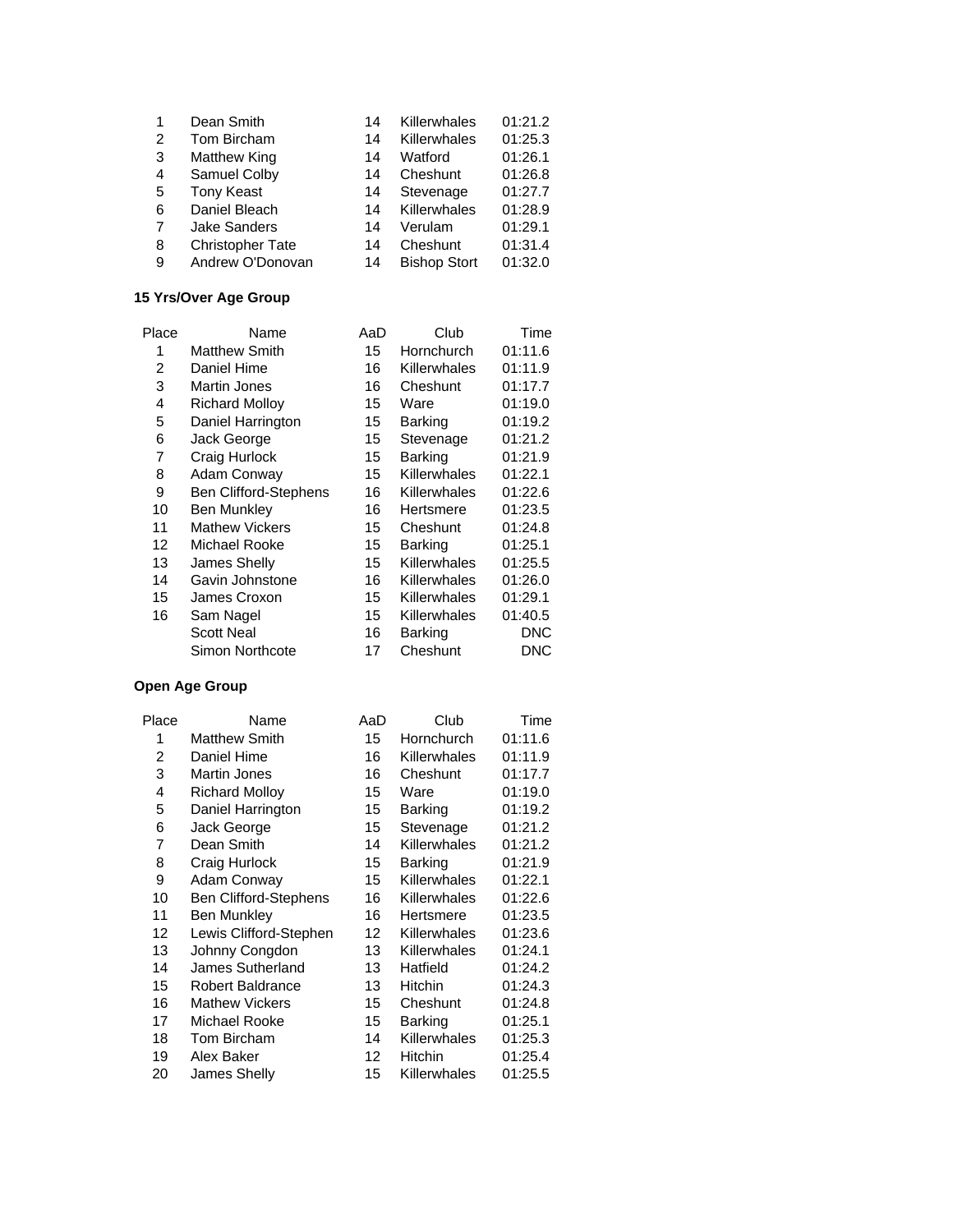| 1 | Dean Smith              | 14 | Killerwhales        | 01:21.2 |
|---|-------------------------|----|---------------------|---------|
| 2 | Tom Bircham             | 14 | Killerwhales        | 01:25.3 |
| 3 | Matthew King            | 14 | Watford             | 01:26.1 |
| 4 | Samuel Colby            | 14 | Cheshunt            | 01:26.8 |
| 5 | <b>Tony Keast</b>       | 14 | Stevenage           | 01:27.7 |
| 6 | Daniel Bleach           | 14 | Killerwhales        | 01:28.9 |
| 7 | <b>Jake Sanders</b>     | 14 | Verulam             | 01:29.1 |
| 8 | <b>Christopher Tate</b> | 14 | Cheshunt            | 01:31.4 |
| 9 | Andrew O'Donovan        | 14 | <b>Bishop Stort</b> | 01:32.0 |

### **15 Yrs/Over Age Group**

| Place | Name                         | AaD | Club           | Time       |
|-------|------------------------------|-----|----------------|------------|
| 1     | <b>Matthew Smith</b>         | 15  | Hornchurch     | 01:11.6    |
| 2     | Daniel Hime                  | 16  | Killerwhales   | 01:11.9    |
| 3     | <b>Martin Jones</b>          | 16  | Cheshunt       | 01:17.7    |
| 4     | <b>Richard Mollov</b>        | 15  | Ware           | 01:19.0    |
| 5     | Daniel Harrington            | 15  | Barking        | 01:19.2    |
| 6     | Jack George                  | 15  | Stevenage      | 01:21.2    |
| 7     | Craig Hurlock                | 15  | Barking        | 01:21.9    |
| 8     | Adam Conway                  | 15  | Killerwhales   | 01:22.1    |
| 9     | <b>Ben Clifford-Stephens</b> | 16  | Killerwhales   | 01:22.6    |
| 10    | <b>Ben Munkley</b>           | 16  | Hertsmere      | 01:23.5    |
| 11    | <b>Mathew Vickers</b>        | 15  | Cheshunt       | 01:24.8    |
| 12    | Michael Rooke                | 15  | <b>Barking</b> | 01:25.1    |
| 13    | James Shelly                 | 15  | Killerwhales   | 01:25.5    |
| 14    | Gavin Johnstone              | 16  | Killerwhales   | 01:26.0    |
| 15    | James Croxon                 | 15  | Killerwhales   | 01:29.1    |
| 16    | Sam Nagel                    | 15  | Killerwhales   | 01:40.5    |
|       | <b>Scott Neal</b>            | 16  | Barking        | <b>DNC</b> |
|       | Simon Northcote              | 17  | Cheshunt       | <b>DNC</b> |
|       |                              |     |                |            |

| Place | Name                         | AaD | Club           | Time    |
|-------|------------------------------|-----|----------------|---------|
| 1     | <b>Matthew Smith</b>         | 15  | Hornchurch     | 01:11.6 |
| 2     | Daniel Hime                  | 16  | Killerwhales   | 01:11.9 |
| 3     | Martin Jones                 | 16  | Cheshunt       | 01:17.7 |
| 4     | <b>Richard Molloy</b>        | 15  | Ware           | 01:19.0 |
| 5     | Daniel Harrington            | 15  | Barking        | 01:19.2 |
| 6     | Jack George                  | 15  | Stevenage      | 01:21.2 |
| 7     | Dean Smith                   | 14  | Killerwhales   | 01:21.2 |
| 8     | Craig Hurlock                | 15  | <b>Barking</b> | 01:21.9 |
| 9     | Adam Conway                  | 15  | Killerwhales   | 01:22.1 |
| 10    | <b>Ben Clifford-Stephens</b> | 16  | Killerwhales   | 01:22.6 |
| 11    | Ben Munkley                  | 16  | Hertsmere      | 01:23.5 |
| 12    | Lewis Clifford-Stephen       | 12. | Killerwhales   | 01:23.6 |
| 13    | Johnny Congdon               | 13  | Killerwhales   | 01:24.1 |
| 14    | James Sutherland             | 13  | Hatfield       | 01:24.2 |
| 15    | <b>Robert Baldrance</b>      | 13  | <b>Hitchin</b> | 01:24.3 |
| 16    | <b>Mathew Vickers</b>        | 15  | Cheshunt       | 01:24.8 |
| 17    | Michael Rooke                | 15  | Barking        | 01:25.1 |
| 18    | Tom Bircham                  | 14  | Killerwhales   | 01:25.3 |
| 19    | Alex Baker                   | 12  | <b>Hitchin</b> | 01:25.4 |
| 20    | <b>James Shelly</b>          | 15  | Killerwhales   | 01:25.5 |